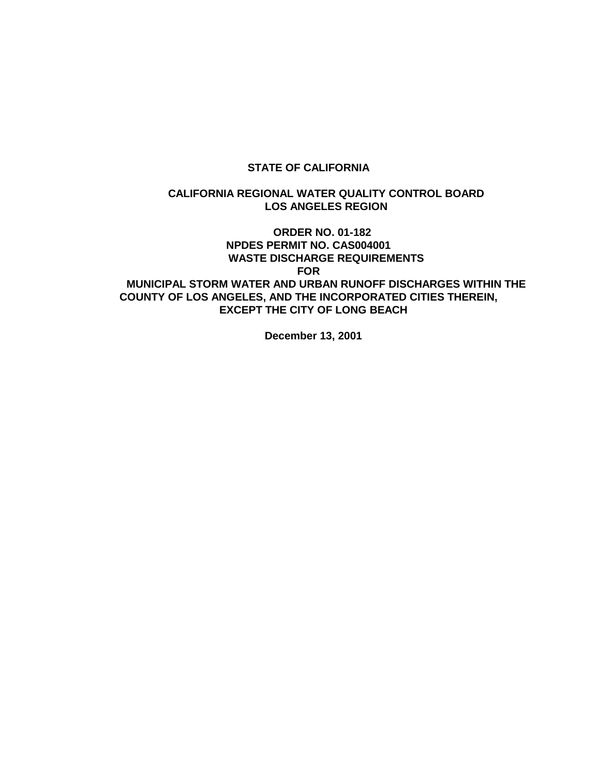#### **STATE OF CALIFORNIA**

#### **CALIFORNIA REGIONAL WATER QUALITY CONTROL BOARD LOS ANGELES REGION**

 **ORDER NO. 01-182 NPDES PERMIT NO. CAS004001 WASTE DISCHARGE REQUIREMENTS FOR MUNICIPAL STORM WATER AND URBAN RUNOFF DISCHARGES WITHIN THE COUNTY OF LOS ANGELES, AND THE INCORPORATED CITIES THEREIN, EXCEPT THE CITY OF LONG BEACH** 

**December 13, 2001**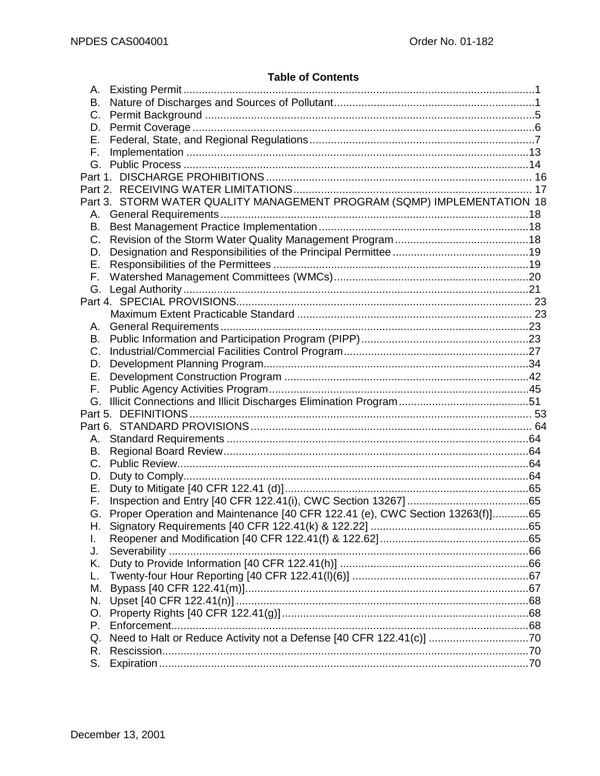## **Table of Contents**

| А. |                                                                              |  |
|----|------------------------------------------------------------------------------|--|
| В. |                                                                              |  |
| C. |                                                                              |  |
| D. |                                                                              |  |
| Е. |                                                                              |  |
| F. |                                                                              |  |
|    |                                                                              |  |
|    |                                                                              |  |
|    |                                                                              |  |
|    | Part 3. STORM WATER QUALITY MANAGEMENT PROGRAM (SQMP) IMPLEMENTATION 18      |  |
|    |                                                                              |  |
| В. |                                                                              |  |
| C. |                                                                              |  |
| D. |                                                                              |  |
| Е. |                                                                              |  |
| F. |                                                                              |  |
|    |                                                                              |  |
|    |                                                                              |  |
|    |                                                                              |  |
|    |                                                                              |  |
|    |                                                                              |  |
| C. |                                                                              |  |
| D. |                                                                              |  |
| Е. |                                                                              |  |
| F. |                                                                              |  |
| G. |                                                                              |  |
|    |                                                                              |  |
|    |                                                                              |  |
| А. |                                                                              |  |
| В. |                                                                              |  |
| C. |                                                                              |  |
| D. |                                                                              |  |
| Е. |                                                                              |  |
| F. |                                                                              |  |
| G. | Proper Operation and Maintenance [40 CFR 122.41 (e), CWC Section 13263(f)]65 |  |
| Н. |                                                                              |  |
| I. |                                                                              |  |
| J. |                                                                              |  |
| K. |                                                                              |  |
| L. |                                                                              |  |
| M. |                                                                              |  |
| N. |                                                                              |  |
| O. |                                                                              |  |
| Р. |                                                                              |  |
| Q. | Need to Halt or Reduce Activity not a Defense [40 CFR 122.41(c)] 70          |  |
| R. |                                                                              |  |
| S. |                                                                              |  |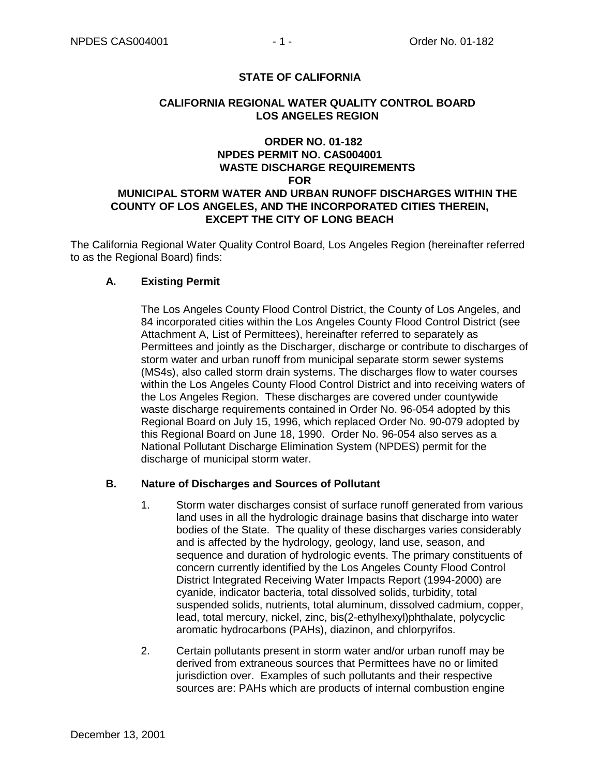## **STATE OF CALIFORNIA**

#### **CALIFORNIA REGIONAL WATER QUALITY CONTROL BOARD LOS ANGELES REGION**

## <span id="page-2-0"></span> **ORDER NO. 01-182 NPDES PERMIT NO. CAS004001 WASTE DISCHARGE REQUIREMENTS FOR MUNICIPAL STORM WATER AND URBAN RUNOFF DISCHARGES WITHIN THE COUNTY OF LOS ANGELES, AND THE INCORPORATED CITIES THEREIN, EXCEPT THE CITY OF LONG BEACH**

The California Regional Water Quality Control Board, Los Angeles Region (hereinafter referred to as the Regional Board) finds:

#### **A. Existing Permit**

The Los Angeles County Flood Control District, the County of Los Angeles, and 84 incorporated cities within the Los Angeles County Flood Control District (see Attachment A, List of Permittees), hereinafter referred to separately as Permittees and jointly as the Discharger, discharge or contribute to discharges of storm water and urban runoff from municipal separate storm sewer systems (MS4s), also called storm drain systems. The discharges flow to water courses within the Los Angeles County Flood Control District and into receiving waters of the Los Angeles Region. These discharges are covered under countywide waste discharge requirements contained in Order No. 96-054 adopted by this Regional Board on July 15, 1996, which replaced Order No. 90-079 adopted by this Regional Board on June 18, 1990. Order No. 96-054 also serves as a National Pollutant Discharge Elimination System (NPDES) permit for the discharge of municipal storm water.

#### **B. Nature of Discharges and Sources of Pollutant**

- 1. Storm water discharges consist of surface runoff generated from various land uses in all the hydrologic drainage basins that discharge into water bodies of the State. The quality of these discharges varies considerably and is affected by the hydrology, geology, land use, season, and sequence and duration of hydrologic events. The primary constituents of concern currently identified by the Los Angeles County Flood Control District Integrated Receiving Water Impacts Report (1994-2000) are cyanide, indicator bacteria, total dissolved solids, turbidity, total suspended solids, nutrients, total aluminum, dissolved cadmium, copper, lead, total mercury, nickel, zinc, bis(2-ethylhexyl)phthalate, polycyclic aromatic hydrocarbons (PAHs), diazinon, and chlorpyrifos.
- 2. Certain pollutants present in storm water and/or urban runoff may be derived from extraneous sources that Permittees have no or limited jurisdiction over. Examples of such pollutants and their respective sources are: PAHs which are products of internal combustion engine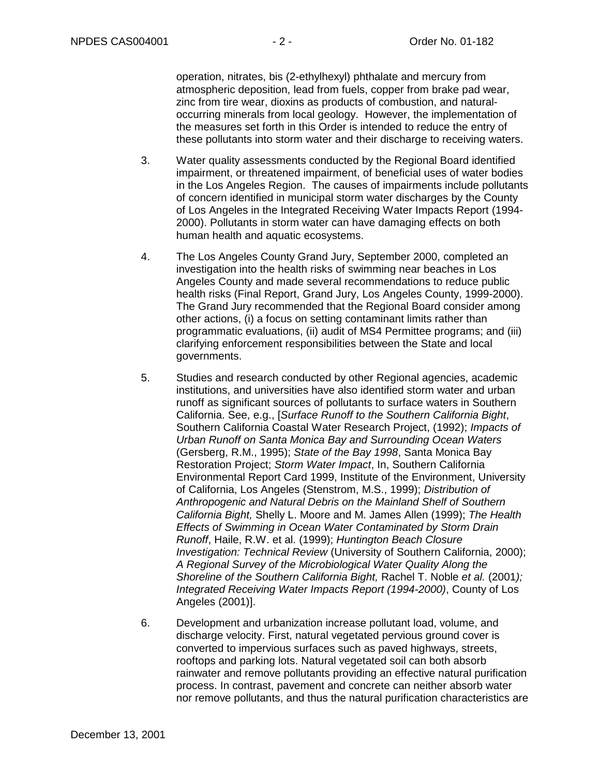operation, nitrates, bis (2-ethylhexyl) phthalate and mercury from atmospheric deposition, lead from fuels, copper from brake pad wear, zinc from tire wear, dioxins as products of combustion, and naturaloccurring minerals from local geology. However, the implementation of the measures set forth in this Order is intended to reduce the entry of these pollutants into storm water and their discharge to receiving waters.

- 3. Water quality assessments conducted by the Regional Board identified impairment, or threatened impairment, of beneficial uses of water bodies in the Los Angeles Region. The causes of impairments include pollutants of concern identified in municipal storm water discharges by the County of Los Angeles in the Integrated Receiving Water Impacts Report (1994- 2000). Pollutants in storm water can have damaging effects on both human health and aquatic ecosystems.
- 4. The Los Angeles County Grand Jury, September 2000, completed an investigation into the health risks of swimming near beaches in Los Angeles County and made several recommendations to reduce public health risks (Final Report, Grand Jury, Los Angeles County, 1999-2000). The Grand Jury recommended that the Regional Board consider among other actions, (i) a focus on setting contaminant limits rather than programmatic evaluations, (ii) audit of MS4 Permittee programs; and (iii) clarifying enforcement responsibilities between the State and local governments.
- 5. Studies and research conducted by other Regional agencies, academic institutions, and universities have also identified storm water and urban runoff as significant sources of pollutants to surface waters in Southern California. See, e.g., [*Surface Runoff to the Southern California Bight*, Southern California Coastal Water Research Project, (1992); *Impacts of Urban Runoff on Santa Monica Bay and Surrounding Ocean Waters* (Gersberg, R.M., 1995); *State of the Bay 1998*, Santa Monica Bay Restoration Project; *Storm Water Impact*, In, Southern California Environmental Report Card 1999, Institute of the Environment, University of California, Los Angeles (Stenstrom, M.S., 1999); *Distribution of Anthropogenic and Natural Debris on the Mainland Shelf of Southern California Bight,* Shelly L. Moore and M. James Allen (1999); *The Health Effects of Swimming in Ocean Water Contaminated by Storm Drain Runoff*, Haile, R.W. et al. (1999); *Huntington Beach Closure Investigation: Technical Review* (University of Southern California, 2000); *A Regional Survey of the Microbiological Water Quality Along the Shoreline of the Southern California Bight,* Rachel T. Noble *et al.* (2001*); Integrated Receiving Water Impacts Report (1994-2000)*, County of Los Angeles (2001)].
- 6. Development and urbanization increase pollutant load, volume, and discharge velocity. First, natural vegetated pervious ground cover is converted to impervious surfaces such as paved highways, streets, rooftops and parking lots. Natural vegetated soil can both absorb rainwater and remove pollutants providing an effective natural purification process. In contrast, pavement and concrete can neither absorb water nor remove pollutants, and thus the natural purification characteristics are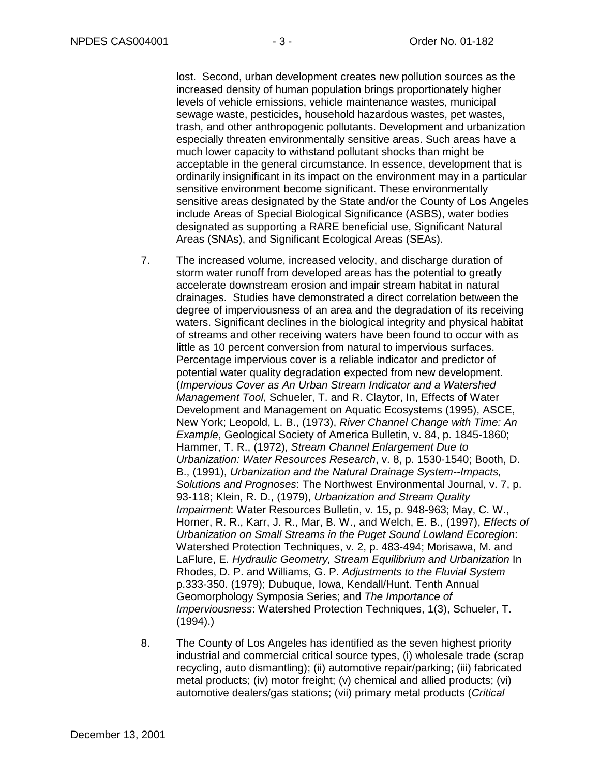lost. Second, urban development creates new pollution sources as the increased density of human population brings proportionately higher levels of vehicle emissions, vehicle maintenance wastes, municipal sewage waste, pesticides, household hazardous wastes, pet wastes, trash, and other anthropogenic pollutants. Development and urbanization especially threaten environmentally sensitive areas. Such areas have a much lower capacity to withstand pollutant shocks than might be acceptable in the general circumstance. In essence, development that is ordinarily insignificant in its impact on the environment may in a particular sensitive environment become significant. These environmentally sensitive areas designated by the State and/or the County of Los Angeles include Areas of Special Biological Significance (ASBS), water bodies designated as supporting a RARE beneficial use, Significant Natural Areas (SNAs), and Significant Ecological Areas (SEAs).

- 7. The increased volume, increased velocity, and discharge duration of storm water runoff from developed areas has the potential to greatly accelerate downstream erosion and impair stream habitat in natural drainages. Studies have demonstrated a direct correlation between the degree of imperviousness of an area and the degradation of its receiving waters. Significant declines in the biological integrity and physical habitat of streams and other receiving waters have been found to occur with as little as 10 percent conversion from natural to impervious surfaces. Percentage impervious cover is a reliable indicator and predictor of potential water quality degradation expected from new development. (*Impervious Cover as An Urban Stream Indicator and a Watershed Management Tool*, Schueler, T. and R. Claytor, In, Effects of Water Development and Management on Aquatic Ecosystems (1995), ASCE, New York; Leopold, L. B., (1973), *River Channel Change with Time: An Example*, Geological Society of America Bulletin, v. 84, p. 1845-1860; Hammer, T. R., (1972), *Stream Channel Enlargement Due to Urbanization: Water Resources Research*, v. 8, p. 1530-1540; Booth, D. B., (1991), *Urbanization and the Natural Drainage System--Impacts, Solutions and Prognoses*: The Northwest Environmental Journal, v. 7, p. 93-118; Klein, R. D., (1979), *Urbanization and Stream Quality Impairment*: Water Resources Bulletin, v. 15, p. 948-963; May, C. W., Horner, R. R., Karr, J. R., Mar, B. W., and Welch, E. B., (1997), *Effects of Urbanization on Small Streams in the Puget Sound Lowland Ecoregion*: Watershed Protection Techniques, v. 2, p. 483-494; Morisawa, M. and LaFlure, E. *Hydraulic Geometry, Stream Equilibrium and Urbanization* In Rhodes, D. P. and Williams, G. P. *Adjustments to the Fluvial System* p.333-350. (1979); Dubuque, Iowa, Kendall/Hunt. Tenth Annual Geomorphology Symposia Series; and *The Importance of Imperviousness*: Watershed Protection Techniques, 1(3), Schueler, T. (1994).)
- 8. The County of Los Angeles has identified as the seven highest priority industrial and commercial critical source types, (i) wholesale trade (scrap recycling, auto dismantling); (ii) automotive repair/parking; (iii) fabricated metal products; (iv) motor freight; (v) chemical and allied products; (vi) automotive dealers/gas stations; (vii) primary metal products (*Critical*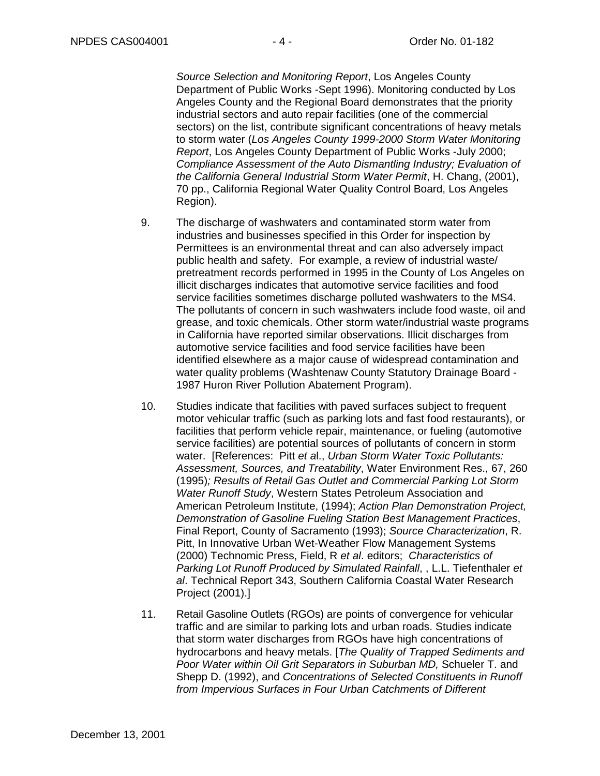*Source Selection and Monitoring Report*, Los Angeles County Department of Public Works -Sept 1996). Monitoring conducted by Los Angeles County and the Regional Board demonstrates that the priority industrial sectors and auto repair facilities (one of the commercial sectors) on the list, contribute significant concentrations of heavy metals to storm water (*Los Angeles County 1999-2000 Storm Water Monitoring Report*, Los Angeles County Department of Public Works -July 2000; *Compliance Assessment of the Auto Dismantling Industry; Evaluation of the California General Industrial Storm Water Permit*, H. Chang, (2001), 70 pp., California Regional Water Quality Control Board, Los Angeles Region).

- 9. The discharge of washwaters and contaminated storm water from industries and businesses specified in this Order for inspection by Permittees is an environmental threat and can also adversely impact public health and safety. For example, a review of industrial waste/ pretreatment records performed in 1995 in the County of Los Angeles on illicit discharges indicates that automotive service facilities and food service facilities sometimes discharge polluted washwaters to the MS4. The pollutants of concern in such washwaters include food waste, oil and grease, and toxic chemicals. Other storm water/industrial waste programs in California have reported similar observations. Illicit discharges from automotive service facilities and food service facilities have been identified elsewhere as a major cause of widespread contamination and water quality problems (Washtenaw County Statutory Drainage Board - 1987 Huron River Pollution Abatement Program).
- 10. Studies indicate that facilities with paved surfaces subject to frequent motor vehicular traffic (such as parking lots and fast food restaurants), or facilities that perform vehicle repair, maintenance, or fueling (automotive service facilities) are potential sources of pollutants of concern in storm water. [References: Pitt *et a*l., *Urban Storm Water Toxic Pollutants: Assessment, Sources, and Treatability*, Water Environment Res., 67, 260 (1995)*; Results of Retail Gas Outlet and Commercial Parking Lot Storm Water Runoff Study*, Western States Petroleum Association and American Petroleum Institute, (1994); *Action Plan Demonstration Project, Demonstration of Gasoline Fueling Station Best Management Practices*, Final Report, County of Sacramento (1993); *Source Characterization*, R. Pitt, In Innovative Urban Wet-Weather Flow Management Systems (2000) Technomic Press, Field, R *et al*. editors; *Characteristics of Parking Lot Runoff Produced by Simulated Rainfall*, , L.L. Tiefenthaler *et al*. Technical Report 343, Southern California Coastal Water Research Project (2001).]
- 11. Retail Gasoline Outlets (RGOs) are points of convergence for vehicular traffic and are similar to parking lots and urban roads. Studies indicate that storm water discharges from RGOs have high concentrations of hydrocarbons and heavy metals. [*The Quality of Trapped Sediments and Poor Water within Oil Grit Separators in Suburban MD,* Schueler T. and Shepp D. (1992), and *Concentrations of Selected Constituents in Runoff from Impervious Surfaces in Four Urban Catchments of Different*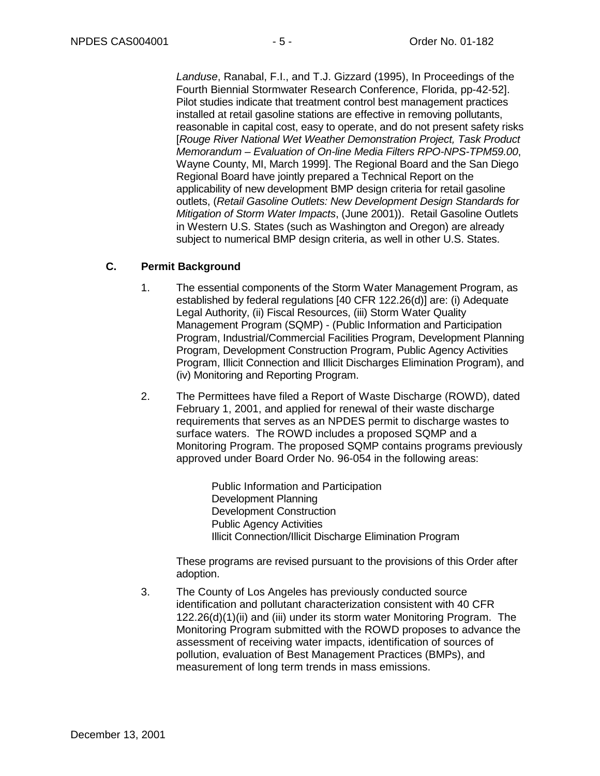<span id="page-6-0"></span>*Landuse*, Ranabal, F.I., and T.J. Gizzard (1995), In Proceedings of the Fourth Biennial Stormwater Research Conference, Florida, pp-42-52]. Pilot studies indicate that treatment control best management practices installed at retail gasoline stations are effective in removing pollutants, reasonable in capital cost, easy to operate, and do not present safety risks [*Rouge River National Wet Weather Demonstration Project, Task Product Memorandum – Evaluation of On-line Media Filters RPO-NPS-TPM59.00*, Wayne County, MI, March 1999]. The Regional Board and the San Diego Regional Board have jointly prepared a Technical Report on the applicability of new development BMP design criteria for retail gasoline outlets, (*Retail Gasoline Outlets: New Development Design Standards for Mitigation of Storm Water Impacts*, (June 2001)). Retail Gasoline Outlets in Western U.S. States (such as Washington and Oregon) are already subject to numerical BMP design criteria, as well in other U.S. States.

## **C. Permit Background**

- 1. The essential components of the Storm Water Management Program, as established by federal regulations [40 CFR 122.26(d)] are: (i) Adequate Legal Authority, (ii) Fiscal Resources, (iii) Storm Water Quality Management Program (SQMP) - (Public Information and Participation Program, Industrial/Commercial Facilities Program, Development Planning Program, Development Construction Program, Public Agency Activities Program, Illicit Connection and Illicit Discharges Elimination Program), and (iv) Monitoring and Reporting Program.
- 2. The Permittees have filed a Report of Waste Discharge (ROWD), dated February 1, 2001, and applied for renewal of their waste discharge requirements that serves as an NPDES permit to discharge wastes to surface waters. The ROWD includes a proposed SQMP and a Monitoring Program. The proposed SQMP contains programs previously approved under Board Order No. 96-054 in the following areas:

 Public Information and Participation Development Planning Development Construction Public Agency Activities Illicit Connection/Illicit Discharge Elimination Program

 These programs are revised pursuant to the provisions of this Order after adoption.

3. The County of Los Angeles has previously conducted source identification and pollutant characterization consistent with 40 CFR 122.26(d)(1)(ii) and (iii) under its storm water Monitoring Program. The Monitoring Program submitted with the ROWD proposes to advance the assessment of receiving water impacts, identification of sources of pollution, evaluation of Best Management Practices (BMPs), and measurement of long term trends in mass emissions.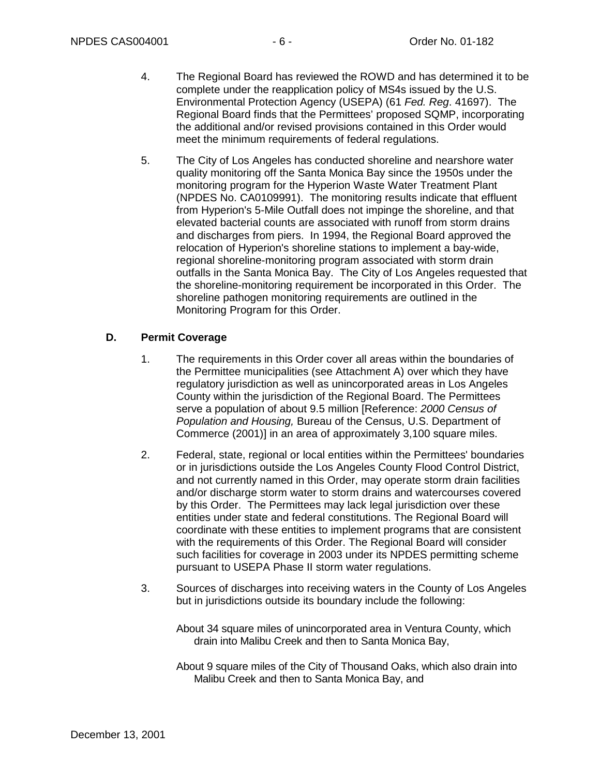- <span id="page-7-0"></span>4. The Regional Board has reviewed the ROWD and has determined it to be complete under the reapplication policy of MS4s issued by the U.S. Environmental Protection Agency (USEPA) (61 *Fed. Reg*. 41697). The Regional Board finds that the Permittees' proposed SQMP, incorporating the additional and/or revised provisions contained in this Order would meet the minimum requirements of federal regulations.
- 5. The City of Los Angeles has conducted shoreline and nearshore water quality monitoring off the Santa Monica Bay since the 1950s under the monitoring program for the Hyperion Waste Water Treatment Plant (NPDES No. CA0109991). The monitoring results indicate that effluent from Hyperion's 5-Mile Outfall does not impinge the shoreline, and that elevated bacterial counts are associated with runoff from storm drains and discharges from piers. In 1994, the Regional Board approved the relocation of Hyperion's shoreline stations to implement a bay-wide, regional shoreline-monitoring program associated with storm drain outfalls in the Santa Monica Bay. The City of Los Angeles requested that the shoreline-monitoring requirement be incorporated in this Order. The shoreline pathogen monitoring requirements are outlined in the Monitoring Program for this Order.

# **D. Permit Coverage**

- 1. The requirements in this Order cover all areas within the boundaries of the Permittee municipalities (see Attachment A) over which they have regulatory jurisdiction as well as unincorporated areas in Los Angeles County within the jurisdiction of the Regional Board. The Permittees serve a population of about 9.5 million [Reference: *2000 Census of Population and Housing,* Bureau of the Census, U.S. Department of Commerce (2001)] in an area of approximately 3,100 square miles.
- 2. Federal, state, regional or local entities within the Permittees' boundaries or in jurisdictions outside the Los Angeles County Flood Control District, and not currently named in this Order, may operate storm drain facilities and/or discharge storm water to storm drains and watercourses covered by this Order. The Permittees may lack legal jurisdiction over these entities under state and federal constitutions. The Regional Board will coordinate with these entities to implement programs that are consistent with the requirements of this Order. The Regional Board will consider such facilities for coverage in 2003 under its NPDES permitting scheme pursuant to USEPA Phase II storm water regulations.
- 3. Sources of discharges into receiving waters in the County of Los Angeles but in jurisdictions outside its boundary include the following:
	- About 34 square miles of unincorporated area in Ventura County, which drain into Malibu Creek and then to Santa Monica Bay,
	- About 9 square miles of the City of Thousand Oaks, which also drain into Malibu Creek and then to Santa Monica Bay, and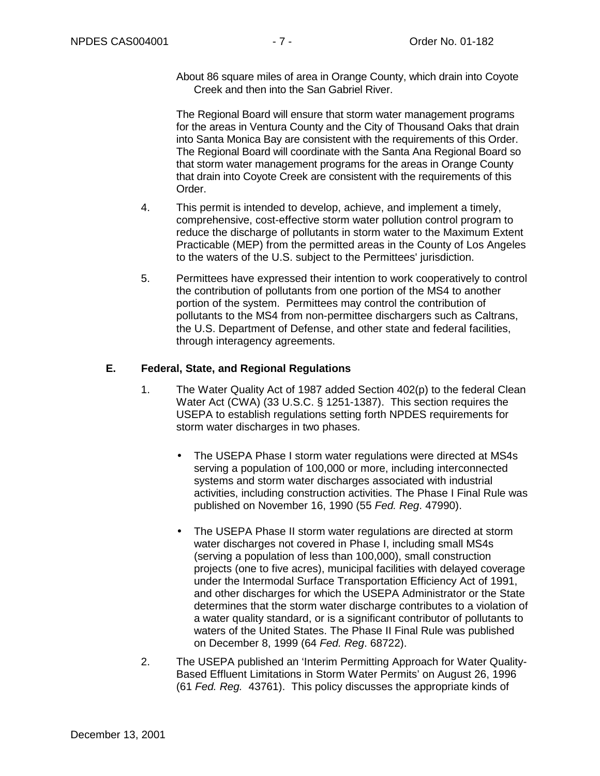<span id="page-8-0"></span>About 86 square miles of area in Orange County, which drain into Coyote Creek and then into the San Gabriel River.

 The Regional Board will ensure that storm water management programs for the areas in Ventura County and the City of Thousand Oaks that drain into Santa Monica Bay are consistent with the requirements of this Order. The Regional Board will coordinate with the Santa Ana Regional Board so that storm water management programs for the areas in Orange County that drain into Coyote Creek are consistent with the requirements of this Order.

- 4. This permit is intended to develop, achieve, and implement a timely, comprehensive, cost-effective storm water pollution control program to reduce the discharge of pollutants in storm water to the Maximum Extent Practicable (MEP) from the permitted areas in the County of Los Angeles to the waters of the U.S. subject to the Permittees' jurisdiction.
- 5. Permittees have expressed their intention to work cooperatively to control the contribution of pollutants from one portion of the MS4 to another portion of the system. Permittees may control the contribution of pollutants to the MS4 from non-permittee dischargers such as Caltrans, the U.S. Department of Defense, and other state and federal facilities, through interagency agreements.

## **E. Federal, State, and Regional Regulations**

- 1. The Water Quality Act of 1987 added Section 402(p) to the federal Clean Water Act (CWA) (33 U.S.C. § 1251-1387). This section requires the USEPA to establish regulations setting forth NPDES requirements for storm water discharges in two phases.
	- The USEPA Phase I storm water regulations were directed at MS4s serving a population of 100,000 or more, including interconnected systems and storm water discharges associated with industrial activities, including construction activities. The Phase I Final Rule was published on November 16, 1990 (55 *Fed. Reg*. 47990).
	- The USEPA Phase II storm water regulations are directed at storm water discharges not covered in Phase I, including small MS4s (serving a population of less than 100,000), small construction projects (one to five acres), municipal facilities with delayed coverage under the Intermodal Surface Transportation Efficiency Act of 1991, and other discharges for which the USEPA Administrator or the State determines that the storm water discharge contributes to a violation of a water quality standard, or is a significant contributor of pollutants to waters of the United States. The Phase II Final Rule was published on December 8, 1999 (64 *Fed. Reg*. 68722).
- 2. The USEPA published an 'Interim Permitting Approach for Water Quality-Based Effluent Limitations in Storm Water Permits' on August 26, 1996 (61 *Fed. Reg.* 43761). This policy discusses the appropriate kinds of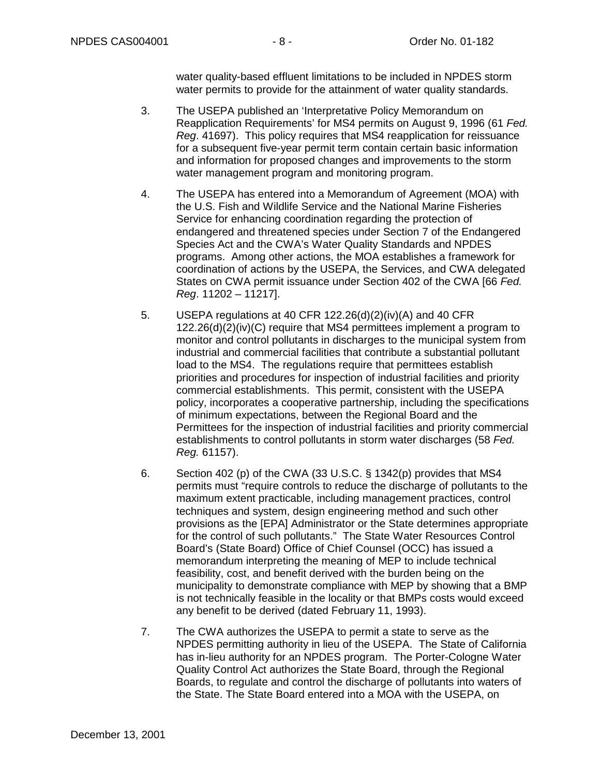water quality-based effluent limitations to be included in NPDES storm water permits to provide for the attainment of water quality standards.

- 3. The USEPA published an 'Interpretative Policy Memorandum on Reapplication Requirements' for MS4 permits on August 9, 1996 (61 *Fed. Reg*. 41697). This policy requires that MS4 reapplication for reissuance for a subsequent five-year permit term contain certain basic information and information for proposed changes and improvements to the storm water management program and monitoring program.
- 4. The USEPA has entered into a Memorandum of Agreement (MOA) with the U.S. Fish and Wildlife Service and the National Marine Fisheries Service for enhancing coordination regarding the protection of endangered and threatened species under Section 7 of the Endangered Species Act and the CWA's Water Quality Standards and NPDES programs. Among other actions, the MOA establishes a framework for coordination of actions by the USEPA, the Services, and CWA delegated States on CWA permit issuance under Section 402 of the CWA [66 *Fed. Reg*. 11202 – 11217].
- 5. USEPA regulations at 40 CFR 122.26(d)(2)(iv)(A) and 40 CFR 122.26(d)(2)(iv)(C) require that MS4 permittees implement a program to monitor and control pollutants in discharges to the municipal system from industrial and commercial facilities that contribute a substantial pollutant load to the MS4. The regulations require that permittees establish priorities and procedures for inspection of industrial facilities and priority commercial establishments. This permit, consistent with the USEPA policy, incorporates a cooperative partnership, including the specifications of minimum expectations, between the Regional Board and the Permittees for the inspection of industrial facilities and priority commercial establishments to control pollutants in storm water discharges (58 *Fed. Reg.* 61157).
- 6. Section 402 (p) of the CWA (33 U.S.C. § 1342(p) provides that MS4 permits must "require controls to reduce the discharge of pollutants to the maximum extent practicable, including management practices, control techniques and system, design engineering method and such other provisions as the [EPA] Administrator or the State determines appropriate for the control of such pollutants." The State Water Resources Control Board's (State Board) Office of Chief Counsel (OCC) has issued a memorandum interpreting the meaning of MEP to include technical feasibility, cost, and benefit derived with the burden being on the municipality to demonstrate compliance with MEP by showing that a BMP is not technically feasible in the locality or that BMPs costs would exceed any benefit to be derived (dated February 11, 1993).
- 7. The CWA authorizes the USEPA to permit a state to serve as the NPDES permitting authority in lieu of the USEPA. The State of California has in-lieu authority for an NPDES program. The Porter-Cologne Water Quality Control Act authorizes the State Board, through the Regional Boards, to regulate and control the discharge of pollutants into waters of the State. The State Board entered into a MOA with the USEPA, on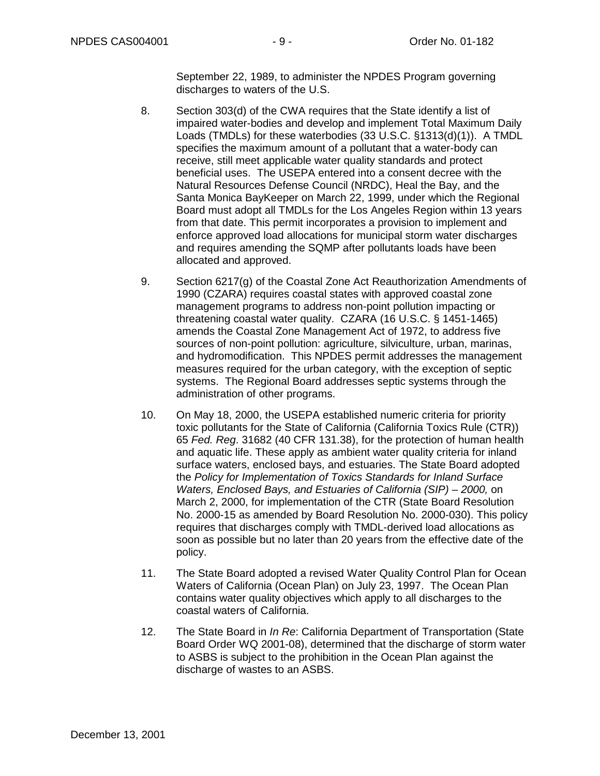September 22, 1989, to administer the NPDES Program governing discharges to waters of the U.S.

- 8. Section 303(d) of the CWA requires that the State identify a list of impaired water-bodies and develop and implement Total Maximum Daily Loads (TMDLs) for these waterbodies (33 U.S.C. §1313(d)(1)). A TMDL specifies the maximum amount of a pollutant that a water-body can receive, still meet applicable water quality standards and protect beneficial uses. The USEPA entered into a consent decree with the Natural Resources Defense Council (NRDC), Heal the Bay, and the Santa Monica BayKeeper on March 22, 1999, under which the Regional Board must adopt all TMDLs for the Los Angeles Region within 13 years from that date. This permit incorporates a provision to implement and enforce approved load allocations for municipal storm water discharges and requires amending the SQMP after pollutants loads have been allocated and approved.
- 9. Section 6217(g) of the Coastal Zone Act Reauthorization Amendments of 1990 (CZARA) requires coastal states with approved coastal zone management programs to address non-point pollution impacting or threatening coastal water quality. CZARA (16 U.S.C. § 1451-1465) amends the Coastal Zone Management Act of 1972, to address five sources of non-point pollution: agriculture, silviculture, urban, marinas, and hydromodification. This NPDES permit addresses the management measures required for the urban category, with the exception of septic systems. The Regional Board addresses septic systems through the administration of other programs.
- 10. On May 18, 2000, the USEPA established numeric criteria for priority toxic pollutants for the State of California (California Toxics Rule (CTR)) 65 *Fed. Reg*. 31682 (40 CFR 131.38), for the protection of human health and aquatic life. These apply as ambient water quality criteria for inland surface waters, enclosed bays, and estuaries. The State Board adopted the *Policy for Implementation of Toxics Standards for Inland Surface Waters, Enclosed Bays, and Estuaries of California (SIP) – 2000,* on March 2, 2000, for implementation of the CTR (State Board Resolution No. 2000-15 as amended by Board Resolution No. 2000-030). This policy requires that discharges comply with TMDL-derived load allocations as soon as possible but no later than 20 years from the effective date of the policy.
- 11. The State Board adopted a revised Water Quality Control Plan for Ocean Waters of California (Ocean Plan) on July 23, 1997. The Ocean Plan contains water quality objectives which apply to all discharges to the coastal waters of California.
- 12. The State Board in *In Re*: California Department of Transportation (State Board Order WQ 2001-08), determined that the discharge of storm water to ASBS is subject to the prohibition in the Ocean Plan against the discharge of wastes to an ASBS.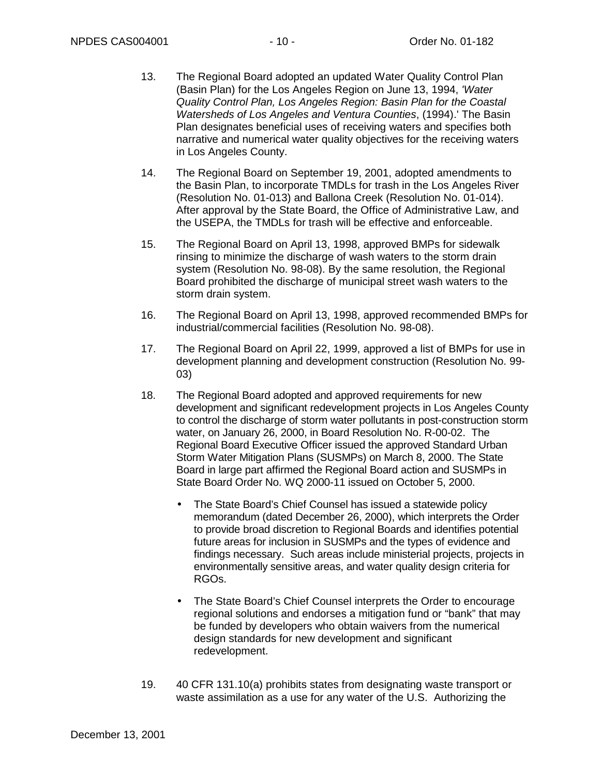- 13. The Regional Board adopted an updated Water Quality Control Plan (Basin Plan) for the Los Angeles Region on June 13, 1994, *'Water Quality Control Plan, Los Angeles Region: Basin Plan for the Coastal Watersheds of Los Angeles and Ventura Counties*, (1994).' The Basin Plan designates beneficial uses of receiving waters and specifies both narrative and numerical water quality objectives for the receiving waters in Los Angeles County.
- 14. The Regional Board on September 19, 2001, adopted amendments to the Basin Plan, to incorporate TMDLs for trash in the Los Angeles River (Resolution No. 01-013) and Ballona Creek (Resolution No. 01-014). After approval by the State Board, the Office of Administrative Law, and the USEPA, the TMDLs for trash will be effective and enforceable.
- 15. The Regional Board on April 13, 1998, approved BMPs for sidewalk rinsing to minimize the discharge of wash waters to the storm drain system (Resolution No. 98-08). By the same resolution, the Regional Board prohibited the discharge of municipal street wash waters to the storm drain system.
- 16. The Regional Board on April 13, 1998, approved recommended BMPs for industrial/commercial facilities (Resolution No. 98-08).
- 17. The Regional Board on April 22, 1999, approved a list of BMPs for use in development planning and development construction (Resolution No. 99- 03)
- 18. The Regional Board adopted and approved requirements for new development and significant redevelopment projects in Los Angeles County to control the discharge of storm water pollutants in post-construction storm water, on January 26, 2000, in Board Resolution No. R-00-02. The Regional Board Executive Officer issued the approved Standard Urban Storm Water Mitigation Plans (SUSMPs) on March 8, 2000. The State Board in large part affirmed the Regional Board action and SUSMPs in State Board Order No. WQ 2000-11 issued on October 5, 2000.
	- The State Board's Chief Counsel has issued a statewide policy memorandum (dated December 26, 2000), which interprets the Order to provide broad discretion to Regional Boards and identifies potential future areas for inclusion in SUSMPs and the types of evidence and findings necessary. Such areas include ministerial projects, projects in environmentally sensitive areas, and water quality design criteria for RGOs.
	- The State Board's Chief Counsel interprets the Order to encourage regional solutions and endorses a mitigation fund or "bank" that may be funded by developers who obtain waivers from the numerical design standards for new development and significant redevelopment.
- 19. 40 CFR 131.10(a) prohibits states from designating waste transport or waste assimilation as a use for any water of the U.S. Authorizing the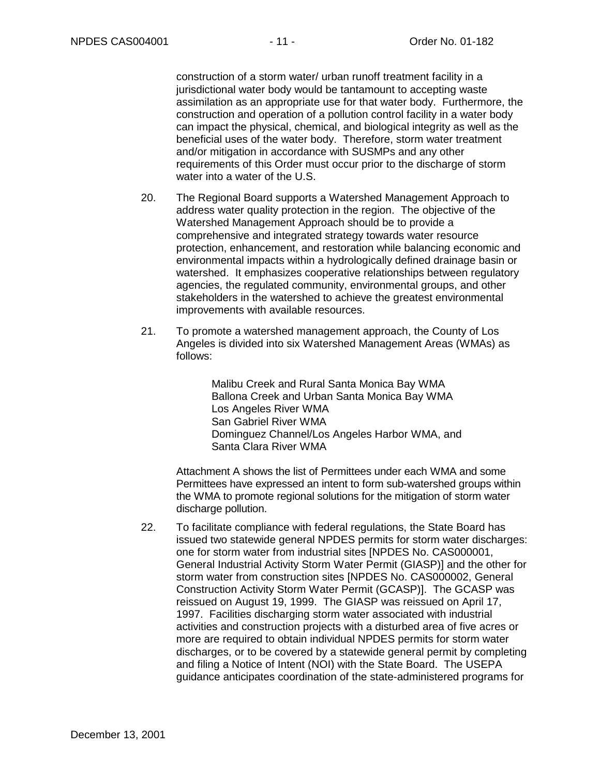construction of a storm water/ urban runoff treatment facility in a jurisdictional water body would be tantamount to accepting waste assimilation as an appropriate use for that water body. Furthermore, the construction and operation of a pollution control facility in a water body can impact the physical, chemical, and biological integrity as well as the beneficial uses of the water body. Therefore, storm water treatment and/or mitigation in accordance with SUSMPs and any other requirements of this Order must occur prior to the discharge of storm water into a water of the U.S.

- 20. The Regional Board supports a Watershed Management Approach to address water quality protection in the region. The objective of the Watershed Management Approach should be to provide a comprehensive and integrated strategy towards water resource protection, enhancement, and restoration while balancing economic and environmental impacts within a hydrologically defined drainage basin or watershed. It emphasizes cooperative relationships between regulatory agencies, the regulated community, environmental groups, and other stakeholders in the watershed to achieve the greatest environmental improvements with available resources.
- 21. To promote a watershed management approach, the County of Los Angeles is divided into six Watershed Management Areas (WMAs) as follows:

Malibu Creek and Rural Santa Monica Bay WMA Ballona Creek and Urban Santa Monica Bay WMA Los Angeles River WMA San Gabriel River WMA Dominguez Channel/Los Angeles Harbor WMA, and Santa Clara River WMA

Attachment A shows the list of Permittees under each WMA and some Permittees have expressed an intent to form sub-watershed groups within the WMA to promote regional solutions for the mitigation of storm water discharge pollution.

22. To facilitate compliance with federal regulations, the State Board has issued two statewide general NPDES permits for storm water discharges: one for storm water from industrial sites [NPDES No. CAS000001, General Industrial Activity Storm Water Permit (GIASP)] and the other for storm water from construction sites [NPDES No. CAS000002, General Construction Activity Storm Water Permit (GCASP)]. The GCASP was reissued on August 19, 1999. The GIASP was reissued on April 17, 1997. Facilities discharging storm water associated with industrial activities and construction projects with a disturbed area of five acres or more are required to obtain individual NPDES permits for storm water discharges, or to be covered by a statewide general permit by completing and filing a Notice of Intent (NOI) with the State Board. The USEPA guidance anticipates coordination of the state-administered programs for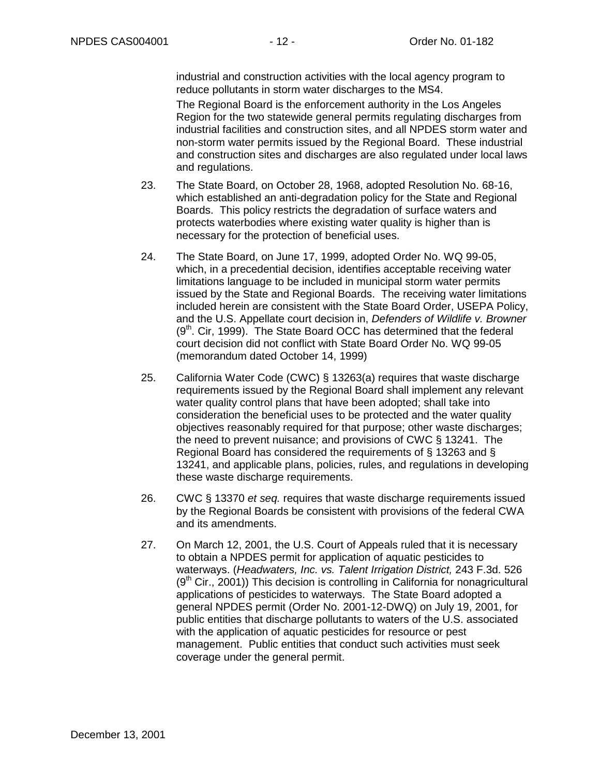industrial and construction activities with the local agency program to reduce pollutants in storm water discharges to the MS4.

The Regional Board is the enforcement authority in the Los Angeles Region for the two statewide general permits regulating discharges from industrial facilities and construction sites, and all NPDES storm water and non-storm water permits issued by the Regional Board. These industrial and construction sites and discharges are also regulated under local laws and regulations.

- 23. The State Board, on October 28, 1968, adopted Resolution No. 68-16, which established an anti-degradation policy for the State and Regional Boards. This policy restricts the degradation of surface waters and protects waterbodies where existing water quality is higher than is necessary for the protection of beneficial uses.
- 24. The State Board, on June 17, 1999, adopted Order No. WQ 99-05, which, in a precedential decision, identifies acceptable receiving water limitations language to be included in municipal storm water permits issued by the State and Regional Boards. The receiving water limitations included herein are consistent with the State Board Order, USEPA Policy, and the U.S. Appellate court decision in, *Defenders of Wildlife v. Browner*  $(9<sup>th</sup>)$ . Cir, 1999). The State Board OCC has determined that the federal court decision did not conflict with State Board Order No. WQ 99-05 (memorandum dated October 14, 1999)
- 25. California Water Code (CWC) § 13263(a) requires that waste discharge requirements issued by the Regional Board shall implement any relevant water quality control plans that have been adopted; shall take into consideration the beneficial uses to be protected and the water quality objectives reasonably required for that purpose; other waste discharges; the need to prevent nuisance; and provisions of CWC § 13241. The Regional Board has considered the requirements of § 13263 and § 13241, and applicable plans, policies, rules, and regulations in developing these waste discharge requirements.
- 26. CWC § 13370 *et seq.* requires that waste discharge requirements issued by the Regional Boards be consistent with provisions of the federal CWA and its amendments.
- 27. On March 12, 2001, the U.S. Court of Appeals ruled that it is necessary to obtain a NPDES permit for application of aquatic pesticides to waterways. (*Headwaters, Inc. vs. Talent Irrigation District,* 243 F.3d. 526  $(9<sup>th</sup> Cir., 2001)$ ) This decision is controlling in California for nonagricultural applications of pesticides to waterways. The State Board adopted a general NPDES permit (Order No. 2001-12-DWQ) on July 19, 2001, for public entities that discharge pollutants to waters of the U.S. associated with the application of aquatic pesticides for resource or pest management. Public entities that conduct such activities must seek coverage under the general permit.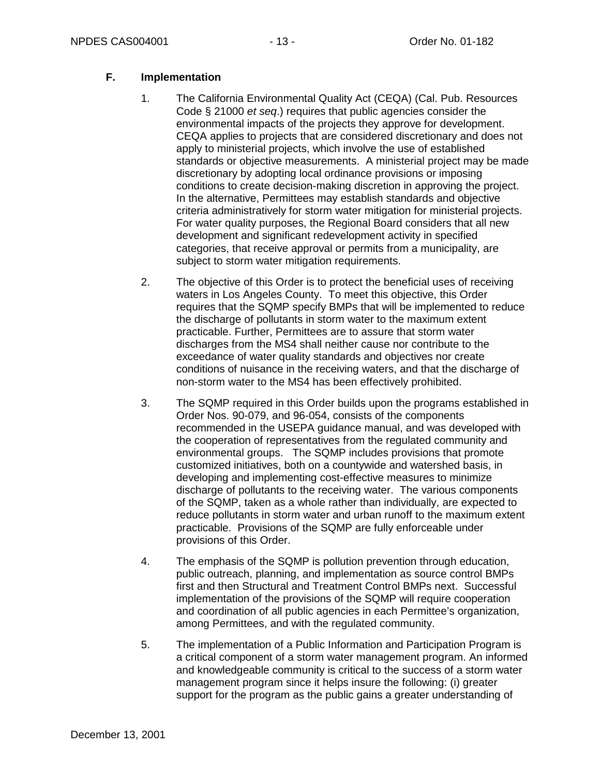## <span id="page-14-0"></span>**F. Implementation**

- 1. The California Environmental Quality Act (CEQA) (Cal. Pub. Resources Code § 21000 *et seq*.) requires that public agencies consider the environmental impacts of the projects they approve for development. CEQA applies to projects that are considered discretionary and does not apply to ministerial projects, which involve the use of established standards or objective measurements. A ministerial project may be made discretionary by adopting local ordinance provisions or imposing conditions to create decision-making discretion in approving the project. In the alternative, Permittees may establish standards and objective criteria administratively for storm water mitigation for ministerial projects. For water quality purposes, the Regional Board considers that all new development and significant redevelopment activity in specified categories, that receive approval or permits from a municipality, are subject to storm water mitigation requirements.
- 2. The objective of this Order is to protect the beneficial uses of receiving waters in Los Angeles County. To meet this objective, this Order requires that the SQMP specify BMPs that will be implemented to reduce the discharge of pollutants in storm water to the maximum extent practicable. Further, Permittees are to assure that storm water discharges from the MS4 shall neither cause nor contribute to the exceedance of water quality standards and objectives nor create conditions of nuisance in the receiving waters, and that the discharge of non-storm water to the MS4 has been effectively prohibited.
- 3. The SQMP required in this Order builds upon the programs established in Order Nos. 90-079, and 96-054, consists of the components recommended in the USEPA guidance manual, and was developed with the cooperation of representatives from the regulated community and environmental groups. The SQMP includes provisions that promote customized initiatives, both on a countywide and watershed basis, in developing and implementing cost-effective measures to minimize discharge of pollutants to the receiving water. The various components of the SQMP, taken as a whole rather than individually, are expected to reduce pollutants in storm water and urban runoff to the maximum extent practicable. Provisions of the SQMP are fully enforceable under provisions of this Order.
- 4. The emphasis of the SQMP is pollution prevention through education, public outreach, planning, and implementation as source control BMPs first and then Structural and Treatment Control BMPs next. Successful implementation of the provisions of the SQMP will require cooperation and coordination of all public agencies in each Permittee's organization, among Permittees, and with the regulated community.
- 5. The implementation of a Public Information and Participation Program is a critical component of a storm water management program. An informed and knowledgeable community is critical to the success of a storm water management program since it helps insure the following: (i) greater support for the program as the public gains a greater understanding of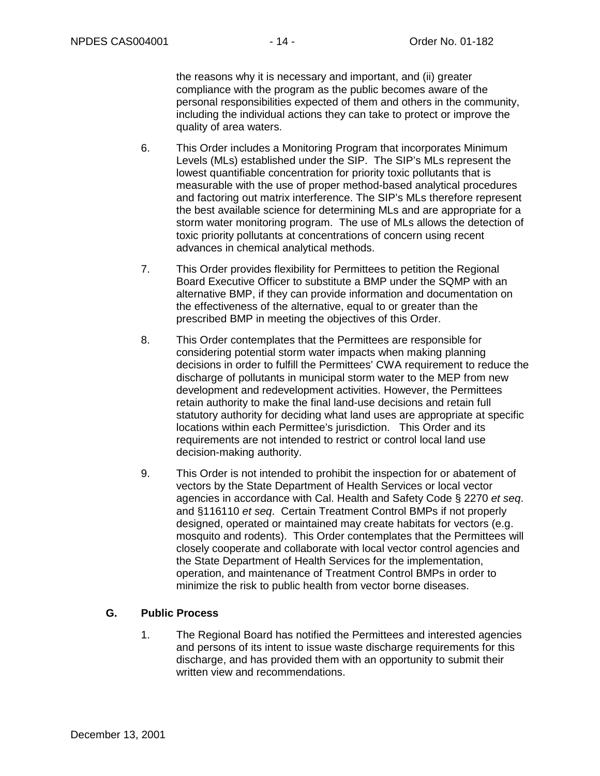<span id="page-15-0"></span>the reasons why it is necessary and important, and (ii) greater compliance with the program as the public becomes aware of the personal responsibilities expected of them and others in the community, including the individual actions they can take to protect or improve the quality of area waters.

- 6. This Order includes a Monitoring Program that incorporates Minimum Levels (MLs) established under the SIP. The SIP's MLs represent the lowest quantifiable concentration for priority toxic pollutants that is measurable with the use of proper method-based analytical procedures and factoring out matrix interference. The SIP's MLs therefore represent the best available science for determining MLs and are appropriate for a storm water monitoring program. The use of MLs allows the detection of toxic priority pollutants at concentrations of concern using recent advances in chemical analytical methods.
- 7. This Order provides flexibility for Permittees to petition the Regional Board Executive Officer to substitute a BMP under the SQMP with an alternative BMP, if they can provide information and documentation on the effectiveness of the alternative, equal to or greater than the prescribed BMP in meeting the objectives of this Order.
- 8. This Order contemplates that the Permittees are responsible for considering potential storm water impacts when making planning decisions in order to fulfill the Permittees' CWA requirement to reduce the discharge of pollutants in municipal storm water to the MEP from new development and redevelopment activities. However, the Permittees retain authority to make the final land-use decisions and retain full statutory authority for deciding what land uses are appropriate at specific locations within each Permittee's jurisdiction. This Order and its requirements are not intended to restrict or control local land use decision-making authority.
- 9. This Order is not intended to prohibit the inspection for or abatement of vectors by the State Department of Health Services or local vector agencies in accordance with Cal. Health and Safety Code § 2270 *et seq*. and §116110 *et seq*. Certain Treatment Control BMPs if not properly designed, operated or maintained may create habitats for vectors (e.g. mosquito and rodents). This Order contemplates that the Permittees will closely cooperate and collaborate with local vector control agencies and the State Department of Health Services for the implementation, operation, and maintenance of Treatment Control BMPs in order to minimize the risk to public health from vector borne diseases.

# **G. Public Process**

1. The Regional Board has notified the Permittees and interested agencies and persons of its intent to issue waste discharge requirements for this discharge, and has provided them with an opportunity to submit their written view and recommendations.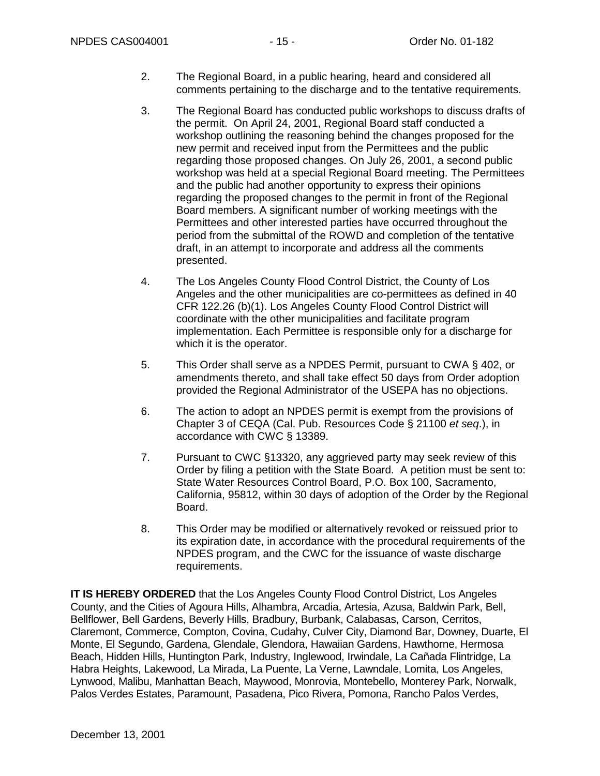- 2. The Regional Board, in a public hearing, heard and considered all comments pertaining to the discharge and to the tentative requirements.
- 3. The Regional Board has conducted public workshops to discuss drafts of the permit. On April 24, 2001, Regional Board staff conducted a workshop outlining the reasoning behind the changes proposed for the new permit and received input from the Permittees and the public regarding those proposed changes. On July 26, 2001, a second public workshop was held at a special Regional Board meeting. The Permittees and the public had another opportunity to express their opinions regarding the proposed changes to the permit in front of the Regional Board members. A significant number of working meetings with the Permittees and other interested parties have occurred throughout the period from the submittal of the ROWD and completion of the tentative draft, in an attempt to incorporate and address all the comments presented.
- 4. The Los Angeles County Flood Control District, the County of Los Angeles and the other municipalities are co-permittees as defined in 40 CFR 122.26 (b)(1). Los Angeles County Flood Control District will coordinate with the other municipalities and facilitate program implementation. Each Permittee is responsible only for a discharge for which it is the operator.
- 5. This Order shall serve as a NPDES Permit, pursuant to CWA § 402, or amendments thereto, and shall take effect 50 days from Order adoption provided the Regional Administrator of the USEPA has no objections.
- 6. The action to adopt an NPDES permit is exempt from the provisions of Chapter 3 of CEQA (Cal. Pub. Resources Code § 21100 *et seq*.), in accordance with CWC § 13389.
- 7. Pursuant to CWC §13320, any aggrieved party may seek review of this Order by filing a petition with the State Board. A petition must be sent to: State Water Resources Control Board, P.O. Box 100, Sacramento, California, 95812, within 30 days of adoption of the Order by the Regional Board.
- 8. This Order may be modified or alternatively revoked or reissued prior to its expiration date, in accordance with the procedural requirements of the NPDES program, and the CWC for the issuance of waste discharge requirements.

**IT IS HEREBY ORDERED** that the Los Angeles County Flood Control District, Los Angeles County, and the Cities of Agoura Hills, Alhambra, Arcadia, Artesia, Azusa, Baldwin Park, Bell, Bellflower, Bell Gardens, Beverly Hills, Bradbury, Burbank, Calabasas, Carson, Cerritos, Claremont, Commerce, Compton, Covina, Cudahy, Culver City, Diamond Bar, Downey, Duarte, El Monte, El Segundo, Gardena, Glendale, Glendora, Hawaiian Gardens, Hawthorne, Hermosa Beach, Hidden Hills, Huntington Park, Industry, Inglewood, Irwindale, La Cañada Flintridge, La Habra Heights, Lakewood, La Mirada, La Puente, La Verne, Lawndale, Lomita, Los Angeles, Lynwood, Malibu, Manhattan Beach, Maywood, Monrovia, Montebello, Monterey Park, Norwalk, Palos Verdes Estates, Paramount, Pasadena, Pico Rivera, Pomona, Rancho Palos Verdes,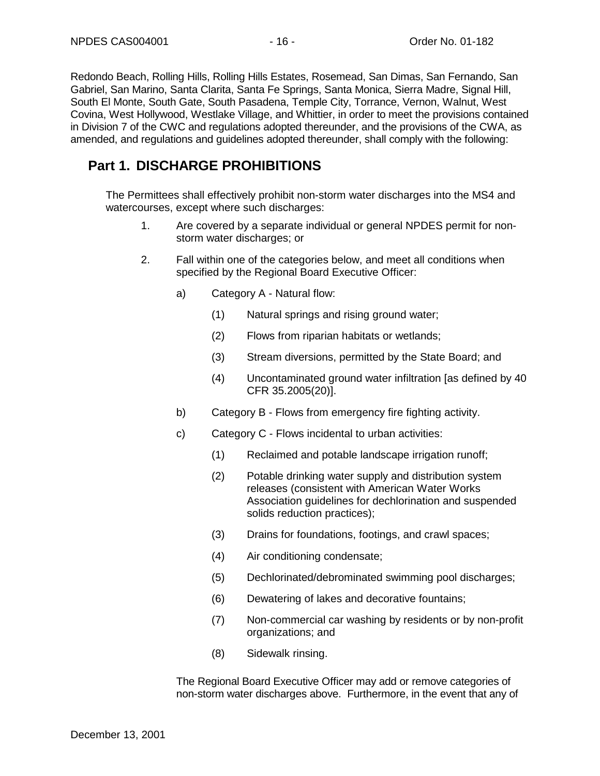<span id="page-17-0"></span>Redondo Beach, Rolling Hills, Rolling Hills Estates, Rosemead, San Dimas, San Fernando, San Gabriel, San Marino, Santa Clarita, Santa Fe Springs, Santa Monica, Sierra Madre, Signal Hill, South El Monte, South Gate, South Pasadena, Temple City, Torrance, Vernon, Walnut, West Covina, West Hollywood, Westlake Village, and Whittier, in order to meet the provisions contained in Division 7 of the CWC and regulations adopted thereunder, and the provisions of the CWA, as amended, and regulations and guidelines adopted thereunder, shall comply with the following:

# **Part 1. DISCHARGE PROHIBITIONS**

The Permittees shall effectively prohibit non-storm water discharges into the MS4 and watercourses, except where such discharges:

- 1. Are covered by a separate individual or general NPDES permit for nonstorm water discharges; or
- 2. Fall within one of the categories below, and meet all conditions when specified by the Regional Board Executive Officer:
	- a) Category A Natural flow:
		- (1) Natural springs and rising ground water;
		- (2) Flows from riparian habitats or wetlands;
		- (3) Stream diversions, permitted by the State Board; and
		- (4) Uncontaminated ground water infiltration [as defined by 40 CFR 35.2005(20)].
	- b) Category B Flows from emergency fire fighting activity.
	- c) Category C Flows incidental to urban activities:
		- (1) Reclaimed and potable landscape irrigation runoff;
		- (2) Potable drinking water supply and distribution system releases (consistent with American Water Works Association guidelines for dechlorination and suspended solids reduction practices);
		- (3) Drains for foundations, footings, and crawl spaces;
		- (4) Air conditioning condensate;
		- (5) Dechlorinated/debrominated swimming pool discharges;
		- (6) Dewatering of lakes and decorative fountains;
		- (7) Non-commercial car washing by residents or by non-profit organizations; and
		- (8) Sidewalk rinsing.

The Regional Board Executive Officer may add or remove categories of non-storm water discharges above. Furthermore, in the event that any of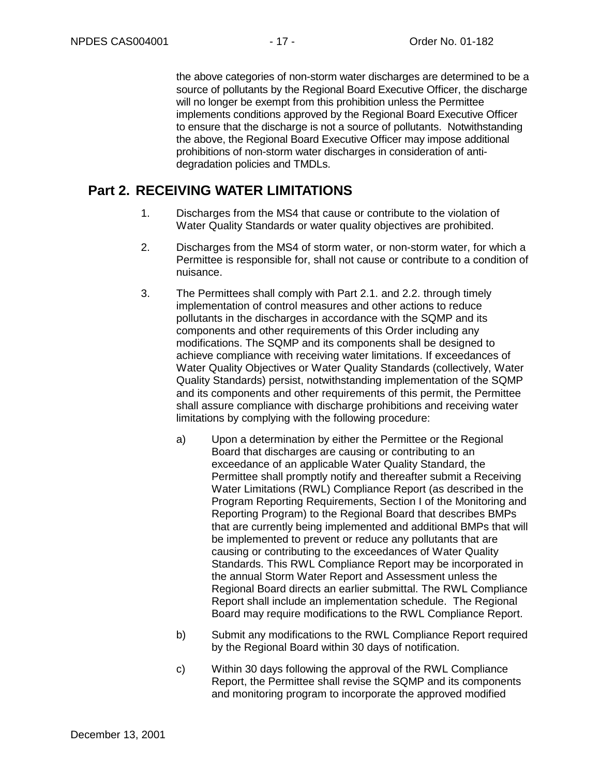<span id="page-18-0"></span>the above categories of non-storm water discharges are determined to be a source of pollutants by the Regional Board Executive Officer, the discharge will no longer be exempt from this prohibition unless the Permittee implements conditions approved by the Regional Board Executive Officer to ensure that the discharge is not a source of pollutants. Notwithstanding the above, the Regional Board Executive Officer may impose additional prohibitions of non-storm water discharges in consideration of antidegradation policies and TMDLs.

# **Part 2. RECEIVING WATER LIMITATIONS**

- 1. Discharges from the MS4 that cause or contribute to the violation of Water Quality Standards or water quality objectives are prohibited.
- 2. Discharges from the MS4 of storm water, or non-storm water, for which a Permittee is responsible for, shall not cause or contribute to a condition of nuisance.
- 3. The Permittees shall comply with Part 2.1. and 2.2. through timely implementation of control measures and other actions to reduce pollutants in the discharges in accordance with the SQMP and its components and other requirements of this Order including any modifications. The SQMP and its components shall be designed to achieve compliance with receiving water limitations. If exceedances of Water Quality Objectives or Water Quality Standards (collectively, Water Quality Standards) persist, notwithstanding implementation of the SQMP and its components and other requirements of this permit, the Permittee shall assure compliance with discharge prohibitions and receiving water limitations by complying with the following procedure:
	- a) Upon a determination by either the Permittee or the Regional Board that discharges are causing or contributing to an exceedance of an applicable Water Quality Standard, the Permittee shall promptly notify and thereafter submit a Receiving Water Limitations (RWL) Compliance Report (as described in the Program Reporting Requirements, Section I of the Monitoring and Reporting Program) to the Regional Board that describes BMPs that are currently being implemented and additional BMPs that will be implemented to prevent or reduce any pollutants that are causing or contributing to the exceedances of Water Quality Standards. This RWL Compliance Report may be incorporated in the annual Storm Water Report and Assessment unless the Regional Board directs an earlier submittal. The RWL Compliance Report shall include an implementation schedule. The Regional Board may require modifications to the RWL Compliance Report.
	- b) Submit any modifications to the RWL Compliance Report required by the Regional Board within 30 days of notification.
	- c) Within 30 days following the approval of the RWL Compliance Report, the Permittee shall revise the SQMP and its components and monitoring program to incorporate the approved modified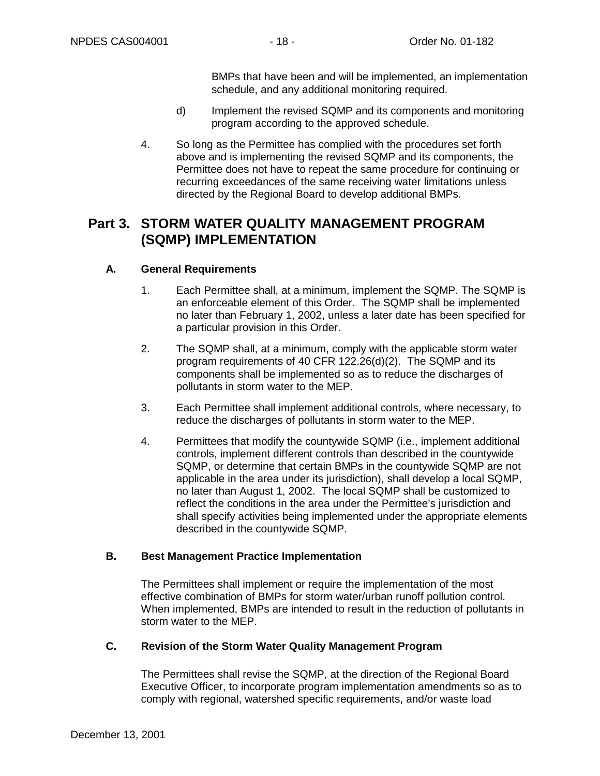BMPs that have been and will be implemented, an implementation schedule, and any additional monitoring required.

- d) Implement the revised SQMP and its components and monitoring program according to the approved schedule.
- <span id="page-19-0"></span>4. So long as the Permittee has complied with the procedures set forth above and is implementing the revised SQMP and its components, the Permittee does not have to repeat the same procedure for continuing or recurring exceedances of the same receiving water limitations unless directed by the Regional Board to develop additional BMPs.

# **Part 3. STORM WATER QUALITY MANAGEMENT PROGRAM (SQMP) IMPLEMENTATION**

## **A. General Requirements**

- 1. Each Permittee shall, at a minimum, implement the SQMP. The SQMP is an enforceable element of this Order. The SQMP shall be implemented no later than February 1, 2002, unless a later date has been specified for a particular provision in this Order.
- 2. The SQMP shall, at a minimum, comply with the applicable storm water program requirements of 40 CFR 122.26(d)(2). The SQMP and its components shall be implemented so as to reduce the discharges of pollutants in storm water to the MEP.
- 3. Each Permittee shall implement additional controls, where necessary, to reduce the discharges of pollutants in storm water to the MEP.
- 4. Permittees that modify the countywide SQMP (i.e., implement additional controls, implement different controls than described in the countywide SQMP, or determine that certain BMPs in the countywide SQMP are not applicable in the area under its jurisdiction), shall develop a local SQMP, no later than August 1, 2002. The local SQMP shall be customized to reflect the conditions in the area under the Permittee's jurisdiction and shall specify activities being implemented under the appropriate elements described in the countywide SQMP.

## **B. Best Management Practice Implementation**

The Permittees shall implement or require the implementation of the most effective combination of BMPs for storm water/urban runoff pollution control. When implemented, BMPs are intended to result in the reduction of pollutants in storm water to the MEP.

## **C. Revision of the Storm Water Quality Management Program**

The Permittees shall revise the SQMP, at the direction of the Regional Board Executive Officer, to incorporate program implementation amendments so as to comply with regional, watershed specific requirements, and/or waste load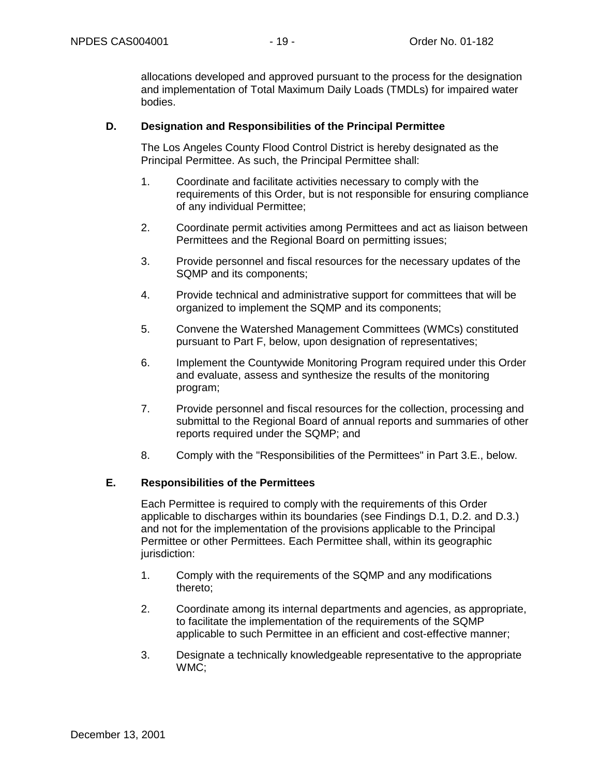<span id="page-20-0"></span>allocations developed and approved pursuant to the process for the designation and implementation of Total Maximum Daily Loads (TMDLs) for impaired water bodies.

#### **D. Designation and Responsibilities of the Principal Permittee**

The Los Angeles County Flood Control District is hereby designated as the Principal Permittee. As such, the Principal Permittee shall:

- 1. Coordinate and facilitate activities necessary to comply with the requirements of this Order, but is not responsible for ensuring compliance of any individual Permittee;
- 2. Coordinate permit activities among Permittees and act as liaison between Permittees and the Regional Board on permitting issues;
- 3. Provide personnel and fiscal resources for the necessary updates of the SQMP and its components;
- 4. Provide technical and administrative support for committees that will be organized to implement the SQMP and its components;
- 5. Convene the Watershed Management Committees (WMCs) constituted pursuant to Part F, below, upon designation of representatives;
- 6. Implement the Countywide Monitoring Program required under this Order and evaluate, assess and synthesize the results of the monitoring program;
- 7. Provide personnel and fiscal resources for the collection, processing and submittal to the Regional Board of annual reports and summaries of other reports required under the SQMP; and
- 8. Comply with the "Responsibilities of the Permittees" in Part 3.E., below.

#### **E. Responsibilities of the Permittees**

Each Permittee is required to comply with the requirements of this Order applicable to discharges within its boundaries (see Findings D.1, D.2. and D.3.) and not for the implementation of the provisions applicable to the Principal Permittee or other Permittees. Each Permittee shall, within its geographic jurisdiction:

- 1. Comply with the requirements of the SQMP and any modifications thereto;
- 2. Coordinate among its internal departments and agencies, as appropriate, to facilitate the implementation of the requirements of the SQMP applicable to such Permittee in an efficient and cost-effective manner;
- 3. Designate a technically knowledgeable representative to the appropriate WMC;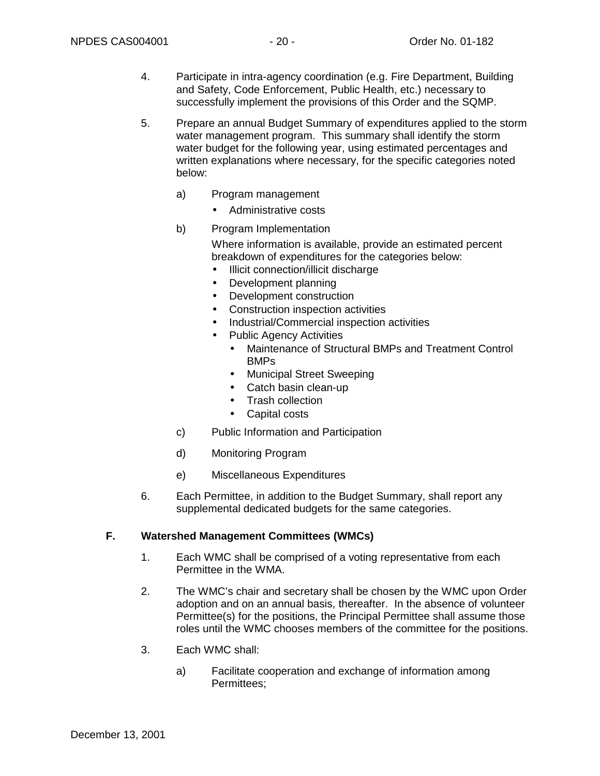- <span id="page-21-0"></span>4. Participate in intra-agency coordination (e.g. Fire Department, Building and Safety, Code Enforcement, Public Health, etc.) necessary to successfully implement the provisions of this Order and the SQMP.
- 5. Prepare an annual Budget Summary of expenditures applied to the storm water management program. This summary shall identify the storm water budget for the following year, using estimated percentages and written explanations where necessary, for the specific categories noted below:
	- a) Program management
		- Administrative costs
	- b) Program Implementation

Where information is available, provide an estimated percent breakdown of expenditures for the categories below:

- Illicit connection/illicit discharge
- Development planning
- Development construction
- Construction inspection activities
- Industrial/Commercial inspection activities
- Public Agency Activities
	- Maintenance of Structural BMPs and Treatment Control BMPs
	- Municipal Street Sweeping
	- Catch basin clean-up
	- Trash collection
	- Capital costs
- c) Public Information and Participation
- d) Monitoring Program
- e) Miscellaneous Expenditures
- 6. Each Permittee, in addition to the Budget Summary, shall report any supplemental dedicated budgets for the same categories.

#### **F. Watershed Management Committees (WMCs)**

- 1. Each WMC shall be comprised of a voting representative from each Permittee in the WMA.
- 2. The WMC's chair and secretary shall be chosen by the WMC upon Order adoption and on an annual basis, thereafter. In the absence of volunteer Permittee(s) for the positions, the Principal Permittee shall assume those roles until the WMC chooses members of the committee for the positions.
- 3. Each WMC shall:
	- a) Facilitate cooperation and exchange of information among Permittees;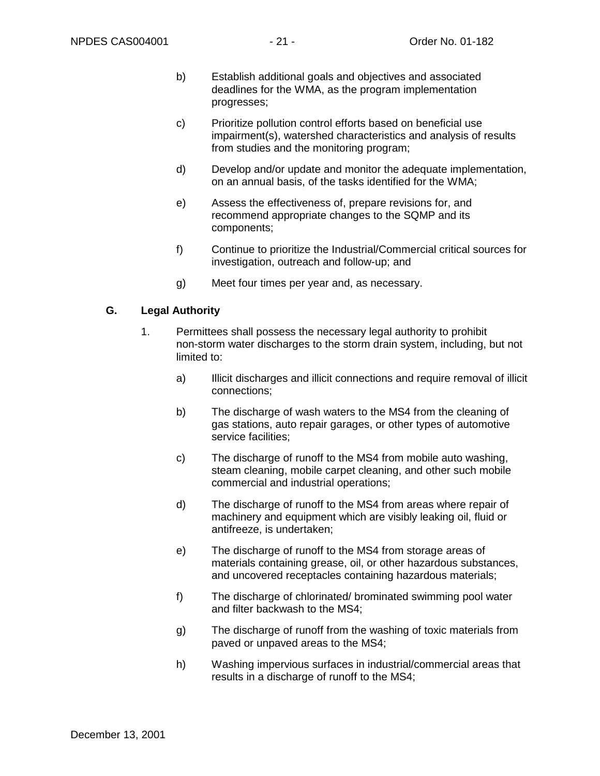- <span id="page-22-0"></span>b) Establish additional goals and objectives and associated deadlines for the WMA, as the program implementation progresses;
- c) Prioritize pollution control efforts based on beneficial use impairment(s), watershed characteristics and analysis of results from studies and the monitoring program;
- d) Develop and/or update and monitor the adequate implementation, on an annual basis, of the tasks identified for the WMA;
- e) Assess the effectiveness of, prepare revisions for, and recommend appropriate changes to the SQMP and its components;
- f) Continue to prioritize the Industrial/Commercial critical sources for investigation, outreach and follow-up; and
- g) Meet four times per year and, as necessary.

#### **G. Legal Authority**

- 1. Permittees shall possess the necessary legal authority to prohibit non-storm water discharges to the storm drain system, including, but not limited to:
	- a) Illicit discharges and illicit connections and require removal of illicit connections;
	- b) The discharge of wash waters to the MS4 from the cleaning of gas stations, auto repair garages, or other types of automotive service facilities;
	- c) The discharge of runoff to the MS4 from mobile auto washing, steam cleaning, mobile carpet cleaning, and other such mobile commercial and industrial operations;
	- d) The discharge of runoff to the MS4 from areas where repair of machinery and equipment which are visibly leaking oil, fluid or antifreeze, is undertaken;
	- e) The discharge of runoff to the MS4 from storage areas of materials containing grease, oil, or other hazardous substances, and uncovered receptacles containing hazardous materials;
	- f) The discharge of chlorinated/ brominated swimming pool water and filter backwash to the MS4;
	- g) The discharge of runoff from the washing of toxic materials from paved or unpaved areas to the MS4;
	- h) Washing impervious surfaces in industrial/commercial areas that results in a discharge of runoff to the MS4;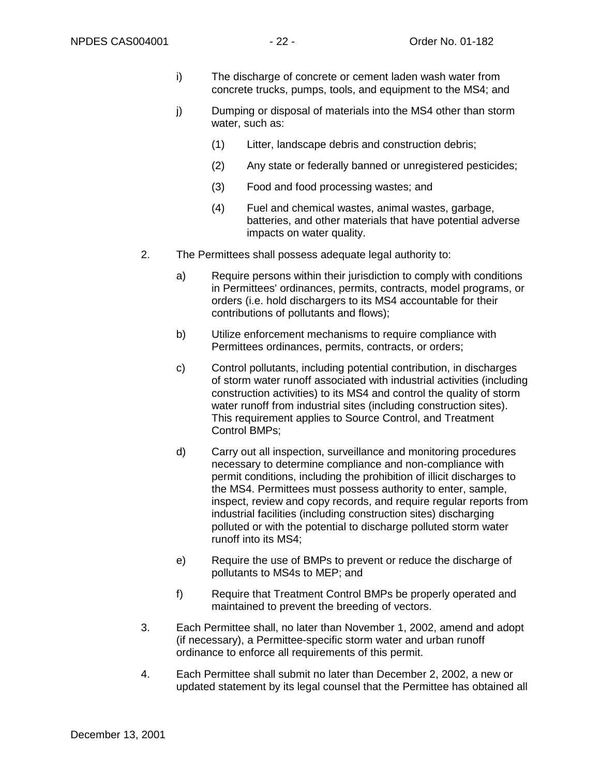- i) The discharge of concrete or cement laden wash water from concrete trucks, pumps, tools, and equipment to the MS4; and
- j) Dumping or disposal of materials into the MS4 other than storm water, such as:
	- (1) Litter, landscape debris and construction debris;
	- (2) Any state or federally banned or unregistered pesticides;
	- (3) Food and food processing wastes; and
	- (4) Fuel and chemical wastes, animal wastes, garbage, batteries, and other materials that have potential adverse impacts on water quality.
- 2. The Permittees shall possess adequate legal authority to:
	- a) Require persons within their jurisdiction to comply with conditions in Permittees' ordinances, permits, contracts, model programs, or orders (i.e. hold dischargers to its MS4 accountable for their contributions of pollutants and flows);
	- b) Utilize enforcement mechanisms to require compliance with Permittees ordinances, permits, contracts, or orders;
	- c) Control pollutants, including potential contribution, in discharges of storm water runoff associated with industrial activities (including construction activities) to its MS4 and control the quality of storm water runoff from industrial sites (including construction sites). This requirement applies to Source Control, and Treatment Control BMPs;
	- d) Carry out all inspection, surveillance and monitoring procedures necessary to determine compliance and non-compliance with permit conditions, including the prohibition of illicit discharges to the MS4. Permittees must possess authority to enter, sample, inspect, review and copy records, and require regular reports from industrial facilities (including construction sites) discharging polluted or with the potential to discharge polluted storm water runoff into its MS4;
	- e) Require the use of BMPs to prevent or reduce the discharge of pollutants to MS4s to MEP; and
	- f) Require that Treatment Control BMPs be properly operated and maintained to prevent the breeding of vectors.
- 3. Each Permittee shall, no later than November 1, 2002, amend and adopt (if necessary), a Permittee-specific storm water and urban runoff ordinance to enforce all requirements of this permit.
- 4. Each Permittee shall submit no later than December 2, 2002, a new or updated statement by its legal counsel that the Permittee has obtained all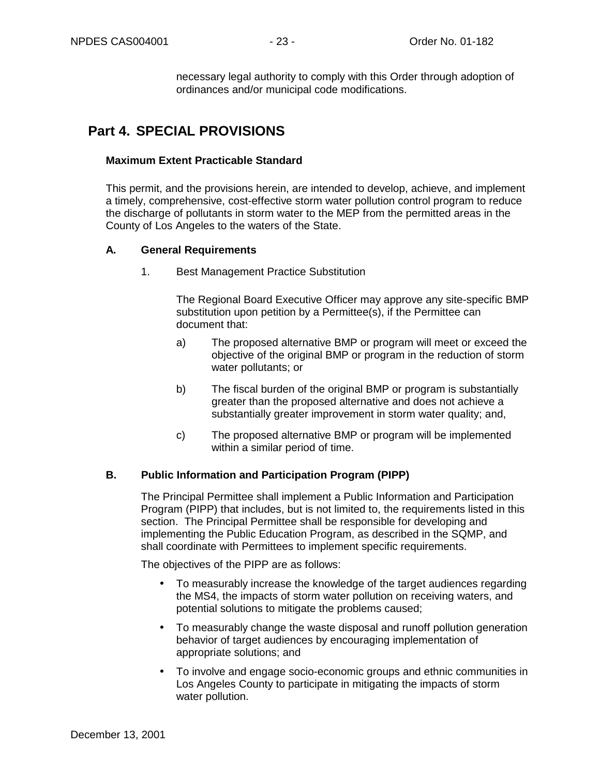necessary legal authority to comply with this Order through adoption of ordinances and/or municipal code modifications.

# <span id="page-24-0"></span>**Part 4. SPECIAL PROVISIONS**

#### **Maximum Extent Practicable Standard**

This permit, and the provisions herein, are intended to develop, achieve, and implement a timely, comprehensive, cost-effective storm water pollution control program to reduce the discharge of pollutants in storm water to the MEP from the permitted areas in the County of Los Angeles to the waters of the State.

#### **A. General Requirements**

1. Best Management Practice Substitution

The Regional Board Executive Officer may approve any site-specific BMP substitution upon petition by a Permittee(s), if the Permittee can document that:

- a) The proposed alternative BMP or program will meet or exceed the objective of the original BMP or program in the reduction of storm water pollutants; or
- b) The fiscal burden of the original BMP or program is substantially greater than the proposed alternative and does not achieve a substantially greater improvement in storm water quality; and,
- c) The proposed alternative BMP or program will be implemented within a similar period of time.

## **B. Public Information and Participation Program (PIPP)**

The Principal Permittee shall implement a Public Information and Participation Program (PIPP) that includes, but is not limited to, the requirements listed in this section. The Principal Permittee shall be responsible for developing and implementing the Public Education Program, as described in the SQMP, and shall coordinate with Permittees to implement specific requirements.

The objectives of the PIPP are as follows:

- To measurably increase the knowledge of the target audiences regarding the MS4, the impacts of storm water pollution on receiving waters, and potential solutions to mitigate the problems caused;
- To measurably change the waste disposal and runoff pollution generation behavior of target audiences by encouraging implementation of appropriate solutions; and
- To involve and engage socio-economic groups and ethnic communities in Los Angeles County to participate in mitigating the impacts of storm water pollution.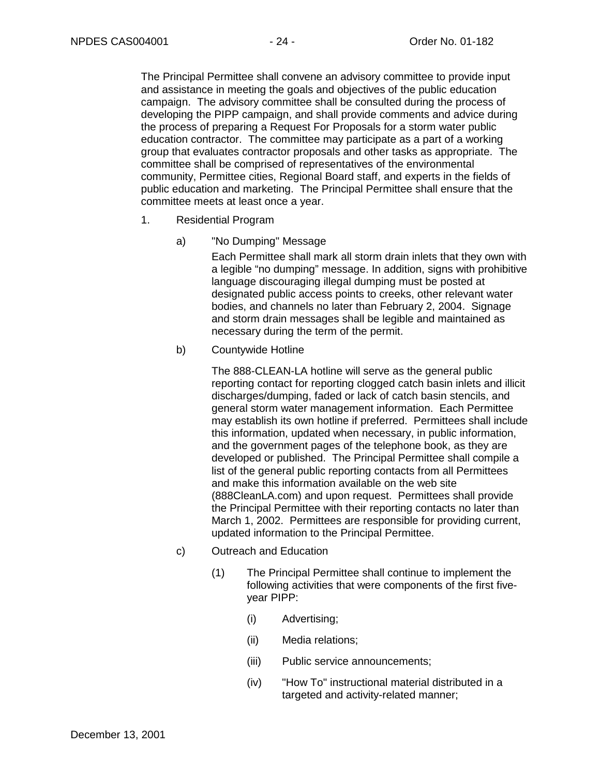The Principal Permittee shall convene an advisory committee to provide input and assistance in meeting the goals and objectives of the public education campaign. The advisory committee shall be consulted during the process of developing the PIPP campaign, and shall provide comments and advice during the process of preparing a Request For Proposals for a storm water public education contractor. The committee may participate as a part of a working group that evaluates contractor proposals and other tasks as appropriate. The committee shall be comprised of representatives of the environmental community, Permittee cities, Regional Board staff, and experts in the fields of public education and marketing. The Principal Permittee shall ensure that the committee meets at least once a year.

- 1. Residential Program
	- a) "No Dumping" Message

Each Permittee shall mark all storm drain inlets that they own with a legible "no dumping" message. In addition, signs with prohibitive language discouraging illegal dumping must be posted at designated public access points to creeks, other relevant water bodies, and channels no later than February 2, 2004. Signage and storm drain messages shall be legible and maintained as necessary during the term of the permit.

b) Countywide Hotline

The 888-CLEAN-LA hotline will serve as the general public reporting contact for reporting clogged catch basin inlets and illicit discharges/dumping, faded or lack of catch basin stencils, and general storm water management information. Each Permittee may establish its own hotline if preferred. Permittees shall include this information, updated when necessary, in public information, and the government pages of the telephone book, as they are developed or published. The Principal Permittee shall compile a list of the general public reporting contacts from all Permittees and make this information available on the web site (888CleanLA.com) and upon request. Permittees shall provide the Principal Permittee with their reporting contacts no later than March 1, 2002. Permittees are responsible for providing current, updated information to the Principal Permittee.

- c) Outreach and Education
	- (1) The Principal Permittee shall continue to implement the following activities that were components of the first fiveyear PIPP:
		- (i) Advertising;
		- (ii) Media relations;
		- (iii) Public service announcements;
		- (iv) "How To" instructional material distributed in a targeted and activity-related manner;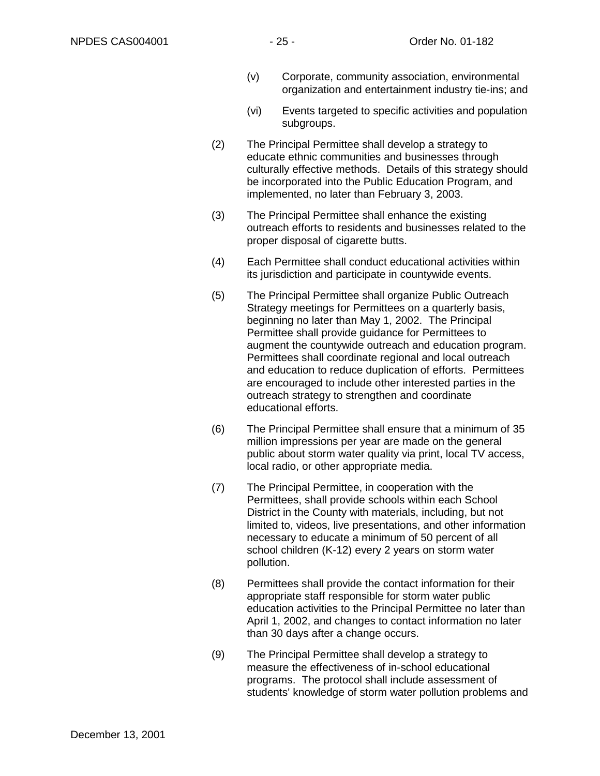- (v) Corporate, community association, environmental organization and entertainment industry tie-ins; and
- (vi) Events targeted to specific activities and population subgroups.
- (2) The Principal Permittee shall develop a strategy to educate ethnic communities and businesses through culturally effective methods. Details of this strategy should be incorporated into the Public Education Program, and implemented, no later than February 3, 2003.
- (3) The Principal Permittee shall enhance the existing outreach efforts to residents and businesses related to the proper disposal of cigarette butts.
- (4) Each Permittee shall conduct educational activities within its jurisdiction and participate in countywide events.
- (5) The Principal Permittee shall organize Public Outreach Strategy meetings for Permittees on a quarterly basis, beginning no later than May 1, 2002. The Principal Permittee shall provide guidance for Permittees to augment the countywide outreach and education program. Permittees shall coordinate regional and local outreach and education to reduce duplication of efforts. Permittees are encouraged to include other interested parties in the outreach strategy to strengthen and coordinate educational efforts.
- (6) The Principal Permittee shall ensure that a minimum of 35 million impressions per year are made on the general public about storm water quality via print, local TV access, local radio, or other appropriate media.
- (7) The Principal Permittee, in cooperation with the Permittees, shall provide schools within each School District in the County with materials, including, but not limited to, videos, live presentations, and other information necessary to educate a minimum of 50 percent of all school children (K-12) every 2 years on storm water pollution.
- (8) Permittees shall provide the contact information for their appropriate staff responsible for storm water public education activities to the Principal Permittee no later than April 1, 2002, and changes to contact information no later than 30 days after a change occurs.
- (9) The Principal Permittee shall develop a strategy to measure the effectiveness of in-school educational programs. The protocol shall include assessment of students' knowledge of storm water pollution problems and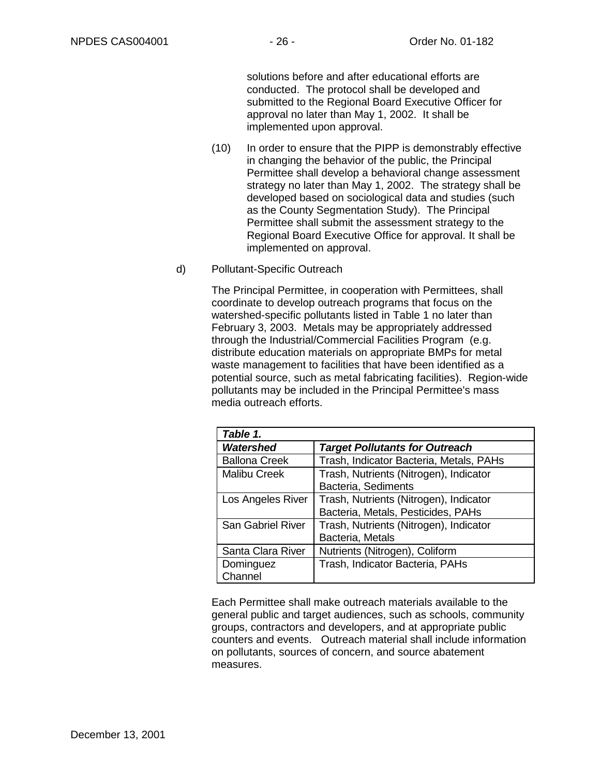solutions before and after educational efforts are conducted. The protocol shall be developed and submitted to the Regional Board Executive Officer for approval no later than May 1, 2002. It shall be implemented upon approval.

- (10) In order to ensure that the PIPP is demonstrably effective in changing the behavior of the public, the Principal Permittee shall develop a behavioral change assessment strategy no later than May 1, 2002. The strategy shall be developed based on sociological data and studies (such as the County Segmentation Study). The Principal Permittee shall submit the assessment strategy to the Regional Board Executive Office for approval. It shall be implemented on approval.
- d) Pollutant-Specific Outreach

The Principal Permittee, in cooperation with Permittees, shall coordinate to develop outreach programs that focus on the watershed-specific pollutants listed in Table 1 no later than February 3, 2003. Metals may be appropriately addressed through the Industrial/Commercial Facilities Program (e.g. distribute education materials on appropriate BMPs for metal waste management to facilities that have been identified as a potential source, such as metal fabricating facilities). Region-wide pollutants may be included in the Principal Permittee's mass media outreach efforts.

| Table 1.                 |                                         |  |  |
|--------------------------|-----------------------------------------|--|--|
| <b>Watershed</b>         | <b>Target Pollutants for Outreach</b>   |  |  |
| <b>Ballona Creek</b>     | Trash, Indicator Bacteria, Metals, PAHs |  |  |
| <b>Malibu Creek</b>      | Trash, Nutrients (Nitrogen), Indicator  |  |  |
|                          | Bacteria, Sediments                     |  |  |
| Los Angeles River        | Trash, Nutrients (Nitrogen), Indicator  |  |  |
|                          | Bacteria, Metals, Pesticides, PAHs      |  |  |
| <b>San Gabriel River</b> | Trash, Nutrients (Nitrogen), Indicator  |  |  |
|                          | Bacteria, Metals                        |  |  |
| Santa Clara River        | Nutrients (Nitrogen), Coliform          |  |  |
| Dominguez                | Trash, Indicator Bacteria, PAHs         |  |  |
| Channel                  |                                         |  |  |

Each Permittee shall make outreach materials available to the general public and target audiences, such as schools, community groups, contractors and developers, and at appropriate public counters and events. Outreach material shall include information on pollutants, sources of concern, and source abatement measures.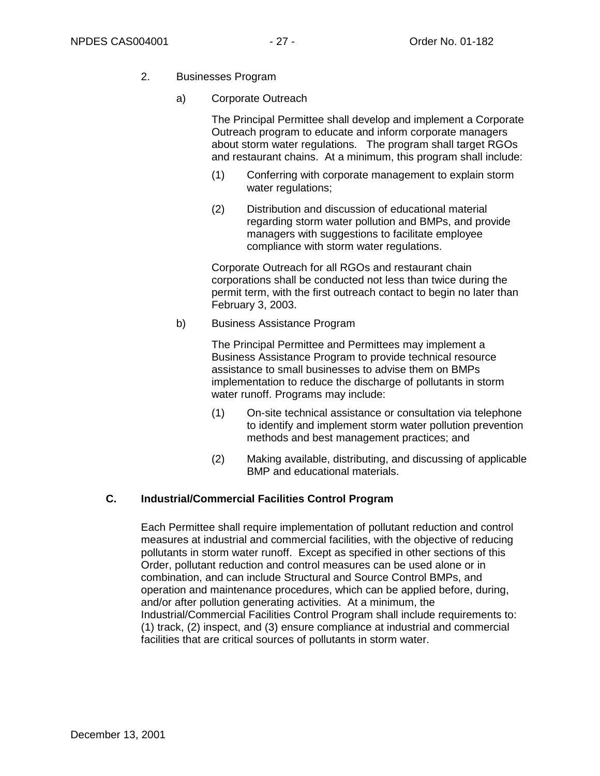- <span id="page-28-0"></span>2. Businesses Program
	- a) Corporate Outreach

The Principal Permittee shall develop and implement a Corporate Outreach program to educate and inform corporate managers about storm water regulations. The program shall target RGOs and restaurant chains. At a minimum, this program shall include:

- (1) Conferring with corporate management to explain storm water regulations;
- (2) Distribution and discussion of educational material regarding storm water pollution and BMPs, and provide managers with suggestions to facilitate employee compliance with storm water regulations.

Corporate Outreach for all RGOs and restaurant chain corporations shall be conducted not less than twice during the permit term, with the first outreach contact to begin no later than February 3, 2003.

b) Business Assistance Program

The Principal Permittee and Permittees may implement a Business Assistance Program to provide technical resource assistance to small businesses to advise them on BMPs implementation to reduce the discharge of pollutants in storm water runoff. Programs may include:

- (1) On-site technical assistance or consultation via telephone to identify and implement storm water pollution prevention methods and best management practices; and
- (2) Making available, distributing, and discussing of applicable BMP and educational materials.

## **C. Industrial/Commercial Facilities Control Program**

Each Permittee shall require implementation of pollutant reduction and control measures at industrial and commercial facilities, with the objective of reducing pollutants in storm water runoff. Except as specified in other sections of this Order, pollutant reduction and control measures can be used alone or in combination, and can include Structural and Source Control BMPs, and operation and maintenance procedures, which can be applied before, during, and/or after pollution generating activities. At a minimum, the Industrial/Commercial Facilities Control Program shall include requirements to: (1) track, (2) inspect, and (3) ensure compliance at industrial and commercial facilities that are critical sources of pollutants in storm water.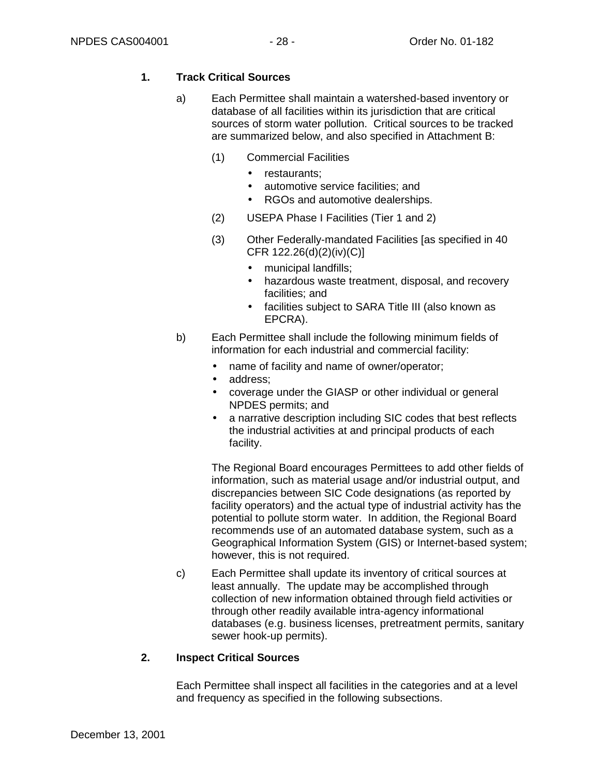## **1. Track Critical Sources**

- a) Each Permittee shall maintain a watershed-based inventory or database of all facilities within its jurisdiction that are critical sources of storm water pollution. Critical sources to be tracked are summarized below, and also specified in Attachment B:
	- (1) Commercial Facilities
		- restaurants:
		- automotive service facilities; and
		- RGOs and automotive dealerships.
	- (2) USEPA Phase I Facilities (Tier 1 and 2)
	- (3) Other Federally-mandated Facilities [as specified in 40 CFR 122.26(d)(2)(iv)(C)]
		- municipal landfills;
		- hazardous waste treatment, disposal, and recovery facilities; and
		- facilities subject to SARA Title III (also known as EPCRA).
- b) Each Permittee shall include the following minimum fields of information for each industrial and commercial facility:
	- name of facility and name of owner/operator;
	- address;
	- coverage under the GIASP or other individual or general NPDES permits; and
	- a narrative description including SIC codes that best reflects the industrial activities at and principal products of each facility.

The Regional Board encourages Permittees to add other fields of information, such as material usage and/or industrial output, and discrepancies between SIC Code designations (as reported by facility operators) and the actual type of industrial activity has the potential to pollute storm water. In addition, the Regional Board recommends use of an automated database system, such as a Geographical Information System (GIS) or Internet-based system; however, this is not required.

c) Each Permittee shall update its inventory of critical sources at least annually. The update may be accomplished through collection of new information obtained through field activities or through other readily available intra-agency informational databases (e.g. business licenses, pretreatment permits, sanitary sewer hook-up permits).

# **2. Inspect Critical Sources**

Each Permittee shall inspect all facilities in the categories and at a level and frequency as specified in the following subsections.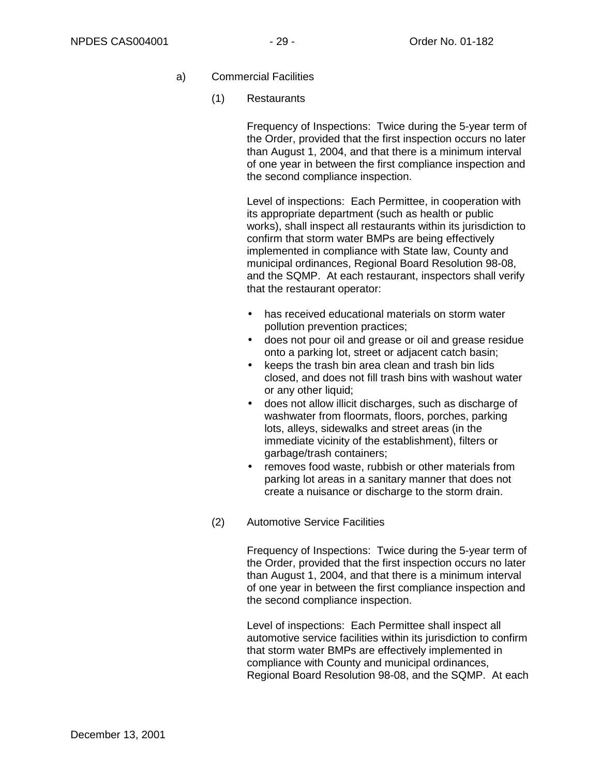- a) Commercial Facilities
	- (1) Restaurants

Frequency of Inspections: Twice during the 5-year term of the Order, provided that the first inspection occurs no later than August 1, 2004, and that there is a minimum interval of one year in between the first compliance inspection and the second compliance inspection.

Level of inspections: Each Permittee, in cooperation with its appropriate department (such as health or public works), shall inspect all restaurants within its jurisdiction to confirm that storm water BMPs are being effectively implemented in compliance with State law, County and municipal ordinances, Regional Board Resolution 98-08, and the SQMP. At each restaurant, inspectors shall verify that the restaurant operator:

- has received educational materials on storm water pollution prevention practices;
- does not pour oil and grease or oil and grease residue onto a parking lot, street or adjacent catch basin;
- keeps the trash bin area clean and trash bin lids closed, and does not fill trash bins with washout water or any other liquid;
- does not allow illicit discharges, such as discharge of washwater from floormats, floors, porches, parking lots, alleys, sidewalks and street areas (in the immediate vicinity of the establishment), filters or garbage/trash containers;
- removes food waste, rubbish or other materials from parking lot areas in a sanitary manner that does not create a nuisance or discharge to the storm drain.
- (2) Automotive Service Facilities

Frequency of Inspections: Twice during the 5-year term of the Order, provided that the first inspection occurs no later than August 1, 2004, and that there is a minimum interval of one year in between the first compliance inspection and the second compliance inspection.

Level of inspections: Each Permittee shall inspect all automotive service facilities within its jurisdiction to confirm that storm water BMPs are effectively implemented in compliance with County and municipal ordinances, Regional Board Resolution 98-08, and the SQMP. At each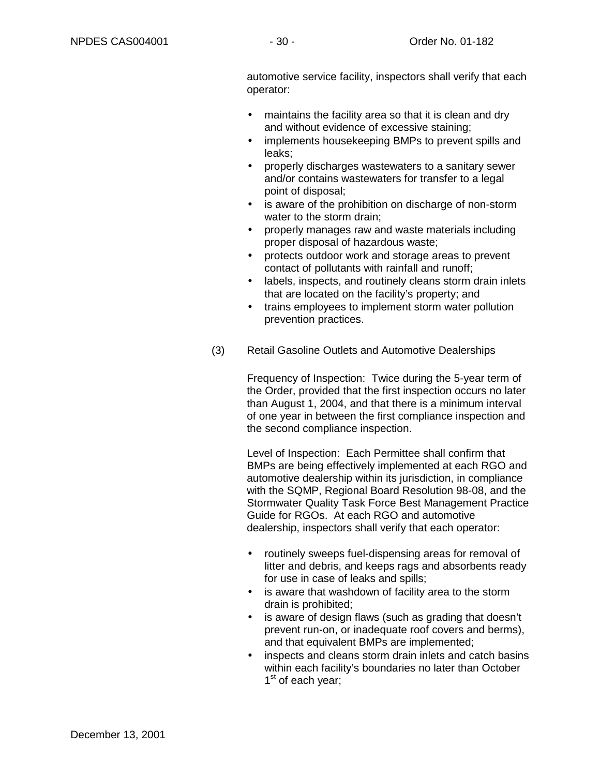automotive service facility, inspectors shall verify that each operator:

- maintains the facility area so that it is clean and dry and without evidence of excessive staining;
- implements housekeeping BMPs to prevent spills and leaks;
- properly discharges wastewaters to a sanitary sewer and/or contains wastewaters for transfer to a legal point of disposal;
- is aware of the prohibition on discharge of non-storm water to the storm drain;
- properly manages raw and waste materials including proper disposal of hazardous waste;
- protects outdoor work and storage areas to prevent contact of pollutants with rainfall and runoff;
- labels, inspects, and routinely cleans storm drain inlets that are located on the facility's property; and
- trains employees to implement storm water pollution prevention practices.
- (3) Retail Gasoline Outlets and Automotive Dealerships

Frequency of Inspection: Twice during the 5-year term of the Order, provided that the first inspection occurs no later than August 1, 2004, and that there is a minimum interval of one year in between the first compliance inspection and the second compliance inspection.

Level of Inspection: Each Permittee shall confirm that BMPs are being effectively implemented at each RGO and automotive dealership within its jurisdiction, in compliance with the SQMP, Regional Board Resolution 98-08, and the Stormwater Quality Task Force Best Management Practice Guide for RGOs. At each RGO and automotive dealership, inspectors shall verify that each operator:

- routinely sweeps fuel-dispensing areas for removal of litter and debris, and keeps rags and absorbents ready for use in case of leaks and spills;
- is aware that washdown of facility area to the storm drain is prohibited;
- is aware of design flaws (such as grading that doesn't prevent run-on, or inadequate roof covers and berms), and that equivalent BMPs are implemented;
- inspects and cleans storm drain inlets and catch basins within each facility's boundaries no later than October  $1<sup>st</sup>$  of each year: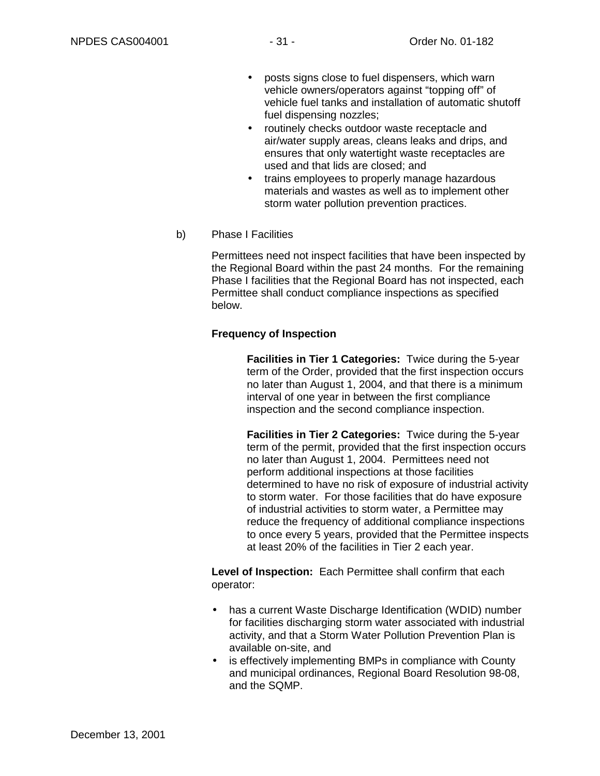- posts signs close to fuel dispensers, which warn vehicle owners/operators against "topping off" of vehicle fuel tanks and installation of automatic shutoff fuel dispensing nozzles;
- routinely checks outdoor waste receptacle and air/water supply areas, cleans leaks and drips, and ensures that only watertight waste receptacles are used and that lids are closed; and
- trains employees to properly manage hazardous materials and wastes as well as to implement other storm water pollution prevention practices.
- b) Phase I Facilities

Permittees need not inspect facilities that have been inspected by the Regional Board within the past 24 months. For the remaining Phase I facilities that the Regional Board has not inspected, each Permittee shall conduct compliance inspections as specified below.

## **Frequency of Inspection**

**Facilities in Tier 1 Categories:** Twice during the 5-year term of the Order, provided that the first inspection occurs no later than August 1, 2004, and that there is a minimum interval of one year in between the first compliance inspection and the second compliance inspection.

**Facilities in Tier 2 Categories:** Twice during the 5-year term of the permit, provided that the first inspection occurs no later than August 1, 2004. Permittees need not perform additional inspections at those facilities determined to have no risk of exposure of industrial activity to storm water. For those facilities that do have exposure of industrial activities to storm water, a Permittee may reduce the frequency of additional compliance inspections to once every 5 years, provided that the Permittee inspects at least 20% of the facilities in Tier 2 each year.

**Level of Inspection:** Each Permittee shall confirm that each operator:

- has a current Waste Discharge Identification (WDID) number for facilities discharging storm water associated with industrial activity, and that a Storm Water Pollution Prevention Plan is available on-site, and
- is effectively implementing BMPs in compliance with County and municipal ordinances, Regional Board Resolution 98-08, and the SQMP.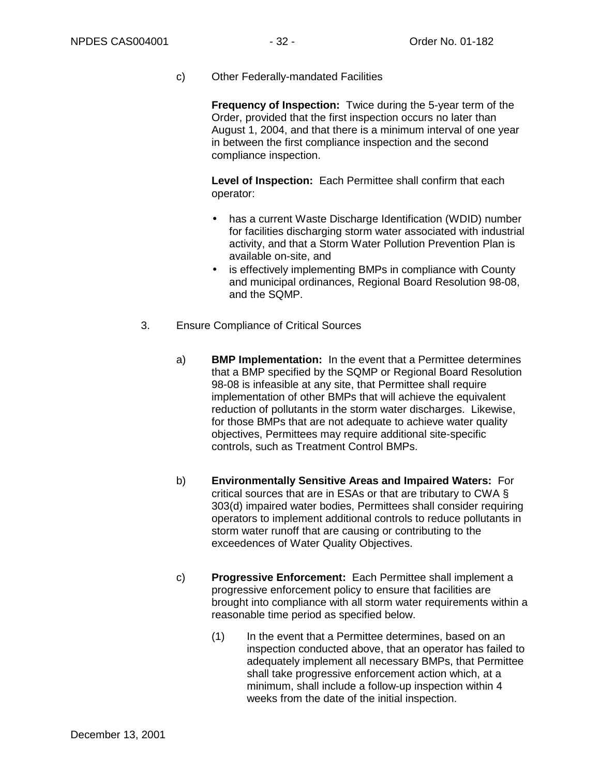c) Other Federally-mandated Facilities

**Frequency of Inspection:** Twice during the 5-year term of the Order, provided that the first inspection occurs no later than August 1, 2004, and that there is a minimum interval of one year in between the first compliance inspection and the second compliance inspection.

**Level of Inspection:** Each Permittee shall confirm that each operator:

- has a current Waste Discharge Identification (WDID) number for facilities discharging storm water associated with industrial activity, and that a Storm Water Pollution Prevention Plan is available on-site, and
- is effectively implementing BMPs in compliance with County and municipal ordinances, Regional Board Resolution 98-08, and the SQMP.
- 3. Ensure Compliance of Critical Sources
	- a) **BMP Implementation:** In the event that a Permittee determines that a BMP specified by the SQMP or Regional Board Resolution 98-08 is infeasible at any site, that Permittee shall require implementation of other BMPs that will achieve the equivalent reduction of pollutants in the storm water discharges. Likewise, for those BMPs that are not adequate to achieve water quality objectives, Permittees may require additional site-specific controls, such as Treatment Control BMPs.
	- b) **Environmentally Sensitive Areas and Impaired Waters:** For critical sources that are in ESAs or that are tributary to CWA § 303(d) impaired water bodies, Permittees shall consider requiring operators to implement additional controls to reduce pollutants in storm water runoff that are causing or contributing to the exceedences of Water Quality Objectives.
	- c) **Progressive Enforcement:** Each Permittee shall implement a progressive enforcement policy to ensure that facilities are brought into compliance with all storm water requirements within a reasonable time period as specified below.
		- (1) In the event that a Permittee determines, based on an inspection conducted above, that an operator has failed to adequately implement all necessary BMPs, that Permittee shall take progressive enforcement action which, at a minimum, shall include a follow-up inspection within 4 weeks from the date of the initial inspection.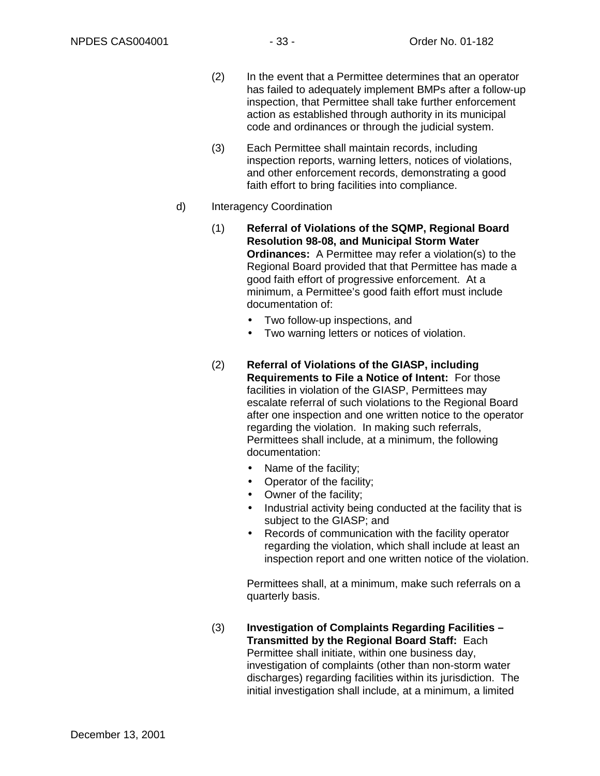- (2) In the event that a Permittee determines that an operator has failed to adequately implement BMPs after a follow-up inspection, that Permittee shall take further enforcement action as established through authority in its municipal code and ordinances or through the judicial system.
- (3) Each Permittee shall maintain records, including inspection reports, warning letters, notices of violations, and other enforcement records, demonstrating a good faith effort to bring facilities into compliance.
- d) Interagency Coordination
	- (1) **Referral of Violations of the SQMP, Regional Board Resolution 98-08, and Municipal Storm Water Ordinances:** A Permittee may refer a violation(s) to the Regional Board provided that that Permittee has made a good faith effort of progressive enforcement. At a minimum, a Permittee's good faith effort must include documentation of:
		- Two follow-up inspections, and
		- Two warning letters or notices of violation.
	- (2) **Referral of Violations of the GIASP, including Requirements to File a Notice of Intent:** For those facilities in violation of the GIASP, Permittees may escalate referral of such violations to the Regional Board after one inspection and one written notice to the operator regarding the violation. In making such referrals, Permittees shall include, at a minimum, the following documentation:
		- Name of the facility;
		- Operator of the facility;
		- Owner of the facility;
		- Industrial activity being conducted at the facility that is subject to the GIASP; and
		- Records of communication with the facility operator regarding the violation, which shall include at least an inspection report and one written notice of the violation.

Permittees shall, at a minimum, make such referrals on a quarterly basis.

(3) **Investigation of Complaints Regarding Facilities – Transmitted by the Regional Board Staff:** Each Permittee shall initiate, within one business day, investigation of complaints (other than non-storm water discharges) regarding facilities within its jurisdiction. The initial investigation shall include, at a minimum, a limited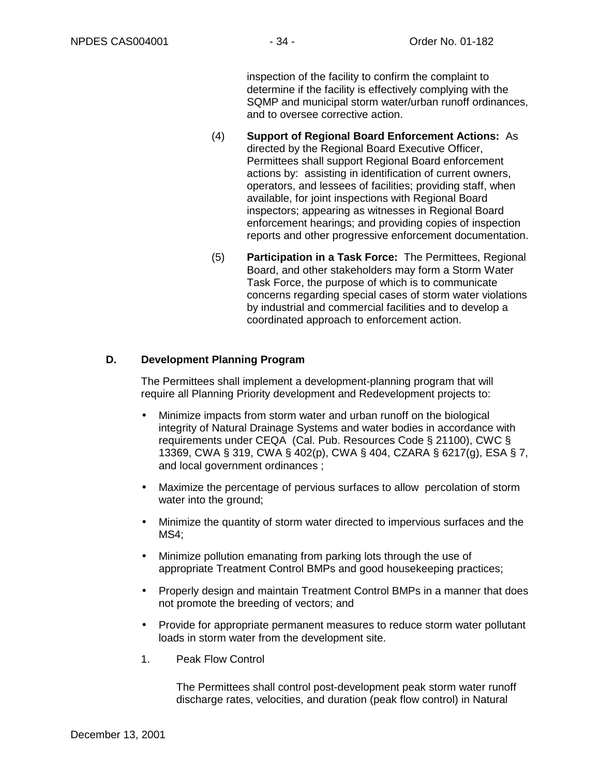inspection of the facility to confirm the complaint to determine if the facility is effectively complying with the SQMP and municipal storm water/urban runoff ordinances, and to oversee corrective action.

- <span id="page-35-0"></span>(4) **Support of Regional Board Enforcement Actions:** As directed by the Regional Board Executive Officer, Permittees shall support Regional Board enforcement actions by: assisting in identification of current owners, operators, and lessees of facilities; providing staff, when available, for joint inspections with Regional Board inspectors; appearing as witnesses in Regional Board enforcement hearings; and providing copies of inspection reports and other progressive enforcement documentation.
- (5) **Participation in a Task Force:** The Permittees, Regional Board, and other stakeholders may form a Storm Water Task Force, the purpose of which is to communicate concerns regarding special cases of storm water violations by industrial and commercial facilities and to develop a coordinated approach to enforcement action.

## **D. Development Planning Program**

The Permittees shall implement a development-planning program that will require all Planning Priority development and Redevelopment projects to:

- Minimize impacts from storm water and urban runoff on the biological integrity of Natural Drainage Systems and water bodies in accordance with requirements under CEQA (Cal. Pub. Resources Code § 21100), CWC § 13369, CWA § 319, CWA § 402(p), CWA § 404, CZARA § 6217(g), ESA § 7, and local government ordinances ;
- Maximize the percentage of pervious surfaces to allow percolation of storm water into the ground;
- Minimize the quantity of storm water directed to impervious surfaces and the MS4;
- Minimize pollution emanating from parking lots through the use of appropriate Treatment Control BMPs and good housekeeping practices;
- Properly design and maintain Treatment Control BMPs in a manner that does not promote the breeding of vectors; and
- Provide for appropriate permanent measures to reduce storm water pollutant loads in storm water from the development site.
- 1. Peak Flow Control

The Permittees shall control post-development peak storm water runoff discharge rates, velocities, and duration (peak flow control) in Natural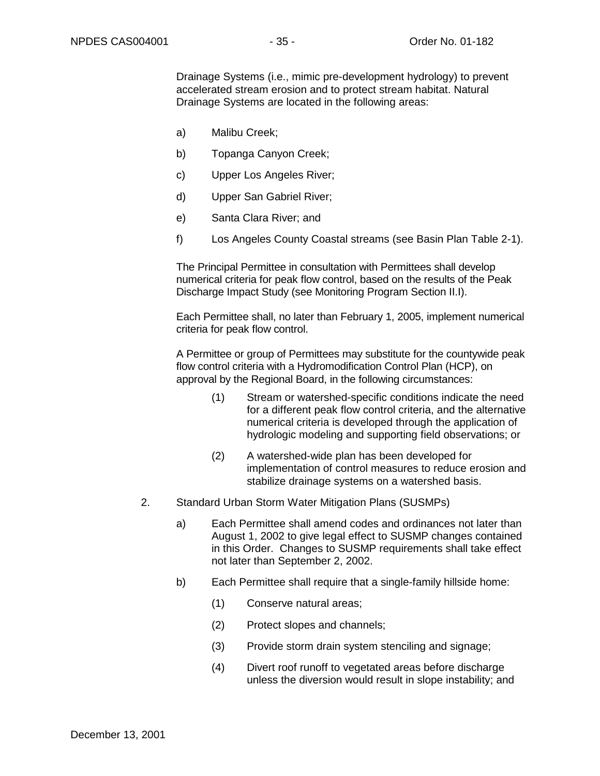Drainage Systems (i.e., mimic pre-development hydrology) to prevent accelerated stream erosion and to protect stream habitat. Natural Drainage Systems are located in the following areas:

- a) Malibu Creek;
- b) Topanga Canyon Creek;
- c) Upper Los Angeles River;
- d) Upper San Gabriel River;
- e) Santa Clara River; and
- f) Los Angeles County Coastal streams (see Basin Plan Table 2-1).

The Principal Permittee in consultation with Permittees shall develop numerical criteria for peak flow control, based on the results of the Peak Discharge Impact Study (see Monitoring Program Section II.I).

Each Permittee shall, no later than February 1, 2005, implement numerical criteria for peak flow control.

A Permittee or group of Permittees may substitute for the countywide peak flow control criteria with a Hydromodification Control Plan (HCP), on approval by the Regional Board, in the following circumstances:

- (1) Stream or watershed-specific conditions indicate the need for a different peak flow control criteria, and the alternative numerical criteria is developed through the application of hydrologic modeling and supporting field observations; or
- (2) A watershed-wide plan has been developed for implementation of control measures to reduce erosion and stabilize drainage systems on a watershed basis.
- 2. Standard Urban Storm Water Mitigation Plans (SUSMPs)
	- a) Each Permittee shall amend codes and ordinances not later than August 1, 2002 to give legal effect to SUSMP changes contained in this Order. Changes to SUSMP requirements shall take effect not later than September 2, 2002.
	- b) Each Permittee shall require that a single-family hillside home:
		- (1) Conserve natural areas;
		- (2) Protect slopes and channels;
		- (3) Provide storm drain system stenciling and signage;
		- (4) Divert roof runoff to vegetated areas before discharge unless the diversion would result in slope instability; and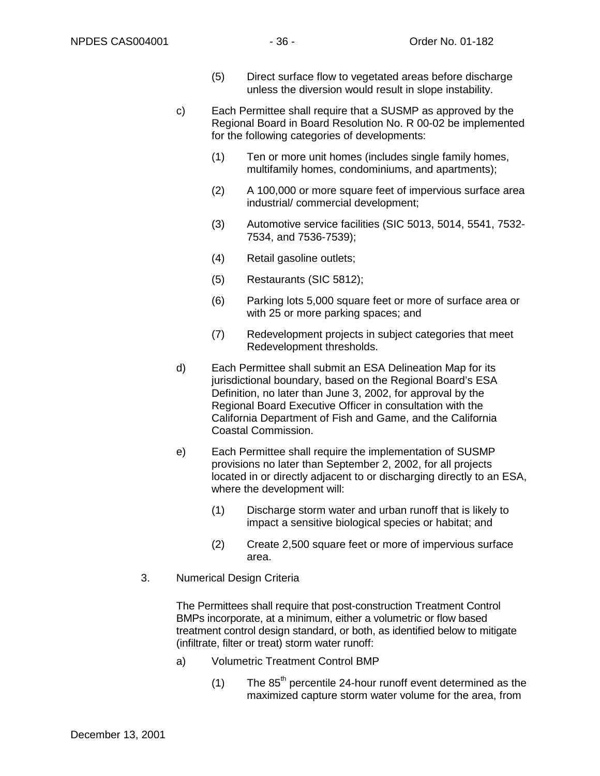- (5) Direct surface flow to vegetated areas before discharge unless the diversion would result in slope instability.
- c) Each Permittee shall require that a SUSMP as approved by the Regional Board in Board Resolution No. R 00-02 be implemented for the following categories of developments:
	- (1) Ten or more unit homes (includes single family homes, multifamily homes, condominiums, and apartments);
	- (2) A 100,000 or more square feet of impervious surface area industrial/ commercial development;
	- (3) Automotive service facilities (SIC 5013, 5014, 5541, 7532- 7534, and 7536-7539);
	- (4) Retail gasoline outlets;
	- (5) Restaurants (SIC 5812);
	- (6) Parking lots 5,000 square feet or more of surface area or with 25 or more parking spaces; and
	- (7) Redevelopment projects in subject categories that meet Redevelopment thresholds.
- d) Each Permittee shall submit an ESA Delineation Map for its jurisdictional boundary, based on the Regional Board's ESA Definition, no later than June 3, 2002, for approval by the Regional Board Executive Officer in consultation with the California Department of Fish and Game, and the California Coastal Commission.
- e) Each Permittee shall require the implementation of SUSMP provisions no later than September 2, 2002, for all projects located in or directly adjacent to or discharging directly to an ESA, where the development will:
	- (1) Discharge storm water and urban runoff that is likely to impact a sensitive biological species or habitat; and
	- (2) Create 2,500 square feet or more of impervious surface area.
- 3. Numerical Design Criteria

The Permittees shall require that post-construction Treatment Control BMPs incorporate, at a minimum, either a volumetric or flow based treatment control design standard, or both, as identified below to mitigate (infiltrate, filter or treat) storm water runoff:

- a) Volumetric Treatment Control BMP
	- (1) The  $85<sup>th</sup>$  percentile 24-hour runoff event determined as the maximized capture storm water volume for the area, from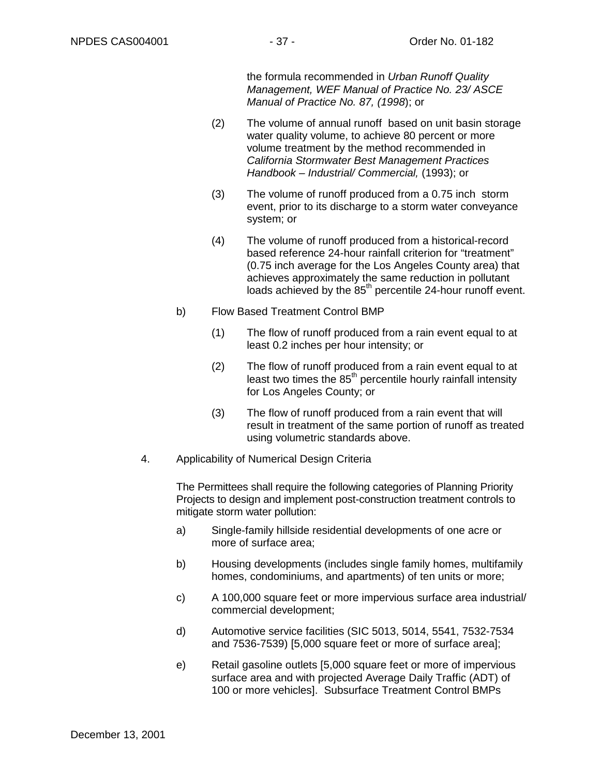the formula recommended in *Urban Runoff Quality Management, WEF Manual of Practice No. 23/ ASCE Manual of Practice No. 87, (1998*); or

- (2) The volume of annual runoff based on unit basin storage water quality volume, to achieve 80 percent or more volume treatment by the method recommended in *California Stormwater Best Management Practices Handbook – Industrial/ Commercial,* (1993); or
- (3) The volume of runoff produced from a 0.75 inch storm event, prior to its discharge to a storm water conveyance system; or
- (4) The volume of runoff produced from a historical-record based reference 24-hour rainfall criterion for "treatment" (0.75 inch average for the Los Angeles County area) that achieves approximately the same reduction in pollutant loads achieved by the 85<sup>th</sup> percentile 24-hour runoff event.
- b) Flow Based Treatment Control BMP
	- (1) The flow of runoff produced from a rain event equal to at least 0.2 inches per hour intensity; or
	- (2) The flow of runoff produced from a rain event equal to at least two times the  $85<sup>th</sup>$  percentile hourly rainfall intensity for Los Angeles County; or
	- (3) The flow of runoff produced from a rain event that will result in treatment of the same portion of runoff as treated using volumetric standards above.
- 4. Applicability of Numerical Design Criteria

The Permittees shall require the following categories of Planning Priority Projects to design and implement post-construction treatment controls to mitigate storm water pollution:

- a) Single-family hillside residential developments of one acre or more of surface area;
- b) Housing developments (includes single family homes, multifamily homes, condominiums, and apartments) of ten units or more;
- c) A 100,000 square feet or more impervious surface area industrial/ commercial development;
- d) Automotive service facilities (SIC 5013, 5014, 5541, 7532-7534 and 7536-7539) [5,000 square feet or more of surface area];
- e) Retail gasoline outlets [5,000 square feet or more of impervious surface area and with projected Average Daily Traffic (ADT) of 100 or more vehicles]. Subsurface Treatment Control BMPs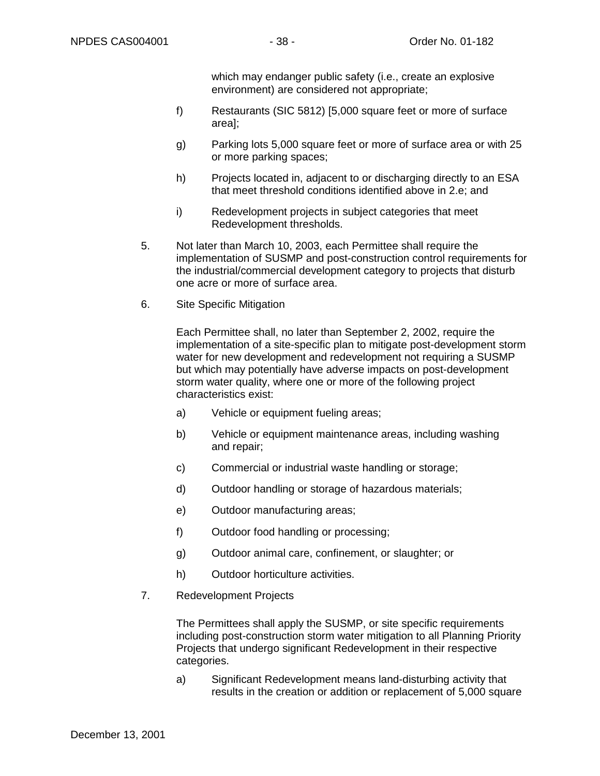which may endanger public safety (i.e., create an explosive environment) are considered not appropriate;

- f) Restaurants (SIC 5812) [5,000 square feet or more of surface area];
- g) Parking lots 5,000 square feet or more of surface area or with 25 or more parking spaces;
- h) Projects located in, adjacent to or discharging directly to an ESA that meet threshold conditions identified above in 2.e; and
- i) Redevelopment projects in subject categories that meet Redevelopment thresholds.
- 5. Not later than March 10, 2003, each Permittee shall require the implementation of SUSMP and post-construction control requirements for the industrial/commercial development category to projects that disturb one acre or more of surface area.
- 6. Site Specific Mitigation

Each Permittee shall, no later than September 2, 2002, require the implementation of a site-specific plan to mitigate post-development storm water for new development and redevelopment not requiring a SUSMP but which may potentially have adverse impacts on post-development storm water quality, where one or more of the following project characteristics exist:

- a) Vehicle or equipment fueling areas;
- b) Vehicle or equipment maintenance areas, including washing and repair;
- c) Commercial or industrial waste handling or storage;
- d) Outdoor handling or storage of hazardous materials;
- e) Outdoor manufacturing areas;
- f) Outdoor food handling or processing;
- g) Outdoor animal care, confinement, or slaughter; or
- h) Outdoor horticulture activities.
- 7. Redevelopment Projects

The Permittees shall apply the SUSMP, or site specific requirements including post-construction storm water mitigation to all Planning Priority Projects that undergo significant Redevelopment in their respective categories.

a) Significant Redevelopment means land-disturbing activity that results in the creation or addition or replacement of 5,000 square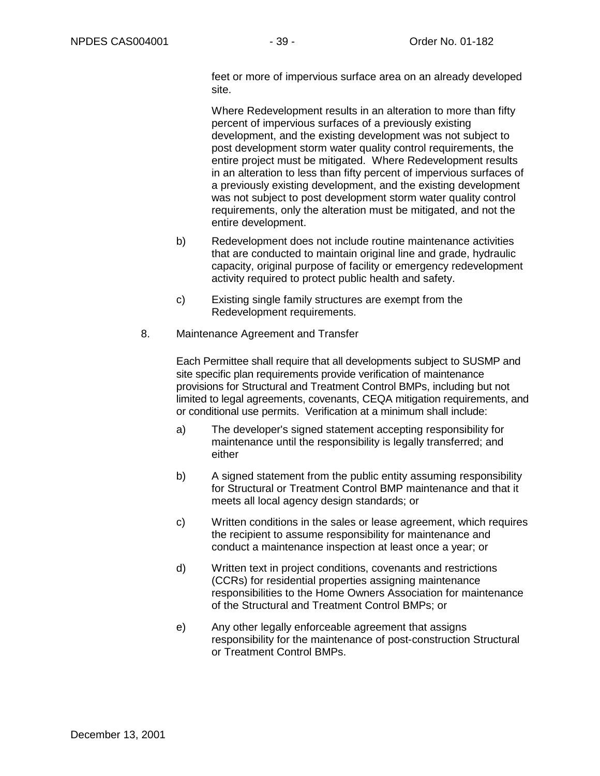feet or more of impervious surface area on an already developed site.

Where Redevelopment results in an alteration to more than fifty percent of impervious surfaces of a previously existing development, and the existing development was not subject to post development storm water quality control requirements, the entire project must be mitigated. Where Redevelopment results in an alteration to less than fifty percent of impervious surfaces of a previously existing development, and the existing development was not subject to post development storm water quality control requirements, only the alteration must be mitigated, and not the entire development.

- b) Redevelopment does not include routine maintenance activities that are conducted to maintain original line and grade, hydraulic capacity, original purpose of facility or emergency redevelopment activity required to protect public health and safety.
- c) Existing single family structures are exempt from the Redevelopment requirements.
- 8. Maintenance Agreement and Transfer

Each Permittee shall require that all developments subject to SUSMP and site specific plan requirements provide verification of maintenance provisions for Structural and Treatment Control BMPs, including but not limited to legal agreements, covenants, CEQA mitigation requirements, and or conditional use permits. Verification at a minimum shall include:

- a) The developer's signed statement accepting responsibility for maintenance until the responsibility is legally transferred; and either
- b) A signed statement from the public entity assuming responsibility for Structural or Treatment Control BMP maintenance and that it meets all local agency design standards; or
- c) Written conditions in the sales or lease agreement, which requires the recipient to assume responsibility for maintenance and conduct a maintenance inspection at least once a year; or
- d) Written text in project conditions, covenants and restrictions (CCRs) for residential properties assigning maintenance responsibilities to the Home Owners Association for maintenance of the Structural and Treatment Control BMPs; or
- e) Any other legally enforceable agreement that assigns responsibility for the maintenance of post-construction Structural or Treatment Control BMPs.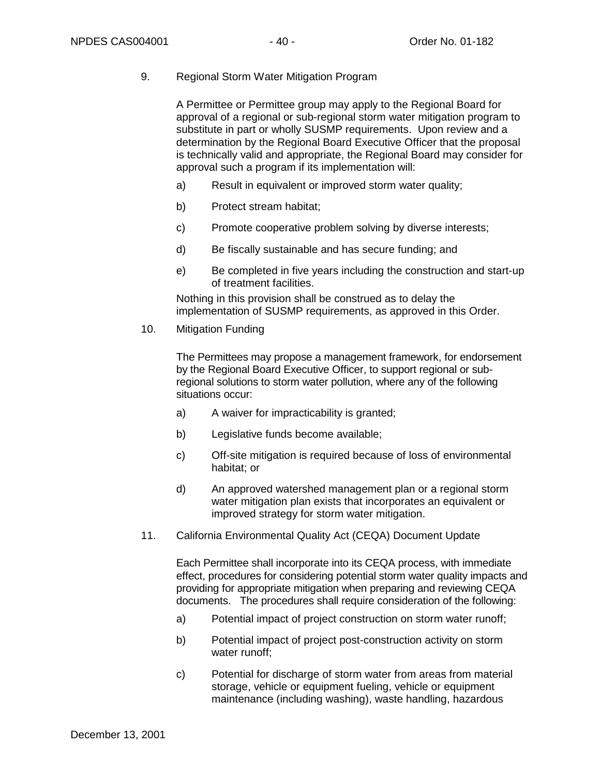9. Regional Storm Water Mitigation Program

A Permittee or Permittee group may apply to the Regional Board for approval of a regional or sub-regional storm water mitigation program to substitute in part or wholly SUSMP requirements. Upon review and a determination by the Regional Board Executive Officer that the proposal is technically valid and appropriate, the Regional Board may consider for approval such a program if its implementation will:

- a) Result in equivalent or improved storm water quality;
- b) Protect stream habitat;
- c) Promote cooperative problem solving by diverse interests;
- d) Be fiscally sustainable and has secure funding; and
- e) Be completed in five years including the construction and start-up of treatment facilities.

Nothing in this provision shall be construed as to delay the implementation of SUSMP requirements, as approved in this Order.

10. Mitigation Funding

The Permittees may propose a management framework, for endorsement by the Regional Board Executive Officer, to support regional or subregional solutions to storm water pollution, where any of the following situations occur:

- a) A waiver for impracticability is granted;
- b) Legislative funds become available;
- c) Off-site mitigation is required because of loss of environmental habitat; or
- d) An approved watershed management plan or a regional storm water mitigation plan exists that incorporates an equivalent or improved strategy for storm water mitigation.
- 11. California Environmental Quality Act (CEQA) Document Update

Each Permittee shall incorporate into its CEQA process, with immediate effect, procedures for considering potential storm water quality impacts and providing for appropriate mitigation when preparing and reviewing CEQA documents. The procedures shall require consideration of the following:

- a) Potential impact of project construction on storm water runoff;
- b) Potential impact of project post-construction activity on storm water runoff;
- c) Potential for discharge of storm water from areas from material storage, vehicle or equipment fueling, vehicle or equipment maintenance (including washing), waste handling, hazardous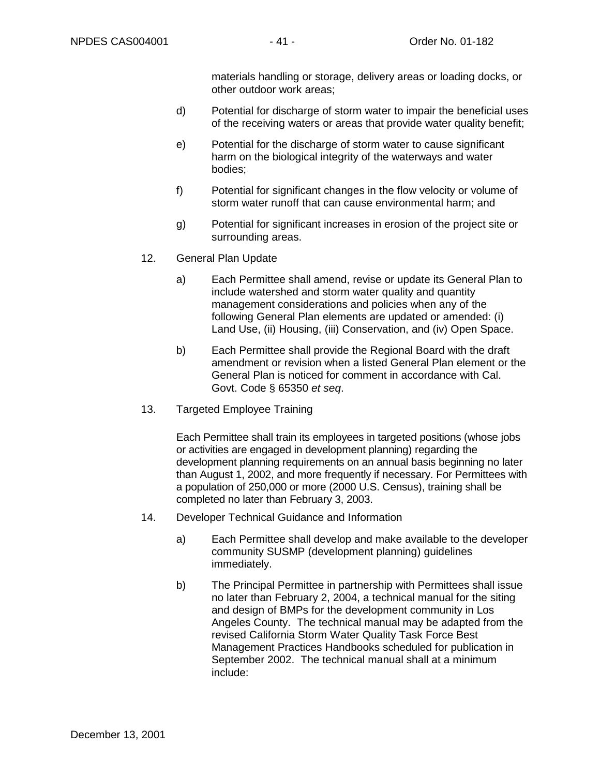materials handling or storage, delivery areas or loading docks, or other outdoor work areas;

- d) Potential for discharge of storm water to impair the beneficial uses of the receiving waters or areas that provide water quality benefit;
- e) Potential for the discharge of storm water to cause significant harm on the biological integrity of the waterways and water bodies;
- f) Potential for significant changes in the flow velocity or volume of storm water runoff that can cause environmental harm; and
- g) Potential for significant increases in erosion of the project site or surrounding areas.
- 12. General Plan Update
	- a) Each Permittee shall amend, revise or update its General Plan to include watershed and storm water quality and quantity management considerations and policies when any of the following General Plan elements are updated or amended: (i) Land Use, (ii) Housing, (iii) Conservation, and (iv) Open Space.
	- b) Each Permittee shall provide the Regional Board with the draft amendment or revision when a listed General Plan element or the General Plan is noticed for comment in accordance with Cal. Govt. Code § 65350 *et seq*.
- 13. Targeted Employee Training

Each Permittee shall train its employees in targeted positions (whose jobs or activities are engaged in development planning) regarding the development planning requirements on an annual basis beginning no later than August 1, 2002, and more frequently if necessary. For Permittees with a population of 250,000 or more (2000 U.S. Census), training shall be completed no later than February 3, 2003.

- 14. Developer Technical Guidance and Information
	- a) Each Permittee shall develop and make available to the developer community SUSMP (development planning) guidelines immediately.
	- b) The Principal Permittee in partnership with Permittees shall issue no later than February 2, 2004, a technical manual for the siting and design of BMPs for the development community in Los Angeles County. The technical manual may be adapted from the revised California Storm Water Quality Task Force Best Management Practices Handbooks scheduled for publication in September 2002. The technical manual shall at a minimum include: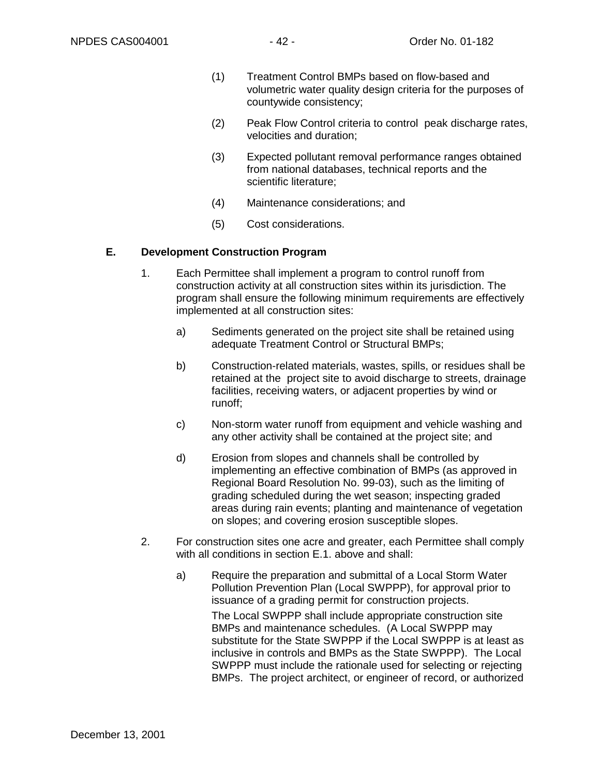- (1) Treatment Control BMPs based on flow-based and volumetric water quality design criteria for the purposes of countywide consistency;
- (2) Peak Flow Control criteria to control peak discharge rates, velocities and duration;
- (3) Expected pollutant removal performance ranges obtained from national databases, technical reports and the scientific literature;
- (4) Maintenance considerations; and
- (5) Cost considerations.

### **E. Development Construction Program**

- 1. Each Permittee shall implement a program to control runoff from construction activity at all construction sites within its jurisdiction. The program shall ensure the following minimum requirements are effectively implemented at all construction sites:
	- a) Sediments generated on the project site shall be retained using adequate Treatment Control or Structural BMPs;
	- b) Construction-related materials, wastes, spills, or residues shall be retained at the project site to avoid discharge to streets, drainage facilities, receiving waters, or adjacent properties by wind or runoff;
	- c) Non-storm water runoff from equipment and vehicle washing and any other activity shall be contained at the project site; and
	- d) Erosion from slopes and channels shall be controlled by implementing an effective combination of BMPs (as approved in Regional Board Resolution No. 99-03), such as the limiting of grading scheduled during the wet season; inspecting graded areas during rain events; planting and maintenance of vegetation on slopes; and covering erosion susceptible slopes.
- 2. For construction sites one acre and greater, each Permittee shall comply with all conditions in section E.1. above and shall:
	- a) Require the preparation and submittal of a Local Storm Water Pollution Prevention Plan (Local SWPPP), for approval prior to issuance of a grading permit for construction projects. The Local SWPPP shall include appropriate construction site BMPs and maintenance schedules. (A Local SWPPP may substitute for the State SWPPP if the Local SWPPP is at least as inclusive in controls and BMPs as the State SWPPP). The Local SWPPP must include the rationale used for selecting or rejecting BMPs. The project architect, or engineer of record, or authorized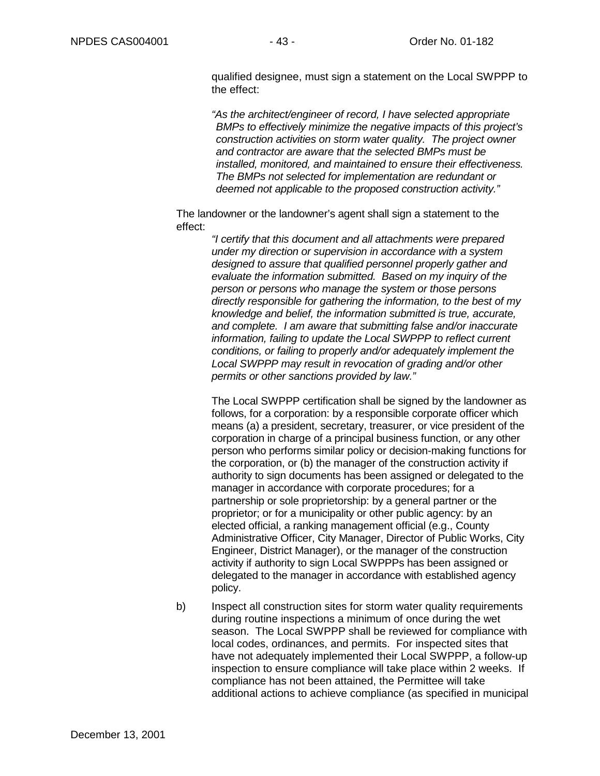qualified designee, must sign a statement on the Local SWPPP to the effect:

*"As the architect/engineer of record, I have selected appropriate BMPs to effectively minimize the negative impacts of this project's construction activities on storm water quality. The project owner and contractor are aware that the selected BMPs must be installed, monitored, and maintained to ensure their effectiveness. The BMPs not selected for implementation are redundant or deemed not applicable to the proposed construction activity."* 

The landowner or the landowner's agent shall sign a statement to the effect:

> *"I certify that this document and all attachments were prepared under my direction or supervision in accordance with a system designed to assure that qualified personnel properly gather and evaluate the information submitted. Based on my inquiry of the person or persons who manage the system or those persons directly responsible for gathering the information, to the best of my knowledge and belief, the information submitted is true, accurate, and complete. I am aware that submitting false and/or inaccurate information, failing to update the Local SWPPP to reflect current conditions, or failing to properly and/or adequately implement the Local SWPPP may result in revocation of grading and/or other permits or other sanctions provided by law."*

The Local SWPPP certification shall be signed by the landowner as follows, for a corporation: by a responsible corporate officer which means (a) a president, secretary, treasurer, or vice president of the corporation in charge of a principal business function, or any other person who performs similar policy or decision-making functions for the corporation, or (b) the manager of the construction activity if authority to sign documents has been assigned or delegated to the manager in accordance with corporate procedures; for a partnership or sole proprietorship: by a general partner or the proprietor; or for a municipality or other public agency: by an elected official, a ranking management official (e.g., County Administrative Officer, City Manager, Director of Public Works, City Engineer, District Manager), or the manager of the construction activity if authority to sign Local SWPPPs has been assigned or delegated to the manager in accordance with established agency policy.

b) Inspect all construction sites for storm water quality requirements during routine inspections a minimum of once during the wet season. The Local SWPPP shall be reviewed for compliance with local codes, ordinances, and permits. For inspected sites that have not adequately implemented their Local SWPPP, a follow-up inspection to ensure compliance will take place within 2 weeks. If compliance has not been attained, the Permittee will take additional actions to achieve compliance (as specified in municipal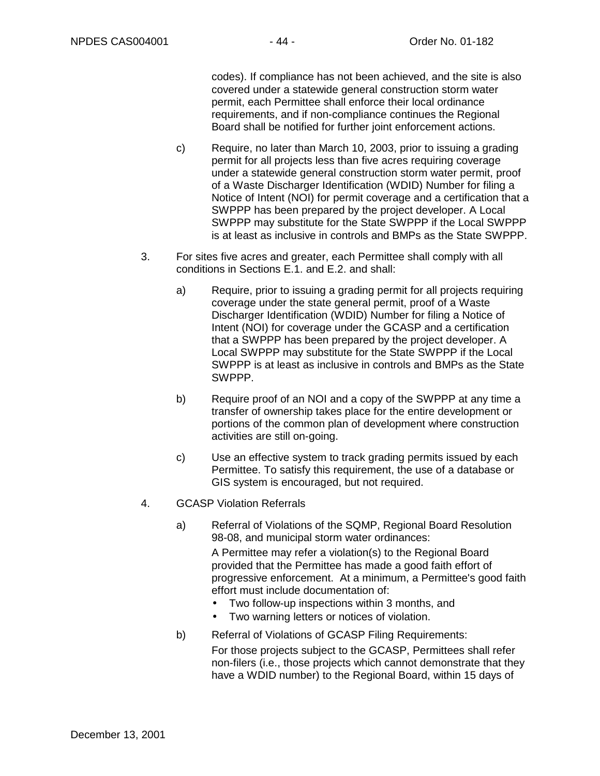codes). If compliance has not been achieved, and the site is also covered under a statewide general construction storm water permit, each Permittee shall enforce their local ordinance requirements, and if non-compliance continues the Regional Board shall be notified for further joint enforcement actions.

- c) Require, no later than March 10, 2003, prior to issuing a grading permit for all projects less than five acres requiring coverage under a statewide general construction storm water permit, proof of a Waste Discharger Identification (WDID) Number for filing a Notice of Intent (NOI) for permit coverage and a certification that a SWPPP has been prepared by the project developer. A Local SWPPP may substitute for the State SWPPP if the Local SWPPP is at least as inclusive in controls and BMPs as the State SWPPP.
- 3. For sites five acres and greater, each Permittee shall comply with all conditions in Sections E.1. and E.2. and shall:
	- a) Require, prior to issuing a grading permit for all projects requiring coverage under the state general permit, proof of a Waste Discharger Identification (WDID) Number for filing a Notice of Intent (NOI) for coverage under the GCASP and a certification that a SWPPP has been prepared by the project developer. A Local SWPPP may substitute for the State SWPPP if the Local SWPPP is at least as inclusive in controls and BMPs as the State SWPPP.
	- b) Require proof of an NOI and a copy of the SWPPP at any time a transfer of ownership takes place for the entire development or portions of the common plan of development where construction activities are still on-going.
	- c) Use an effective system to track grading permits issued by each Permittee. To satisfy this requirement, the use of a database or GIS system is encouraged, but not required.
- 4. GCASP Violation Referrals
	- a) Referral of Violations of the SQMP, Regional Board Resolution 98-08, and municipal storm water ordinances:

A Permittee may refer a violation(s) to the Regional Board provided that the Permittee has made a good faith effort of progressive enforcement. At a minimum, a Permittee's good faith effort must include documentation of:

- Two follow-up inspections within 3 months, and
- Two warning letters or notices of violation.
- b) Referral of Violations of GCASP Filing Requirements:

For those projects subject to the GCASP, Permittees shall refer non-filers (i.e., those projects which cannot demonstrate that they have a WDID number) to the Regional Board, within 15 days of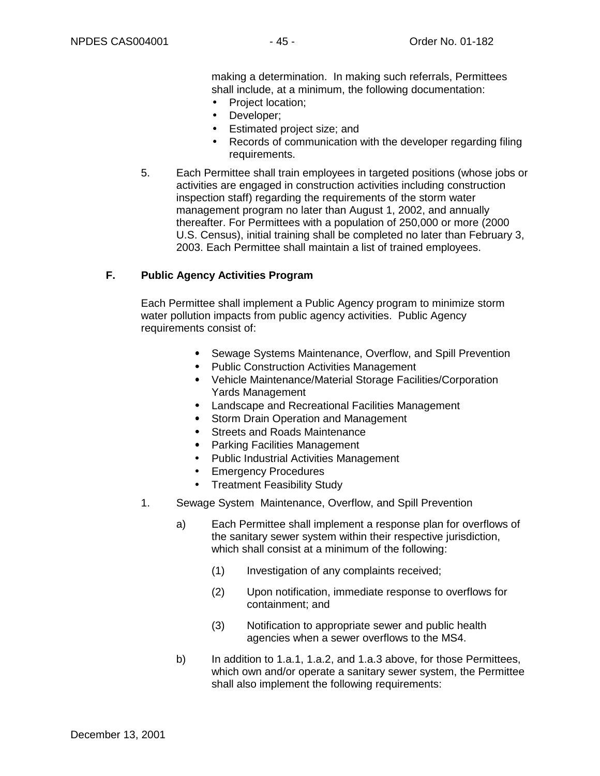making a determination. In making such referrals, Permittees shall include, at a minimum, the following documentation:

- Project location;
- Developer;
- Estimated project size; and
- Records of communication with the developer regarding filing requirements.
- 5. Each Permittee shall train employees in targeted positions (whose jobs or activities are engaged in construction activities including construction inspection staff) regarding the requirements of the storm water management program no later than August 1, 2002, and annually thereafter. For Permittees with a population of 250,000 or more (2000 U.S. Census), initial training shall be completed no later than February 3, 2003. Each Permittee shall maintain a list of trained employees.

# **F. Public Agency Activities Program**

Each Permittee shall implement a Public Agency program to minimize storm water pollution impacts from public agency activities. Public Agency requirements consist of:

- Sewage Systems Maintenance, Overflow, and Spill Prevention
- Public Construction Activities Management
- Vehicle Maintenance/Material Storage Facilities/Corporation Yards Management
- Landscape and Recreational Facilities Management
- Storm Drain Operation and Management
- Streets and Roads Maintenance
- Parking Facilities Management
- Public Industrial Activities Management
- Emergency Procedures
- Treatment Feasibility Study
- 1. Sewage System Maintenance, Overflow, and Spill Prevention
	- a) Each Permittee shall implement a response plan for overflows of the sanitary sewer system within their respective jurisdiction, which shall consist at a minimum of the following:
		- (1) Investigation of any complaints received;
		- (2) Upon notification, immediate response to overflows for containment; and
		- (3) Notification to appropriate sewer and public health agencies when a sewer overflows to the MS4.
	- b) In addition to 1.a.1, 1.a.2, and 1.a.3 above, for those Permittees. which own and/or operate a sanitary sewer system, the Permittee shall also implement the following requirements: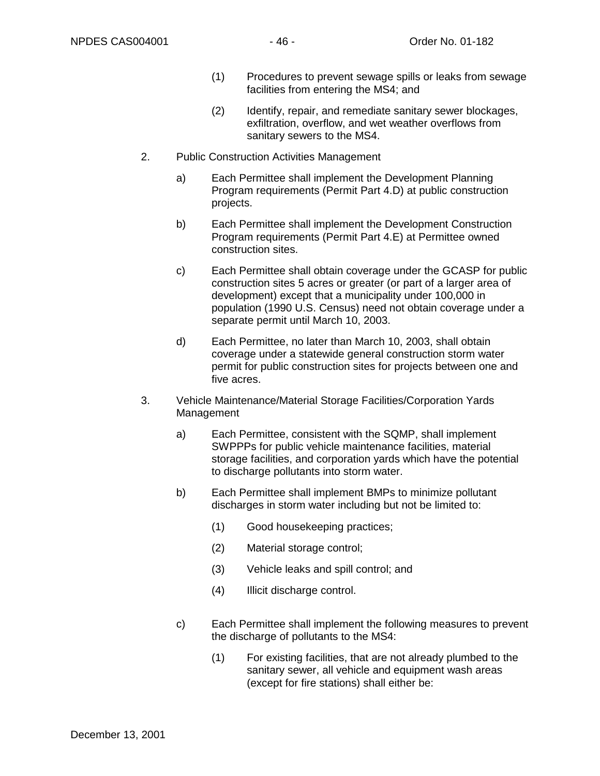- (1) Procedures to prevent sewage spills or leaks from sewage facilities from entering the MS4; and
- (2) Identify, repair, and remediate sanitary sewer blockages, exfiltration, overflow, and wet weather overflows from sanitary sewers to the MS4.
- 2. Public Construction Activities Management
	- a) Each Permittee shall implement the Development Planning Program requirements (Permit Part 4.D) at public construction projects.
	- b) Each Permittee shall implement the Development Construction Program requirements (Permit Part 4.E) at Permittee owned construction sites.
	- c) Each Permittee shall obtain coverage under the GCASP for public construction sites 5 acres or greater (or part of a larger area of development) except that a municipality under 100,000 in population (1990 U.S. Census) need not obtain coverage under a separate permit until March 10, 2003.
	- d) Each Permittee, no later than March 10, 2003, shall obtain coverage under a statewide general construction storm water permit for public construction sites for projects between one and five acres.
- 3. Vehicle Maintenance/Material Storage Facilities/Corporation Yards Management
	- a) Each Permittee, consistent with the SQMP, shall implement SWPPPs for public vehicle maintenance facilities, material storage facilities, and corporation yards which have the potential to discharge pollutants into storm water.
	- b) Each Permittee shall implement BMPs to minimize pollutant discharges in storm water including but not be limited to:
		- (1) Good housekeeping practices;
		- (2) Material storage control;
		- (3) Vehicle leaks and spill control; and
		- (4) Illicit discharge control.
	- c) Each Permittee shall implement the following measures to prevent the discharge of pollutants to the MS4:
		- (1) For existing facilities, that are not already plumbed to the sanitary sewer, all vehicle and equipment wash areas (except for fire stations) shall either be: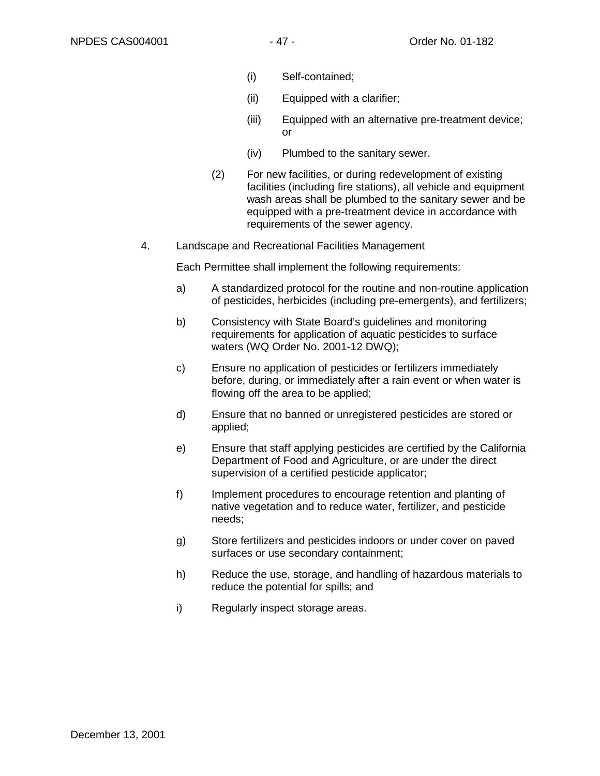- (i) Self-contained;
- (ii) Equipped with a clarifier;
- (iii) Equipped with an alternative pre-treatment device; or
- (iv) Plumbed to the sanitary sewer.
- (2) For new facilities, or during redevelopment of existing facilities (including fire stations), all vehicle and equipment wash areas shall be plumbed to the sanitary sewer and be equipped with a pre-treatment device in accordance with requirements of the sewer agency.
- 4. Landscape and Recreational Facilities Management

Each Permittee shall implement the following requirements:

- a) A standardized protocol for the routine and non-routine application of pesticides, herbicides (including pre-emergents), and fertilizers;
- b) Consistency with State Board's guidelines and monitoring requirements for application of aquatic pesticides to surface waters (WQ Order No. 2001-12 DWQ);
- c) Ensure no application of pesticides or fertilizers immediately before, during, or immediately after a rain event or when water is flowing off the area to be applied;
- d) Ensure that no banned or unregistered pesticides are stored or applied;
- e) Ensure that staff applying pesticides are certified by the California Department of Food and Agriculture, or are under the direct supervision of a certified pesticide applicator;
- f) Implement procedures to encourage retention and planting of native vegetation and to reduce water, fertilizer, and pesticide needs;
- g) Store fertilizers and pesticides indoors or under cover on paved surfaces or use secondary containment;
- h) Reduce the use, storage, and handling of hazardous materials to reduce the potential for spills; and
- i) Regularly inspect storage areas.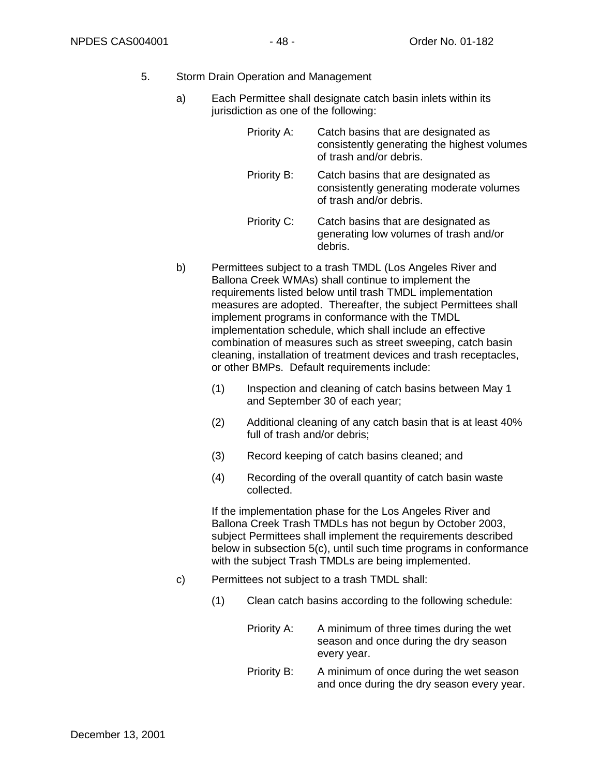- 5. Storm Drain Operation and Management
	- a) Each Permittee shall designate catch basin inlets within its jurisdiction as one of the following:

| Priority A: | Catch basins that are designated as<br>consistently generating the highest volumes<br>of trash and/or debris. |
|-------------|---------------------------------------------------------------------------------------------------------------|
| Priority B: | Catch basins that are designated as<br>consistently generating moderate volumes<br>of trash and/or debris.    |
| Priority C: | Catch basins that are designated as<br>generating low volumes of trash and/or<br>debris                       |

- b) Permittees subject to a trash TMDL (Los Angeles River and Ballona Creek WMAs) shall continue to implement the requirements listed below until trash TMDL implementation measures are adopted. Thereafter, the subject Permittees shall implement programs in conformance with the TMDL implementation schedule, which shall include an effective combination of measures such as street sweeping, catch basin cleaning, installation of treatment devices and trash receptacles, or other BMPs. Default requirements include:
	- (1) Inspection and cleaning of catch basins between May 1 and September 30 of each year;
	- (2) Additional cleaning of any catch basin that is at least 40% full of trash and/or debris;
	- (3) Record keeping of catch basins cleaned; and
	- (4) Recording of the overall quantity of catch basin waste collected.

If the implementation phase for the Los Angeles River and Ballona Creek Trash TMDLs has not begun by October 2003, subject Permittees shall implement the requirements described below in subsection 5(c), until such time programs in conformance with the subject Trash TMDLs are being implemented.

- c) Permittees not subject to a trash TMDL shall:
	- (1) Clean catch basins according to the following schedule:
		- Priority A: A minimum of three times during the wet season and once during the dry season every year.
		- Priority B: A minimum of once during the wet season and once during the dry season every year.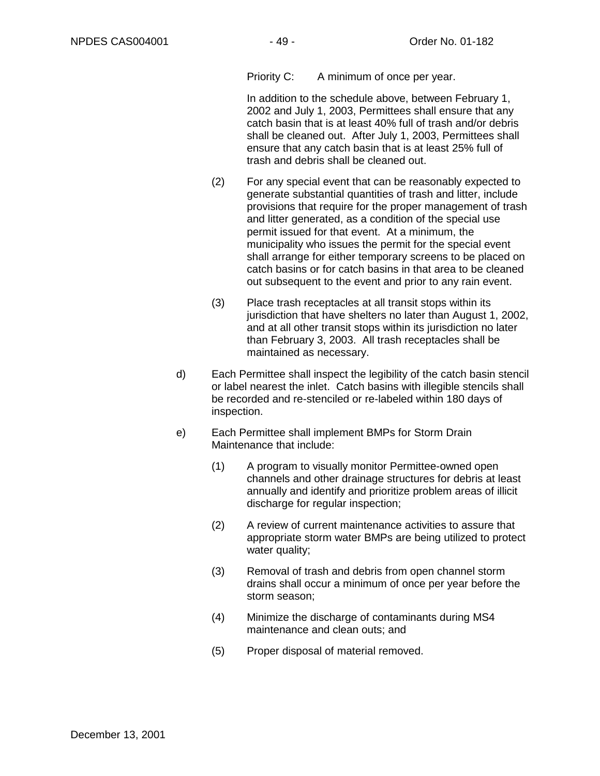Priority C: A minimum of once per year.

In addition to the schedule above, between February 1, 2002 and July 1, 2003, Permittees shall ensure that any catch basin that is at least 40% full of trash and/or debris shall be cleaned out. After July 1, 2003, Permittees shall ensure that any catch basin that is at least 25% full of trash and debris shall be cleaned out.

- (2) For any special event that can be reasonably expected to generate substantial quantities of trash and litter, include provisions that require for the proper management of trash and litter generated, as a condition of the special use permit issued for that event. At a minimum, the municipality who issues the permit for the special event shall arrange for either temporary screens to be placed on catch basins or for catch basins in that area to be cleaned out subsequent to the event and prior to any rain event.
- (3) Place trash receptacles at all transit stops within its jurisdiction that have shelters no later than August 1, 2002. and at all other transit stops within its jurisdiction no later than February 3, 2003. All trash receptacles shall be maintained as necessary.
- d) Each Permittee shall inspect the legibility of the catch basin stencil or label nearest the inlet. Catch basins with illegible stencils shall be recorded and re-stenciled or re-labeled within 180 days of inspection.
- e) Each Permittee shall implement BMPs for Storm Drain Maintenance that include:
	- (1) A program to visually monitor Permittee-owned open channels and other drainage structures for debris at least annually and identify and prioritize problem areas of illicit discharge for regular inspection;
	- (2) A review of current maintenance activities to assure that appropriate storm water BMPs are being utilized to protect water quality;
	- (3) Removal of trash and debris from open channel storm drains shall occur a minimum of once per year before the storm season;
	- (4) Minimize the discharge of contaminants during MS4 maintenance and clean outs; and
	- (5) Proper disposal of material removed.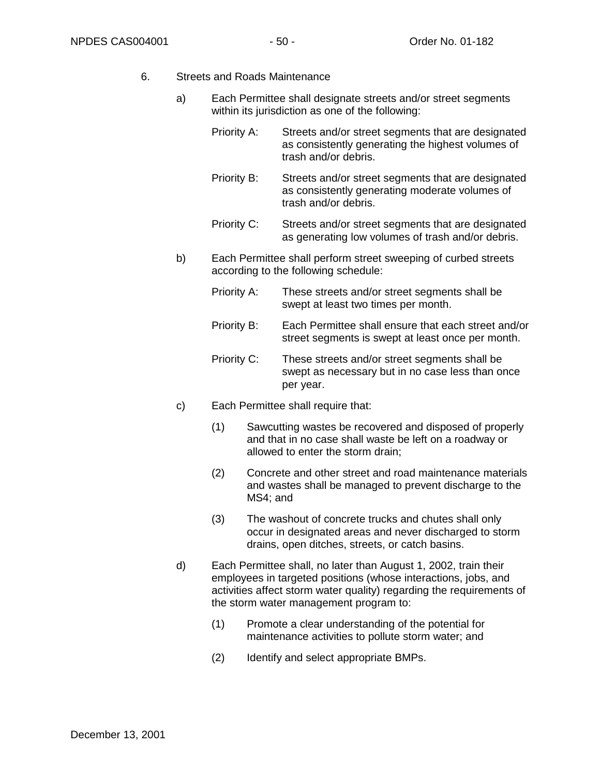- 6. Streets and Roads Maintenance
	- a) Each Permittee shall designate streets and/or street segments within its jurisdiction as one of the following:
		- Priority A: Streets and/or street segments that are designated as consistently generating the highest volumes of trash and/or debris.
		- Priority B: Streets and/or street segments that are designated as consistently generating moderate volumes of trash and/or debris.
		- Priority C: Streets and/or street segments that are designated as generating low volumes of trash and/or debris.
	- b) Each Permittee shall perform street sweeping of curbed streets according to the following schedule:
		- Priority A: These streets and/or street segments shall be swept at least two times per month.
		- Priority B: Each Permittee shall ensure that each street and/or street segments is swept at least once per month.
		- Priority C: These streets and/or street segments shall be swept as necessary but in no case less than once per year.
	- c) Each Permittee shall require that:
		- (1) Sawcutting wastes be recovered and disposed of properly and that in no case shall waste be left on a roadway or allowed to enter the storm drain;
		- (2) Concrete and other street and road maintenance materials and wastes shall be managed to prevent discharge to the MS4; and
		- (3) The washout of concrete trucks and chutes shall only occur in designated areas and never discharged to storm drains, open ditches, streets, or catch basins.
	- d) Each Permittee shall, no later than August 1, 2002, train their employees in targeted positions (whose interactions, jobs, and activities affect storm water quality) regarding the requirements of the storm water management program to:
		- (1) Promote a clear understanding of the potential for maintenance activities to pollute storm water; and
		- (2) Identify and select appropriate BMPs.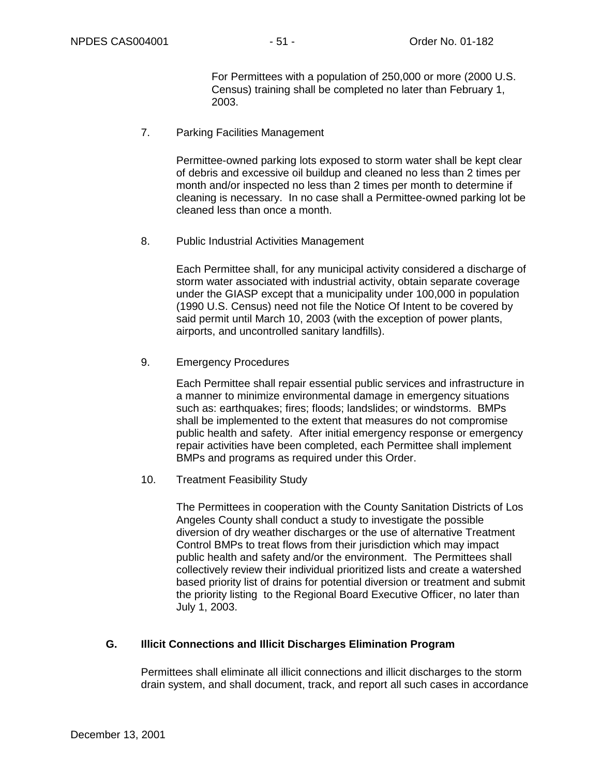For Permittees with a population of 250,000 or more (2000 U.S. Census) training shall be completed no later than February 1, 2003.

7. Parking Facilities Management

Permittee-owned parking lots exposed to storm water shall be kept clear of debris and excessive oil buildup and cleaned no less than 2 times per month and/or inspected no less than 2 times per month to determine if cleaning is necessary. In no case shall a Permittee-owned parking lot be cleaned less than once a month.

8. Public Industrial Activities Management

Each Permittee shall, for any municipal activity considered a discharge of storm water associated with industrial activity, obtain separate coverage under the GIASP except that a municipality under 100,000 in population (1990 U.S. Census) need not file the Notice Of Intent to be covered by said permit until March 10, 2003 (with the exception of power plants, airports, and uncontrolled sanitary landfills).

9. Emergency Procedures

Each Permittee shall repair essential public services and infrastructure in a manner to minimize environmental damage in emergency situations such as: earthquakes; fires; floods; landslides; or windstorms. BMPs shall be implemented to the extent that measures do not compromise public health and safety. After initial emergency response or emergency repair activities have been completed, each Permittee shall implement BMPs and programs as required under this Order.

10. Treatment Feasibility Study

The Permittees in cooperation with the County Sanitation Districts of Los Angeles County shall conduct a study to investigate the possible diversion of dry weather discharges or the use of alternative Treatment Control BMPs to treat flows from their jurisdiction which may impact public health and safety and/or the environment. The Permittees shall collectively review their individual prioritized lists and create a watershed based priority list of drains for potential diversion or treatment and submit the priority listing to the Regional Board Executive Officer, no later than July 1, 2003.

# **G. Illicit Connections and Illicit Discharges Elimination Program**

Permittees shall eliminate all illicit connections and illicit discharges to the storm drain system, and shall document, track, and report all such cases in accordance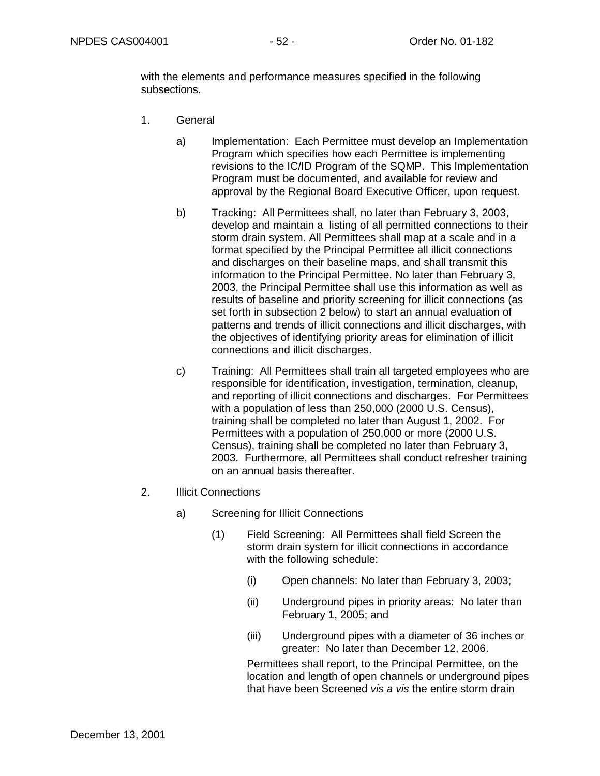with the elements and performance measures specified in the following subsections.

- 1. General
	- a) Implementation: Each Permittee must develop an Implementation Program which specifies how each Permittee is implementing revisions to the IC/ID Program of the SQMP. This Implementation Program must be documented, and available for review and approval by the Regional Board Executive Officer, upon request.
	- b) Tracking: All Permittees shall, no later than February 3, 2003, develop and maintain a listing of all permitted connections to their storm drain system. All Permittees shall map at a scale and in a format specified by the Principal Permittee all illicit connections and discharges on their baseline maps, and shall transmit this information to the Principal Permittee. No later than February 3, 2003, the Principal Permittee shall use this information as well as results of baseline and priority screening for illicit connections (as set forth in subsection 2 below) to start an annual evaluation of patterns and trends of illicit connections and illicit discharges, with the objectives of identifying priority areas for elimination of illicit connections and illicit discharges.
	- c) Training: All Permittees shall train all targeted employees who are responsible for identification, investigation, termination, cleanup, and reporting of illicit connections and discharges. For Permittees with a population of less than 250,000 (2000 U.S. Census), training shall be completed no later than August 1, 2002. For Permittees with a population of 250,000 or more (2000 U.S. Census), training shall be completed no later than February 3, 2003. Furthermore, all Permittees shall conduct refresher training on an annual basis thereafter.
- 2. Illicit Connections
	- a) Screening for Illicit Connections
		- (1) Field Screening: All Permittees shall field Screen the storm drain system for illicit connections in accordance with the following schedule:
			- (i) Open channels: No later than February 3, 2003;
			- (ii) Underground pipes in priority areas: No later than February 1, 2005; and
			- (iii) Underground pipes with a diameter of 36 inches or greater: No later than December 12, 2006.

Permittees shall report, to the Principal Permittee, on the location and length of open channels or underground pipes that have been Screened *vis a vis* the entire storm drain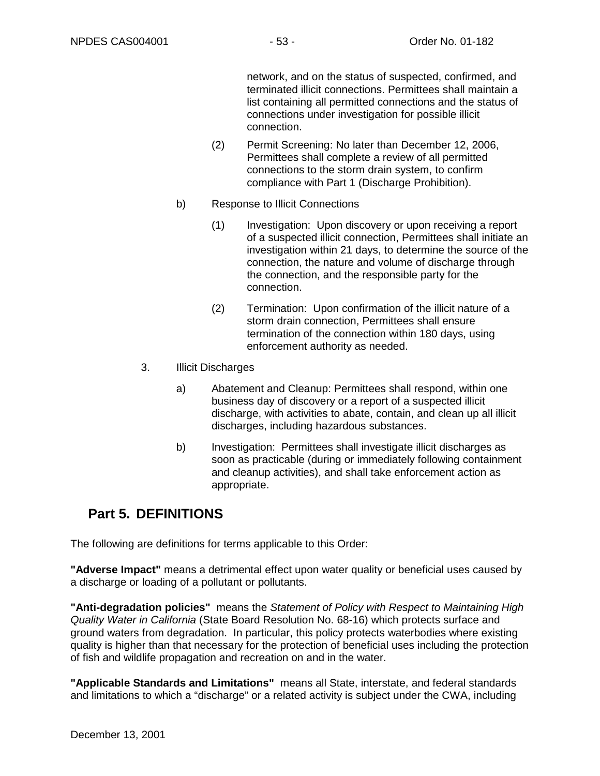network, and on the status of suspected, confirmed, and terminated illicit connections. Permittees shall maintain a list containing all permitted connections and the status of connections under investigation for possible illicit connection.

- (2) Permit Screening: No later than December 12, 2006, Permittees shall complete a review of all permitted connections to the storm drain system, to confirm compliance with Part 1 (Discharge Prohibition).
- b) Response to Illicit Connections
	- (1) Investigation: Upon discovery or upon receiving a report of a suspected illicit connection, Permittees shall initiate an investigation within 21 days, to determine the source of the connection, the nature and volume of discharge through the connection, and the responsible party for the connection.
	- (2) Termination: Upon confirmation of the illicit nature of a storm drain connection, Permittees shall ensure termination of the connection within 180 days, using enforcement authority as needed.
- 3. Illicit Discharges
	- a) Abatement and Cleanup: Permittees shall respond, within one business day of discovery or a report of a suspected illicit discharge, with activities to abate, contain, and clean up all illicit discharges, including hazardous substances.
	- b) Investigation: Permittees shall investigate illicit discharges as soon as practicable (during or immediately following containment and cleanup activities), and shall take enforcement action as appropriate.

# **Part 5. DEFINITIONS**

The following are definitions for terms applicable to this Order:

**"Adverse Impact"** means a detrimental effect upon water quality or beneficial uses caused by a discharge or loading of a pollutant or pollutants.

**"Anti-degradation policies"** means the *Statement of Policy with Respect to Maintaining High Quality Water in California* (State Board Resolution No. 68-16) which protects surface and ground waters from degradation. In particular, this policy protects waterbodies where existing quality is higher than that necessary for the protection of beneficial uses including the protection of fish and wildlife propagation and recreation on and in the water.

**"Applicable Standards and Limitations"** means all State, interstate, and federal standards and limitations to which a "discharge" or a related activity is subject under the CWA, including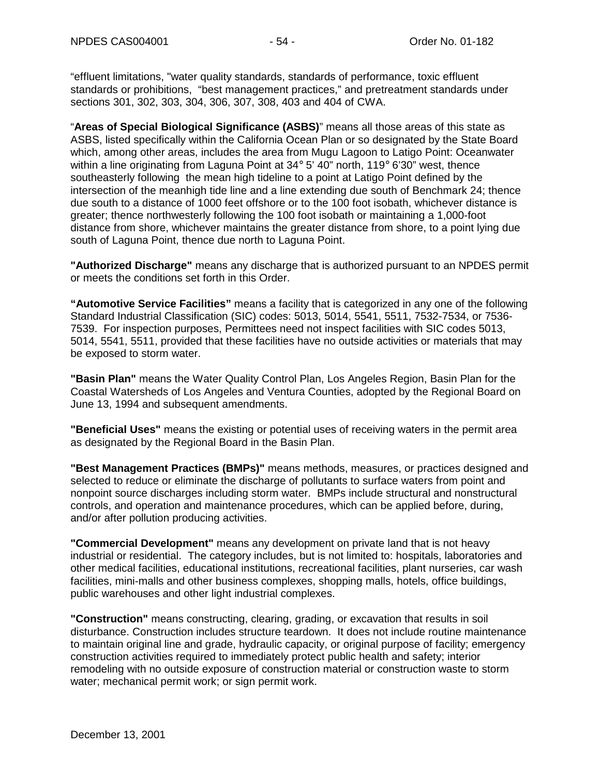"effluent limitations, "water quality standards, standards of performance, toxic effluent standards or prohibitions, "best management practices," and pretreatment standards under sections 301, 302, 303, 304, 306, 307, 308, 403 and 404 of CWA.

"**Areas of Special Biological Significance (ASBS)**" means all those areas of this state as ASBS, listed specifically within the California Ocean Plan or so designated by the State Board which, among other areas, includes the area from Mugu Lagoon to Latigo Point: Oceanwater within a line originating from Laguna Point at 34° 5' 40" north, 119° 6'30" west, thence southeasterly following the mean high tideline to a point at Latigo Point defined by the intersection of the meanhigh tide line and a line extending due south of Benchmark 24; thence due south to a distance of 1000 feet offshore or to the 100 foot isobath, whichever distance is greater; thence northwesterly following the 100 foot isobath or maintaining a 1,000-foot distance from shore, whichever maintains the greater distance from shore, to a point lying due south of Laguna Point, thence due north to Laguna Point.

**"Authorized Discharge"** means any discharge that is authorized pursuant to an NPDES permit or meets the conditions set forth in this Order.

**"Automotive Service Facilities"** means a facility that is categorized in any one of the following Standard Industrial Classification (SIC) codes: 5013, 5014, 5541, 5511, 7532-7534, or 7536- 7539. For inspection purposes, Permittees need not inspect facilities with SIC codes 5013, 5014, 5541, 5511, provided that these facilities have no outside activities or materials that may be exposed to storm water.

**"Basin Plan"** means the Water Quality Control Plan, Los Angeles Region, Basin Plan for the Coastal Watersheds of Los Angeles and Ventura Counties, adopted by the Regional Board on June 13, 1994 and subsequent amendments.

**"Beneficial Uses"** means the existing or potential uses of receiving waters in the permit area as designated by the Regional Board in the Basin Plan.

**"Best Management Practices (BMPs)"** means methods, measures, or practices designed and selected to reduce or eliminate the discharge of pollutants to surface waters from point and nonpoint source discharges including storm water. BMPs include structural and nonstructural controls, and operation and maintenance procedures, which can be applied before, during, and/or after pollution producing activities.

**"Commercial Development"** means any development on private land that is not heavy industrial or residential. The category includes, but is not limited to: hospitals, laboratories and other medical facilities, educational institutions, recreational facilities, plant nurseries, car wash facilities, mini-malls and other business complexes, shopping malls, hotels, office buildings, public warehouses and other light industrial complexes.

**"Construction"** means constructing, clearing, grading, or excavation that results in soil disturbance. Construction includes structure teardown. It does not include routine maintenance to maintain original line and grade, hydraulic capacity, or original purpose of facility; emergency construction activities required to immediately protect public health and safety; interior remodeling with no outside exposure of construction material or construction waste to storm water; mechanical permit work; or sign permit work.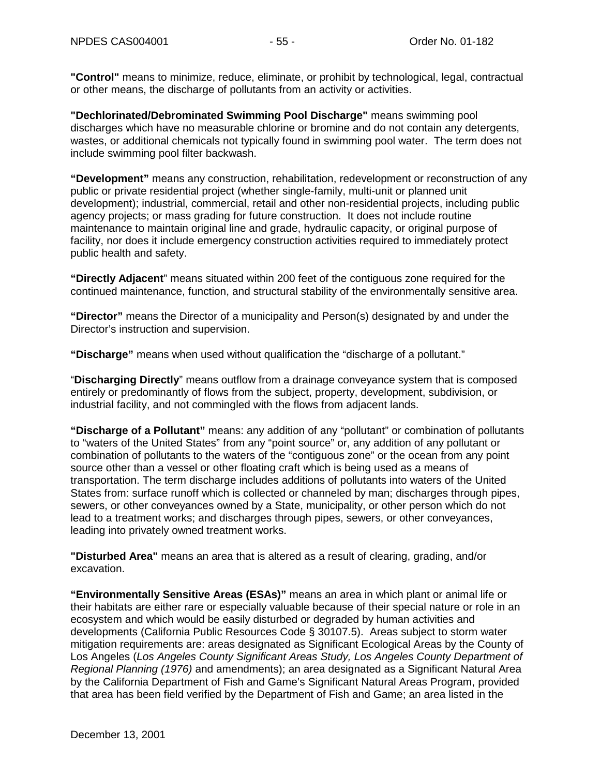**"Control"** means to minimize, reduce, eliminate, or prohibit by technological, legal, contractual or other means, the discharge of pollutants from an activity or activities.

**"Dechlorinated/Debrominated Swimming Pool Discharge"** means swimming pool discharges which have no measurable chlorine or bromine and do not contain any detergents, wastes, or additional chemicals not typically found in swimming pool water. The term does not include swimming pool filter backwash.

**"Development"** means any construction, rehabilitation, redevelopment or reconstruction of any public or private residential project (whether single-family, multi-unit or planned unit development); industrial, commercial, retail and other non-residential projects, including public agency projects; or mass grading for future construction. It does not include routine maintenance to maintain original line and grade, hydraulic capacity, or original purpose of facility, nor does it include emergency construction activities required to immediately protect public health and safety.

**"Directly Adjacent**" means situated within 200 feet of the contiguous zone required for the continued maintenance, function, and structural stability of the environmentally sensitive area.

**"Director"** means the Director of a municipality and Person(s) designated by and under the Director's instruction and supervision.

**"Discharge"** means when used without qualification the "discharge of a pollutant."

"**Discharging Directly**" means outflow from a drainage conveyance system that is composed entirely or predominantly of flows from the subject, property, development, subdivision, or industrial facility, and not commingled with the flows from adjacent lands.

**"Discharge of a Pollutant"** means: any addition of any "pollutant" or combination of pollutants to "waters of the United States" from any "point source" or, any addition of any pollutant or combination of pollutants to the waters of the "contiguous zone" or the ocean from any point source other than a vessel or other floating craft which is being used as a means of transportation. The term discharge includes additions of pollutants into waters of the United States from: surface runoff which is collected or channeled by man; discharges through pipes, sewers, or other conveyances owned by a State, municipality, or other person which do not lead to a treatment works; and discharges through pipes, sewers, or other conveyances, leading into privately owned treatment works.

**"Disturbed Area"** means an area that is altered as a result of clearing, grading, and/or excavation.

**"Environmentally Sensitive Areas (ESAs)"** means an area in which plant or animal life or their habitats are either rare or especially valuable because of their special nature or role in an ecosystem and which would be easily disturbed or degraded by human activities and developments (California Public Resources Code § 30107.5). Areas subject to storm water mitigation requirements are: areas designated as Significant Ecological Areas by the County of Los Angeles (*Los Angeles County Significant Areas Study, Los Angeles County Department of Regional Planning (1976)* and amendments); an area designated as a Significant Natural Area by the California Department of Fish and Game's Significant Natural Areas Program, provided that area has been field verified by the Department of Fish and Game; an area listed in the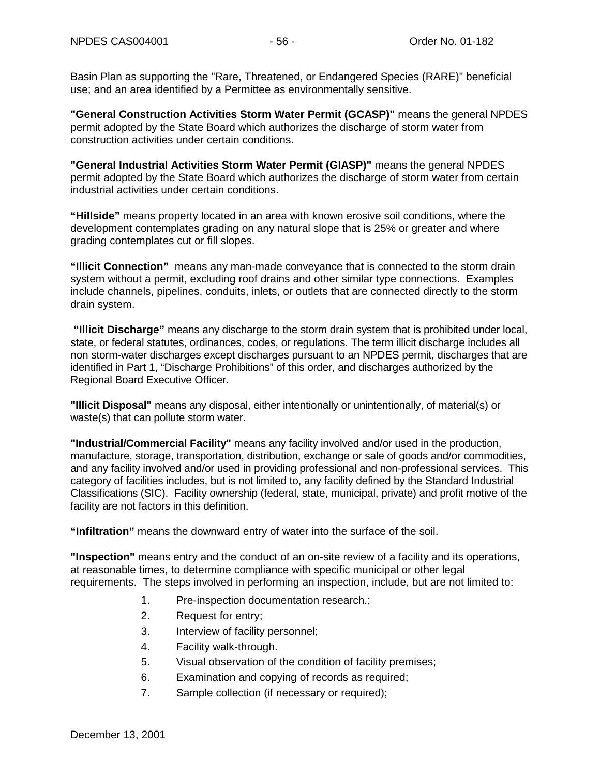Basin Plan as supporting the "Rare, Threatened, or Endangered Species (RARE)" beneficial use; and an area identified by a Permittee as environmentally sensitive.

**"General Construction Activities Storm Water Permit (GCASP)"** means the general NPDES permit adopted by the State Board which authorizes the discharge of storm water from construction activities under certain conditions.

**"General Industrial Activities Storm Water Permit (GIASP)"** means the general NPDES permit adopted by the State Board which authorizes the discharge of storm water from certain industrial activities under certain conditions.

**"Hillside"** means property located in an area with known erosive soil conditions, where the development contemplates grading on any natural slope that is 25% or greater and where grading contemplates cut or fill slopes.

**"Illicit Connection"** means any man-made conveyance that is connected to the storm drain system without a permit, excluding roof drains and other similar type connections. Examples include channels, pipelines, conduits, inlets, or outlets that are connected directly to the storm drain system.

 **"Illicit Discharge"** means any discharge to the storm drain system that is prohibited under local, state, or federal statutes, ordinances, codes, or regulations. The term illicit discharge includes all non storm-water discharges except discharges pursuant to an NPDES permit, discharges that are identified in Part 1, "Discharge Prohibitions" of this order, and discharges authorized by the Regional Board Executive Officer.

**"Illicit Disposal"** means any disposal, either intentionally or unintentionally, of material(s) or waste(s) that can pollute storm water.

**"Industrial/Commercial Facility"** means any facility involved and/or used in the production, manufacture, storage, transportation, distribution, exchange or sale of goods and/or commodities, and any facility involved and/or used in providing professional and non-professional services. This category of facilities includes, but is not limited to, any facility defined by the Standard Industrial Classifications (SIC). Facility ownership (federal, state, municipal, private) and profit motive of the facility are not factors in this definition.

**"Infiltration"** means the downward entry of water into the surface of the soil.

**"Inspection"** means entry and the conduct of an on-site review of a facility and its operations, at reasonable times, to determine compliance with specific municipal or other legal requirements. The steps involved in performing an inspection, include, but are not limited to:

- 1. Pre-inspection documentation research.;
- 2. Request for entry;
- 3. Interview of facility personnel;
- 4. Facility walk-through.
- 5. Visual observation of the condition of facility premises;
- 6. Examination and copying of records as required;
- 7. Sample collection (if necessary or required);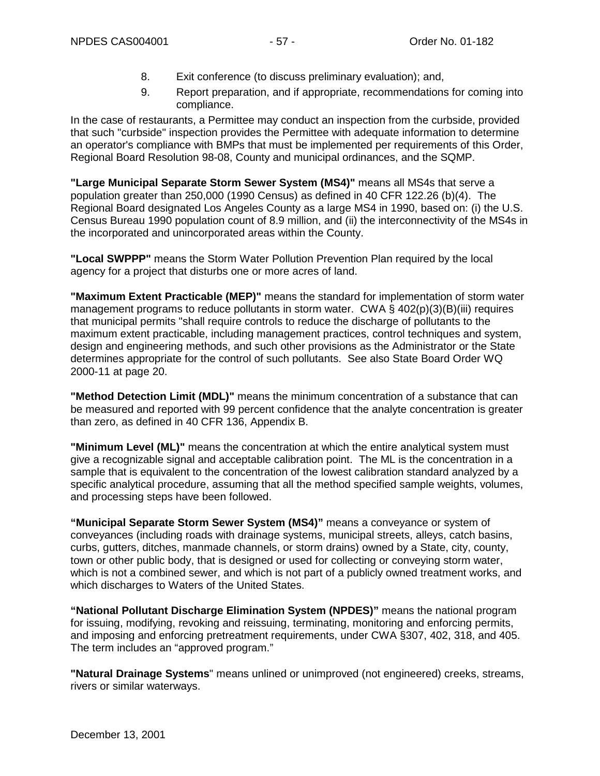- 8. Exit conference (to discuss preliminary evaluation); and,
- 9. Report preparation, and if appropriate, recommendations for coming into compliance.

In the case of restaurants, a Permittee may conduct an inspection from the curbside, provided that such "curbside" inspection provides the Permittee with adequate information to determine an operator's compliance with BMPs that must be implemented per requirements of this Order, Regional Board Resolution 98-08, County and municipal ordinances, and the SQMP.

**"Large Municipal Separate Storm Sewer System (MS4)"** means all MS4s that serve a population greater than 250,000 (1990 Census) as defined in 40 CFR 122.26 (b)(4). The Regional Board designated Los Angeles County as a large MS4 in 1990, based on: (i) the U.S. Census Bureau 1990 population count of 8.9 million, and (ii) the interconnectivity of the MS4s in the incorporated and unincorporated areas within the County.

**"Local SWPPP"** means the Storm Water Pollution Prevention Plan required by the local agency for a project that disturbs one or more acres of land.

**"Maximum Extent Practicable (MEP)"** means the standard for implementation of storm water management programs to reduce pollutants in storm water. CWA § 402(p)(3)(B)(iii) requires that municipal permits "shall require controls to reduce the discharge of pollutants to the maximum extent practicable, including management practices, control techniques and system, design and engineering methods, and such other provisions as the Administrator or the State determines appropriate for the control of such pollutants. See also State Board Order WQ 2000-11 at page 20.

**"Method Detection Limit (MDL)"** means the minimum concentration of a substance that can be measured and reported with 99 percent confidence that the analyte concentration is greater than zero, as defined in 40 CFR 136, Appendix B.

**"Minimum Level (ML)"** means the concentration at which the entire analytical system must give a recognizable signal and acceptable calibration point. The ML is the concentration in a sample that is equivalent to the concentration of the lowest calibration standard analyzed by a specific analytical procedure, assuming that all the method specified sample weights, volumes, and processing steps have been followed.

**"Municipal Separate Storm Sewer System (MS4)"** means a conveyance or system of conveyances (including roads with drainage systems, municipal streets, alleys, catch basins, curbs, gutters, ditches, manmade channels, or storm drains) owned by a State, city, county, town or other public body, that is designed or used for collecting or conveying storm water, which is not a combined sewer, and which is not part of a publicly owned treatment works, and which discharges to Waters of the United States.

**"National Pollutant Discharge Elimination System (NPDES)"** means the national program for issuing, modifying, revoking and reissuing, terminating, monitoring and enforcing permits, and imposing and enforcing pretreatment requirements, under CWA §307, 402, 318, and 405. The term includes an "approved program."

**"Natural Drainage Systems**" means unlined or unimproved (not engineered) creeks, streams, rivers or similar waterways.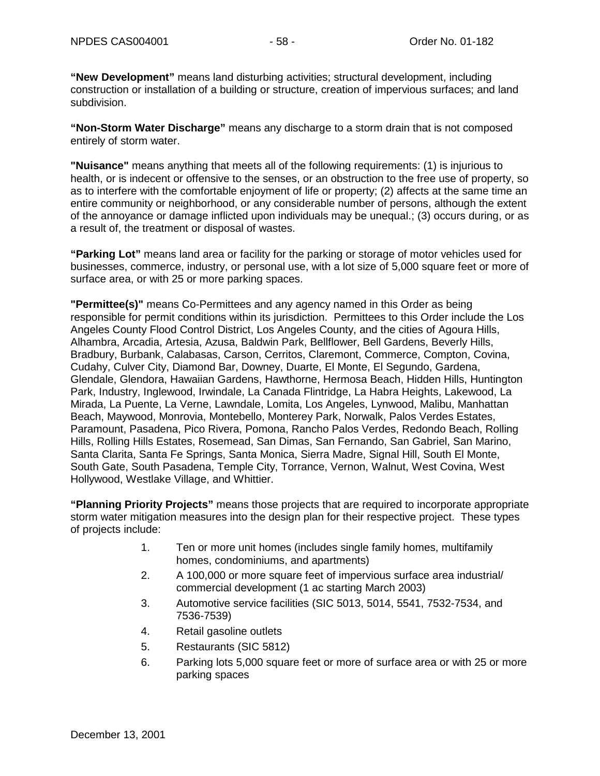**"New Development"** means land disturbing activities; structural development, including construction or installation of a building or structure, creation of impervious surfaces; and land subdivision.

**"Non-Storm Water Discharge"** means any discharge to a storm drain that is not composed entirely of storm water.

**"Nuisance"** means anything that meets all of the following requirements: (1) is injurious to health, or is indecent or offensive to the senses, or an obstruction to the free use of property, so as to interfere with the comfortable enjoyment of life or property; (2) affects at the same time an entire community or neighborhood, or any considerable number of persons, although the extent of the annoyance or damage inflicted upon individuals may be unequal.; (3) occurs during, or as a result of, the treatment or disposal of wastes.

**"Parking Lot"** means land area or facility for the parking or storage of motor vehicles used for businesses, commerce, industry, or personal use, with a lot size of 5,000 square feet or more of surface area, or with 25 or more parking spaces.

**"Permittee(s)"** means Co-Permittees and any agency named in this Order as being responsible for permit conditions within its jurisdiction. Permittees to this Order include the Los Angeles County Flood Control District, Los Angeles County, and the cities of Agoura Hills, Alhambra, Arcadia, Artesia, Azusa, Baldwin Park, Bellflower, Bell Gardens, Beverly Hills, Bradbury, Burbank, Calabasas, Carson, Cerritos, Claremont, Commerce, Compton, Covina, Cudahy, Culver City, Diamond Bar, Downey, Duarte, El Monte, El Segundo, Gardena, Glendale, Glendora, Hawaiian Gardens, Hawthorne, Hermosa Beach, Hidden Hills, Huntington Park, Industry, Inglewood, Irwindale, La Canada Flintridge, La Habra Heights, Lakewood, La Mirada, La Puente, La Verne, Lawndale, Lomita, Los Angeles, Lynwood, Malibu, Manhattan Beach, Maywood, Monrovia, Montebello, Monterey Park, Norwalk, Palos Verdes Estates, Paramount, Pasadena, Pico Rivera, Pomona, Rancho Palos Verdes, Redondo Beach, Rolling Hills, Rolling Hills Estates, Rosemead, San Dimas, San Fernando, San Gabriel, San Marino, Santa Clarita, Santa Fe Springs, Santa Monica, Sierra Madre, Signal Hill, South El Monte, South Gate, South Pasadena, Temple City, Torrance, Vernon, Walnut, West Covina, West Hollywood, Westlake Village, and Whittier.

**"Planning Priority Projects"** means those projects that are required to incorporate appropriate storm water mitigation measures into the design plan for their respective project. These types of projects include:

- 1. Ten or more unit homes (includes single family homes, multifamily homes, condominiums, and apartments)
- 2. A 100,000 or more square feet of impervious surface area industrial/ commercial development (1 ac starting March 2003)
- 3. Automotive service facilities (SIC 5013, 5014, 5541, 7532-7534, and 7536-7539)
- 4. Retail gasoline outlets
- 5. Restaurants (SIC 5812)
- 6. Parking lots 5,000 square feet or more of surface area or with 25 or more parking spaces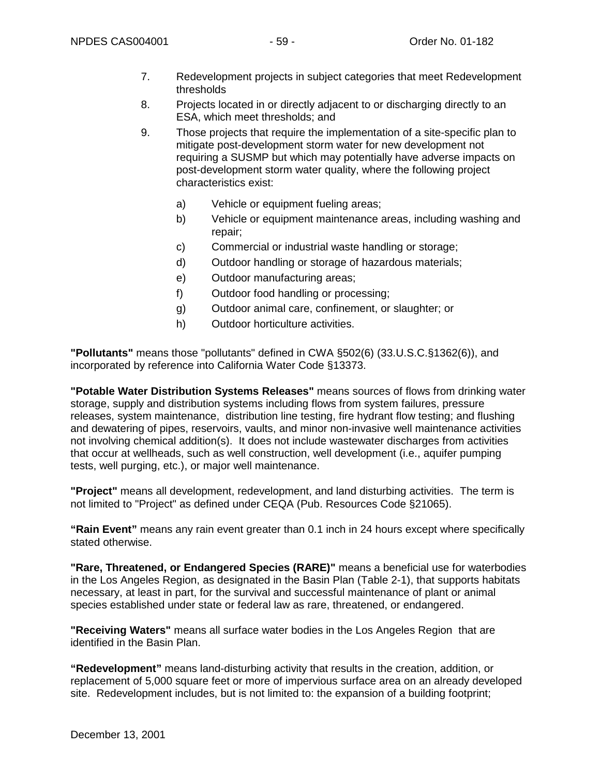- 7. Redevelopment projects in subject categories that meet Redevelopment thresholds
- 8. Projects located in or directly adjacent to or discharging directly to an ESA, which meet thresholds; and
- 9. Those projects that require the implementation of a site-specific plan to mitigate post-development storm water for new development not requiring a SUSMP but which may potentially have adverse impacts on post-development storm water quality, where the following project characteristics exist:
	- a) Vehicle or equipment fueling areas;
	- b) Vehicle or equipment maintenance areas, including washing and repair;
	- c) Commercial or industrial waste handling or storage;
	- d) Outdoor handling or storage of hazardous materials;
	- e) Outdoor manufacturing areas;
	- f) Outdoor food handling or processing;
	- g) Outdoor animal care, confinement, or slaughter; or
	- h) Outdoor horticulture activities.

**"Pollutants"** means those "pollutants" defined in CWA §502(6) (33.U.S.C.§1362(6)), and incorporated by reference into California Water Code §13373.

**"Potable Water Distribution Systems Releases"** means sources of flows from drinking water storage, supply and distribution systems including flows from system failures, pressure releases, system maintenance, distribution line testing, fire hydrant flow testing; and flushing and dewatering of pipes, reservoirs, vaults, and minor non-invasive well maintenance activities not involving chemical addition(s). It does not include wastewater discharges from activities that occur at wellheads, such as well construction, well development (i.e., aquifer pumping tests, well purging, etc.), or major well maintenance.

**"Project"** means all development, redevelopment, and land disturbing activities. The term is not limited to "Project" as defined under CEQA (Pub. Resources Code §21065).

**"Rain Event"** means any rain event greater than 0.1 inch in 24 hours except where specifically stated otherwise.

**"Rare, Threatened, or Endangered Species (RARE)"** means a beneficial use for waterbodies in the Los Angeles Region, as designated in the Basin Plan (Table 2-1), that supports habitats necessary, at least in part, for the survival and successful maintenance of plant or animal species established under state or federal law as rare, threatened, or endangered.

**"Receiving Waters"** means all surface water bodies in the Los Angeles Region that are identified in the Basin Plan.

**"Redevelopment"** means land-disturbing activity that results in the creation, addition, or replacement of 5,000 square feet or more of impervious surface area on an already developed site. Redevelopment includes, but is not limited to: the expansion of a building footprint;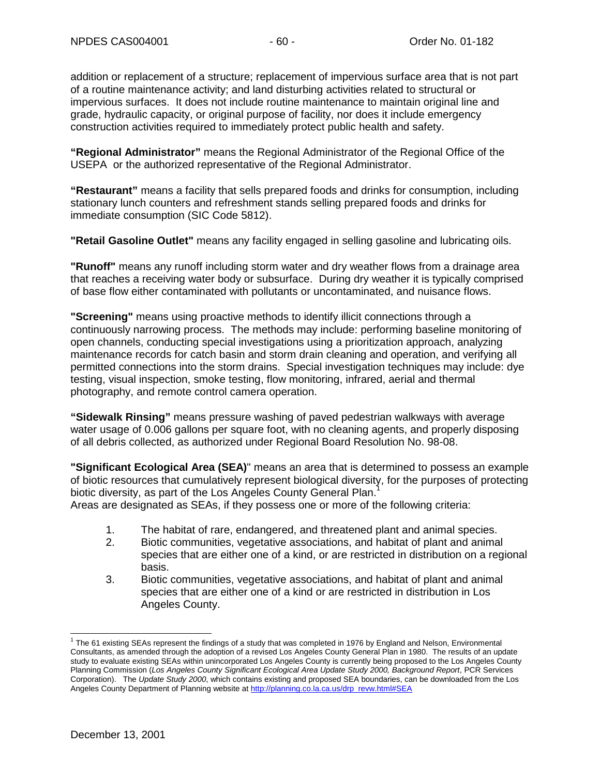addition or replacement of a structure; replacement of impervious surface area that is not part of a routine maintenance activity; and land disturbing activities related to structural or impervious surfaces. It does not include routine maintenance to maintain original line and grade, hydraulic capacity, or original purpose of facility, nor does it include emergency construction activities required to immediately protect public health and safety.

**"Regional Administrator"** means the Regional Administrator of the Regional Office of the USEPA or the authorized representative of the Regional Administrator.

**"Restaurant"** means a facility that sells prepared foods and drinks for consumption, including stationary lunch counters and refreshment stands selling prepared foods and drinks for immediate consumption (SIC Code 5812).

**"Retail Gasoline Outlet"** means any facility engaged in selling gasoline and lubricating oils.

**"Runoff"** means any runoff including storm water and dry weather flows from a drainage area that reaches a receiving water body or subsurface. During dry weather it is typically comprised of base flow either contaminated with pollutants or uncontaminated, and nuisance flows.

**"Screening"** means using proactive methods to identify illicit connections through a continuously narrowing process. The methods may include: performing baseline monitoring of open channels, conducting special investigations using a prioritization approach, analyzing maintenance records for catch basin and storm drain cleaning and operation, and verifying all permitted connections into the storm drains. Special investigation techniques may include: dye testing, visual inspection, smoke testing, flow monitoring, infrared, aerial and thermal photography, and remote control camera operation.

**"Sidewalk Rinsing"** means pressure washing of paved pedestrian walkways with average water usage of 0.006 gallons per square foot, with no cleaning agents, and properly disposing of all debris collected, as authorized under Regional Board Resolution No. 98-08.

**"Significant Ecological Area (SEA)**" means an area that is determined to possess an example of biotic resources that cumulatively represent biological diversity, for the purposes of protecting biotic diversity, as part of the Los Angeles County General Plan.<sup>1</sup> Areas are designated as SEAs, if they possess one or more of the following criteria:

- 1. The habitat of rare, endangered, and threatened plant and animal species.
- 2. Biotic communities, vegetative associations, and habitat of plant and animal species that are either one of a kind, or are restricted in distribution on a regional basis.
- 3. Biotic communities, vegetative associations, and habitat of plant and animal species that are either one of a kind or are restricted in distribution in Los Angeles County.

<sup>&</sup>lt;sup>1</sup> The 61 existing SEAs represent the findings of a study that was completed in 1976 by England and Nelson, Environmental Consultants, as amended through the adoption of a revised Los Angeles County General Plan in 1980. The results of an update study to evaluate existing SEAs within unincorporated Los Angeles County is currently being proposed to the Los Angeles County Planning Commission (*Los Angeles County Significant Ecological Area Update Study 2000, Background Report*, PCR Services Corporation). The *Update Study 2000*, which contains existing and proposed SEA boundaries, can be downloaded from the Los Angeles County Department of Planning website at http://planning.co.la.ca.us/drp\_revw.html#SEA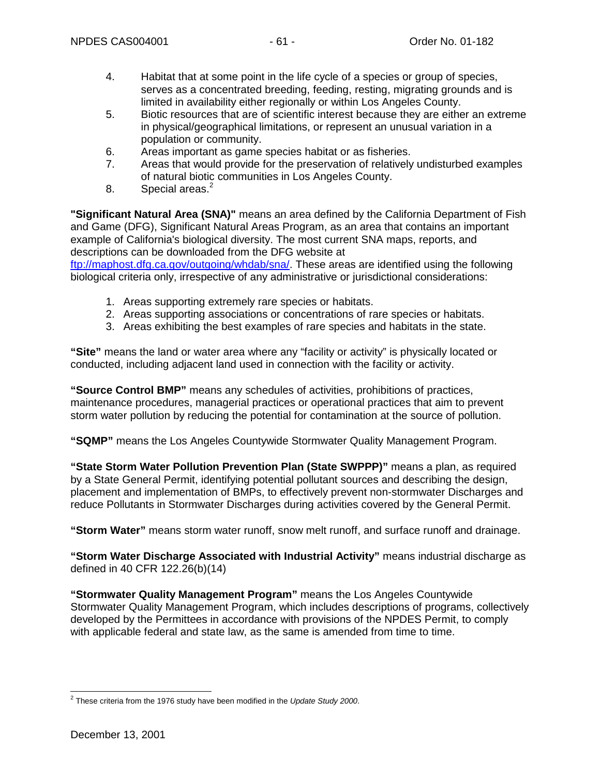- 4. Habitat that at some point in the life cycle of a species or group of species, serves as a concentrated breeding, feeding, resting, migrating grounds and is limited in availability either regionally or within Los Angeles County.
- 5. Biotic resources that are of scientific interest because they are either an extreme in physical/geographical limitations, or represent an unusual variation in a population or community.
- 6. Areas important as game species habitat or as fisheries.
- 7. Areas that would provide for the preservation of relatively undisturbed examples of natural biotic communities in Los Angeles County.
- 8. Special areas.<sup>2</sup>

**"Significant Natural Area (SNA)"** means an area defined by the California Department of Fish and Game (DFG), Significant Natural Areas Program, as an area that contains an important example of California's biological diversity. The most current SNA maps, reports, and descriptions can be downloaded from the DFG website at

ftp://maphost.dfg.ca.gov/outgoing/whdab/sna/. These areas are identified using the following biological criteria only, irrespective of any administrative or jurisdictional considerations:

- 1. Areas supporting extremely rare species or habitats.
- 2. Areas supporting associations or concentrations of rare species or habitats.
- 3. Areas exhibiting the best examples of rare species and habitats in the state.

**"Site"** means the land or water area where any "facility or activity" is physically located or conducted, including adjacent land used in connection with the facility or activity.

**"Source Control BMP"** means any schedules of activities, prohibitions of practices, maintenance procedures, managerial practices or operational practices that aim to prevent storm water pollution by reducing the potential for contamination at the source of pollution.

**"SQMP"** means the Los Angeles Countywide Stormwater Quality Management Program.

**"State Storm Water Pollution Prevention Plan (State SWPPP)"** means a plan, as required by a State General Permit, identifying potential pollutant sources and describing the design, placement and implementation of BMPs, to effectively prevent non-stormwater Discharges and reduce Pollutants in Stormwater Discharges during activities covered by the General Permit.

**"Storm Water"** means storm water runoff, snow melt runoff, and surface runoff and drainage.

**"Storm Water Discharge Associated with Industrial Activity"** means industrial discharge as defined in 40 CFR 122.26(b)(14)

**"Stormwater Quality Management Program"** means the Los Angeles Countywide Stormwater Quality Management Program, which includes descriptions of programs, collectively developed by the Permittees in accordance with provisions of the NPDES Permit, to comply with applicable federal and state law, as the same is amended from time to time.

 2 These criteria from the 1976 study have been modified in the *Update Study 2000*.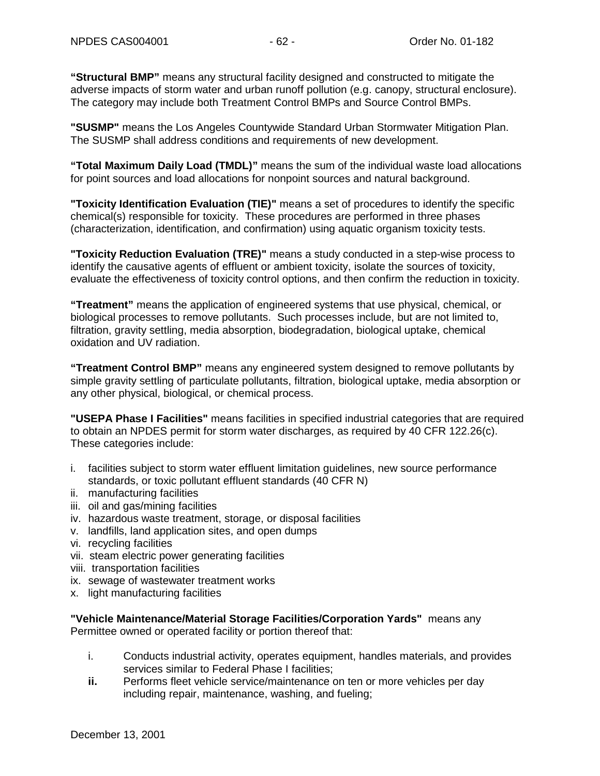**"Structural BMP"** means any structural facility designed and constructed to mitigate the adverse impacts of storm water and urban runoff pollution (e.g. canopy, structural enclosure). The category may include both Treatment Control BMPs and Source Control BMPs.

**"SUSMP"** means the Los Angeles Countywide Standard Urban Stormwater Mitigation Plan. The SUSMP shall address conditions and requirements of new development.

**"Total Maximum Daily Load (TMDL)"** means the sum of the individual waste load allocations for point sources and load allocations for nonpoint sources and natural background.

**"Toxicity Identification Evaluation (TIE)"** means a set of procedures to identify the specific chemical(s) responsible for toxicity. These procedures are performed in three phases (characterization, identification, and confirmation) using aquatic organism toxicity tests.

**"Toxicity Reduction Evaluation (TRE)"** means a study conducted in a step-wise process to identify the causative agents of effluent or ambient toxicity, isolate the sources of toxicity, evaluate the effectiveness of toxicity control options, and then confirm the reduction in toxicity.

**"Treatment"** means the application of engineered systems that use physical, chemical, or biological processes to remove pollutants. Such processes include, but are not limited to, filtration, gravity settling, media absorption, biodegradation, biological uptake, chemical oxidation and UV radiation.

**"Treatment Control BMP"** means any engineered system designed to remove pollutants by simple gravity settling of particulate pollutants, filtration, biological uptake, media absorption or any other physical, biological, or chemical process.

**"USEPA Phase I Facilities"** means facilities in specified industrial categories that are required to obtain an NPDES permit for storm water discharges, as required by 40 CFR 122.26(c). These categories include:

- i. facilities subject to storm water effluent limitation guidelines, new source performance standards, or toxic pollutant effluent standards (40 CFR N)
- ii. manufacturing facilities
- iii. oil and gas/mining facilities
- iv. hazardous waste treatment, storage, or disposal facilities
- v. landfills, land application sites, and open dumps
- vi. recycling facilities
- vii. steam electric power generating facilities
- viii. transportation facilities
- ix. sewage of wastewater treatment works
- x. light manufacturing facilities

**"Vehicle Maintenance/Material Storage Facilities/Corporation Yards"** means any Permittee owned or operated facility or portion thereof that:

- i. Conducts industrial activity, operates equipment, handles materials, and provides services similar to Federal Phase I facilities;
- **ii.** Performs fleet vehicle service/maintenance on ten or more vehicles per day including repair, maintenance, washing, and fueling;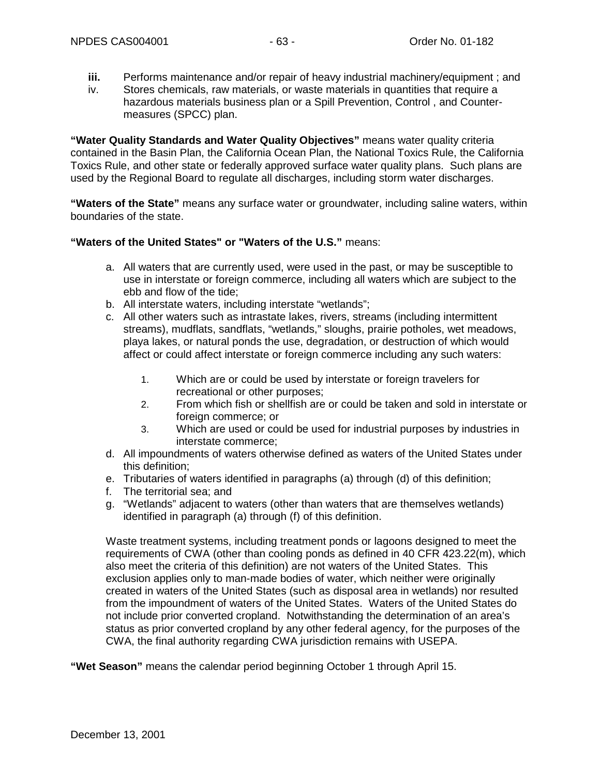- **iii.** Performs maintenance and/or repair of heavy industrial machinery/equipment ; and
- iv. Stores chemicals, raw materials, or waste materials in quantities that require a hazardous materials business plan or a Spill Prevention, Control , and Countermeasures (SPCC) plan.

**"Water Quality Standards and Water Quality Objectives"** means water quality criteria contained in the Basin Plan, the California Ocean Plan, the National Toxics Rule, the California Toxics Rule, and other state or federally approved surface water quality plans. Such plans are used by the Regional Board to regulate all discharges, including storm water discharges.

**"Waters of the State"** means any surface water or groundwater, including saline waters, within boundaries of the state.

### **"Waters of the United States" or "Waters of the U.S."** means:

- a. All waters that are currently used, were used in the past, or may be susceptible to use in interstate or foreign commerce, including all waters which are subject to the ebb and flow of the tide;
- b. All interstate waters, including interstate "wetlands";
- c. All other waters such as intrastate lakes, rivers, streams (including intermittent streams), mudflats, sandflats, "wetlands," sloughs, prairie potholes, wet meadows, playa lakes, or natural ponds the use, degradation, or destruction of which would affect or could affect interstate or foreign commerce including any such waters:
	- 1. Which are or could be used by interstate or foreign travelers for recreational or other purposes;
	- 2. From which fish or shellfish are or could be taken and sold in interstate or foreign commerce; or
	- 3. Which are used or could be used for industrial purposes by industries in interstate commerce;
- d. All impoundments of waters otherwise defined as waters of the United States under this definition;
- e. Tributaries of waters identified in paragraphs (a) through (d) of this definition;
- f. The territorial sea; and
- g. "Wetlands" adjacent to waters (other than waters that are themselves wetlands) identified in paragraph (a) through (f) of this definition.

Waste treatment systems, including treatment ponds or lagoons designed to meet the requirements of CWA (other than cooling ponds as defined in 40 CFR 423.22(m), which also meet the criteria of this definition) are not waters of the United States. This exclusion applies only to man-made bodies of water, which neither were originally created in waters of the United States (such as disposal area in wetlands) nor resulted from the impoundment of waters of the United States. Waters of the United States do not include prior converted cropland. Notwithstanding the determination of an area's status as prior converted cropland by any other federal agency, for the purposes of the CWA, the final authority regarding CWA jurisdiction remains with USEPA.

**"Wet Season"** means the calendar period beginning October 1 through April 15.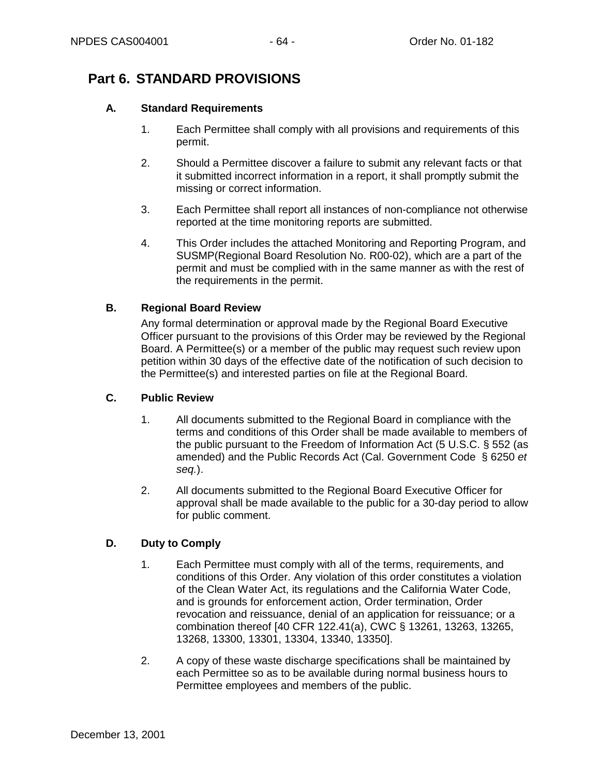# **Part 6. STANDARD PROVISIONS**

# **A. Standard Requirements**

- 1. Each Permittee shall comply with all provisions and requirements of this permit.
- 2. Should a Permittee discover a failure to submit any relevant facts or that it submitted incorrect information in a report, it shall promptly submit the missing or correct information.
- 3. Each Permittee shall report all instances of non-compliance not otherwise reported at the time monitoring reports are submitted.
- 4. This Order includes the attached Monitoring and Reporting Program, and SUSMP(Regional Board Resolution No. R00-02), which are a part of the permit and must be complied with in the same manner as with the rest of the requirements in the permit.

# **B. Regional Board Review**

Any formal determination or approval made by the Regional Board Executive Officer pursuant to the provisions of this Order may be reviewed by the Regional Board. A Permittee(s) or a member of the public may request such review upon petition within 30 days of the effective date of the notification of such decision to the Permittee(s) and interested parties on file at the Regional Board.

# **C. Public Review**

- 1. All documents submitted to the Regional Board in compliance with the terms and conditions of this Order shall be made available to members of the public pursuant to the Freedom of Information Act (5 U.S.C. § 552 (as amended) and the Public Records Act (Cal. Government Code § 6250 *et seq.*).
- 2. All documents submitted to the Regional Board Executive Officer for approval shall be made available to the public for a 30-day period to allow for public comment.

# **D. Duty to Comply**

- 1. Each Permittee must comply with all of the terms, requirements, and conditions of this Order. Any violation of this order constitutes a violation of the Clean Water Act, its regulations and the California Water Code, and is grounds for enforcement action, Order termination, Order revocation and reissuance, denial of an application for reissuance; or a combination thereof [40 CFR 122.41(a), CWC § 13261, 13263, 13265, 13268, 13300, 13301, 13304, 13340, 13350].
- 2. A copy of these waste discharge specifications shall be maintained by each Permittee so as to be available during normal business hours to Permittee employees and members of the public.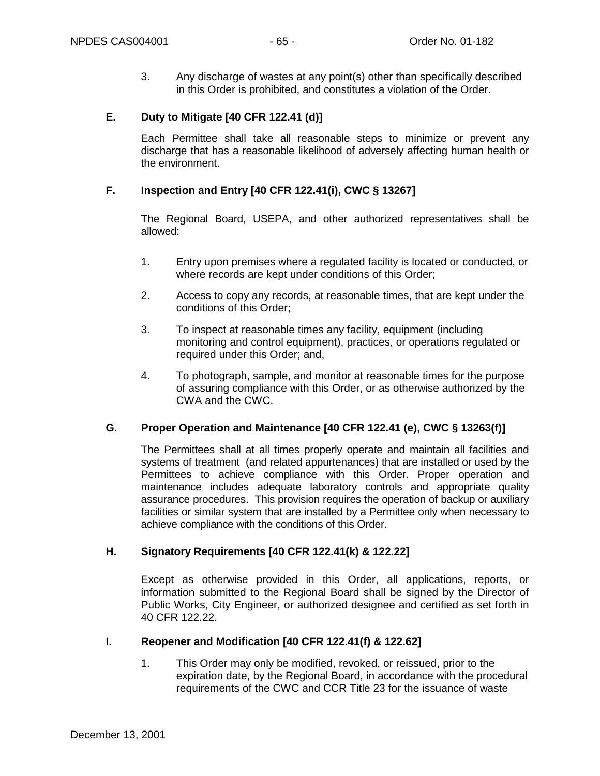3. Any discharge of wastes at any point(s) other than specifically described in this Order is prohibited, and constitutes a violation of the Order.

### **E. Duty to Mitigate [40 CFR 122.41 (d)]**

Each Permittee shall take all reasonable steps to minimize or prevent any discharge that has a reasonable likelihood of adversely affecting human health or the environment.

# **F. Inspection and Entry [40 CFR 122.41(i), CWC § 13267]**

The Regional Board, USEPA, and other authorized representatives shall be allowed:

- 1. Entry upon premises where a regulated facility is located or conducted, or where records are kept under conditions of this Order;
- 2. Access to copy any records, at reasonable times, that are kept under the conditions of this Order;
- 3. To inspect at reasonable times any facility, equipment (including monitoring and control equipment), practices, or operations regulated or required under this Order; and,
- 4. To photograph, sample, and monitor at reasonable times for the purpose of assuring compliance with this Order, or as otherwise authorized by the CWA and the CWC.

#### **G. Proper Operation and Maintenance [40 CFR 122.41 (e), CWC § 13263(f)]**

The Permittees shall at all times properly operate and maintain all facilities and systems of treatment (and related appurtenances) that are installed or used by the Permittees to achieve compliance with this Order. Proper operation and maintenance includes adequate laboratory controls and appropriate quality assurance procedures. This provision requires the operation of backup or auxiliary facilities or similar system that are installed by a Permittee only when necessary to achieve compliance with the conditions of this Order.

#### **H. Signatory Requirements [40 CFR 122.41(k) & 122.22]**

Except as otherwise provided in this Order, all applications, reports, or information submitted to the Regional Board shall be signed by the Director of Public Works, City Engineer, or authorized designee and certified as set forth in 40 CFR 122.22.

### **I. Reopener and Modification [40 CFR 122.41(f) & 122.62]**

1. This Order may only be modified, revoked, or reissued, prior to the expiration date, by the Regional Board, in accordance with the procedural requirements of the CWC and CCR Title 23 for the issuance of waste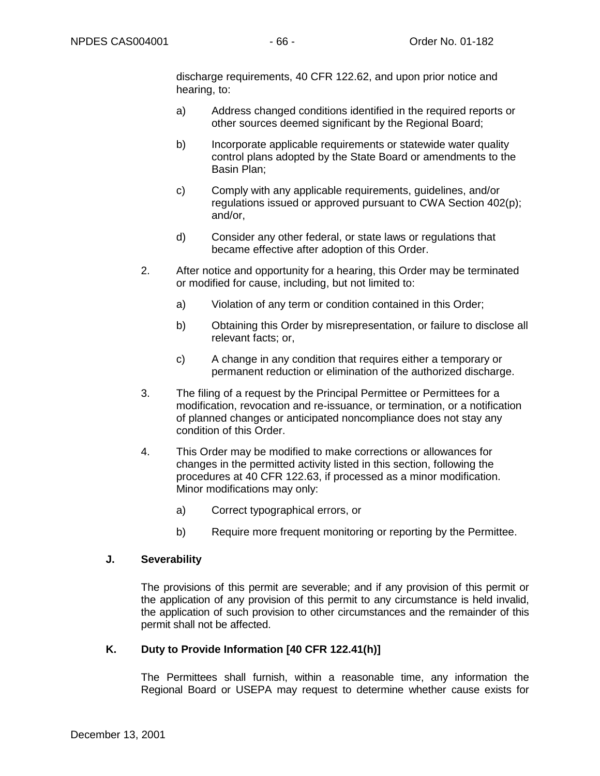discharge requirements, 40 CFR 122.62, and upon prior notice and hearing, to:

- a) Address changed conditions identified in the required reports or other sources deemed significant by the Regional Board;
- b) Incorporate applicable requirements or statewide water quality control plans adopted by the State Board or amendments to the Basin Plan;
- c) Comply with any applicable requirements, guidelines, and/or regulations issued or approved pursuant to CWA Section 402(p); and/or,
- d) Consider any other federal, or state laws or regulations that became effective after adoption of this Order.
- 2. After notice and opportunity for a hearing, this Order may be terminated or modified for cause, including, but not limited to:
	- a) Violation of any term or condition contained in this Order;
	- b) Obtaining this Order by misrepresentation, or failure to disclose all relevant facts; or,
	- c) A change in any condition that requires either a temporary or permanent reduction or elimination of the authorized discharge.
- 3. The filing of a request by the Principal Permittee or Permittees for a modification, revocation and re-issuance, or termination, or a notification of planned changes or anticipated noncompliance does not stay any condition of this Order.
- 4. This Order may be modified to make corrections or allowances for changes in the permitted activity listed in this section, following the procedures at 40 CFR 122.63, if processed as a minor modification. Minor modifications may only:
	- a) Correct typographical errors, or
	- b) Require more frequent monitoring or reporting by the Permittee.

# **J. Severability**

The provisions of this permit are severable; and if any provision of this permit or the application of any provision of this permit to any circumstance is held invalid, the application of such provision to other circumstances and the remainder of this permit shall not be affected.

# **K. Duty to Provide Information [40 CFR 122.41(h)]**

The Permittees shall furnish, within a reasonable time, any information the Regional Board or USEPA may request to determine whether cause exists for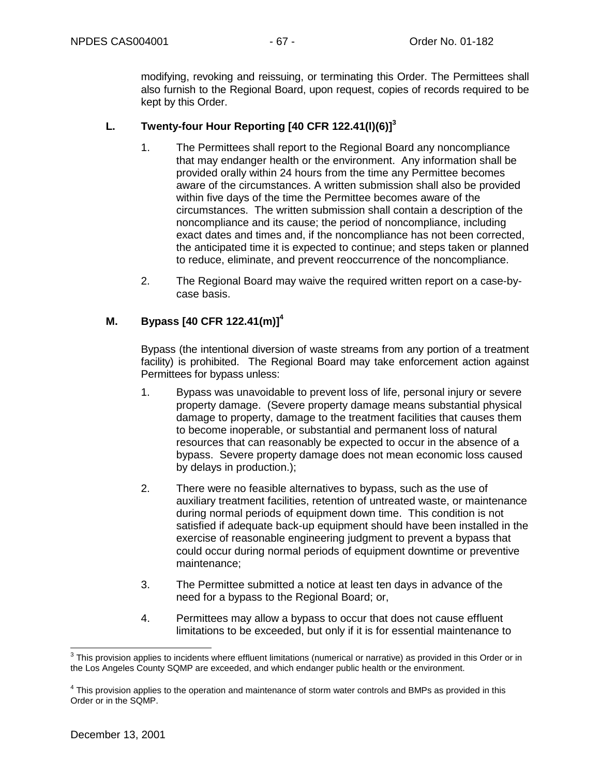modifying, revoking and reissuing, or terminating this Order. The Permittees shall also furnish to the Regional Board, upon request, copies of records required to be kept by this Order.

# **L. Twenty-four Hour Reporting [40 CFR 122.41(l)(6)]<sup>3</sup>**

- 1. The Permittees shall report to the Regional Board any noncompliance that may endanger health or the environment. Any information shall be provided orally within 24 hours from the time any Permittee becomes aware of the circumstances. A written submission shall also be provided within five days of the time the Permittee becomes aware of the circumstances. The written submission shall contain a description of the noncompliance and its cause; the period of noncompliance, including exact dates and times and, if the noncompliance has not been corrected, the anticipated time it is expected to continue; and steps taken or planned to reduce, eliminate, and prevent reoccurrence of the noncompliance.
- 2. The Regional Board may waive the required written report on a case-bycase basis.

# **M. Bypass [40 CFR 122.41(m)]<sup>4</sup>**

Bypass (the intentional diversion of waste streams from any portion of a treatment facility) is prohibited. The Regional Board may take enforcement action against Permittees for bypass unless:

- 1. Bypass was unavoidable to prevent loss of life, personal injury or severe property damage. (Severe property damage means substantial physical damage to property, damage to the treatment facilities that causes them to become inoperable, or substantial and permanent loss of natural resources that can reasonably be expected to occur in the absence of a bypass. Severe property damage does not mean economic loss caused by delays in production.);
- 2. There were no feasible alternatives to bypass, such as the use of auxiliary treatment facilities, retention of untreated waste, or maintenance during normal periods of equipment down time. This condition is not satisfied if adequate back-up equipment should have been installed in the exercise of reasonable engineering judgment to prevent a bypass that could occur during normal periods of equipment downtime or preventive maintenance;
- 3. The Permittee submitted a notice at least ten days in advance of the need for a bypass to the Regional Board; or,
- 4. Permittees may allow a bypass to occur that does not cause effluent limitations to be exceeded, but only if it is for essential maintenance to

 $\overline{a}$  $^3$  This provision applies to incidents where effluent limitations (numerical or narrative) as provided in this Order or in the Los Angeles County SQMP are exceeded, and which endanger public health or the environment.

<sup>&</sup>lt;sup>4</sup> This provision applies to the operation and maintenance of storm water controls and BMPs as provided in this Order or in the SQMP.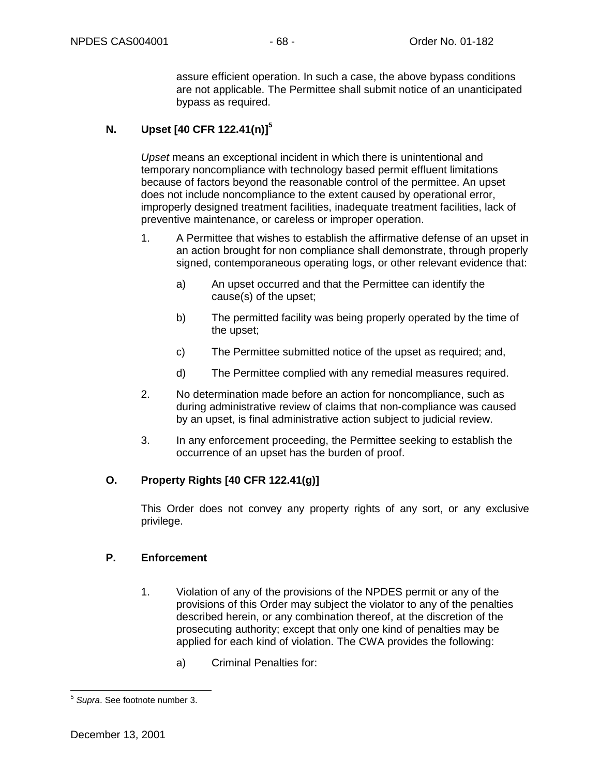assure efficient operation. In such a case, the above bypass conditions are not applicable. The Permittee shall submit notice of an unanticipated bypass as required.

# **N. Upset [40 CFR 122.41(n)]<sup>5</sup>**

*Upset* means an exceptional incident in which there is unintentional and temporary noncompliance with technology based permit effluent limitations because of factors beyond the reasonable control of the permittee. An upset does not include noncompliance to the extent caused by operational error, improperly designed treatment facilities, inadequate treatment facilities, lack of preventive maintenance, or careless or improper operation.

- 1. A Permittee that wishes to establish the affirmative defense of an upset in an action brought for non compliance shall demonstrate, through properly signed, contemporaneous operating logs, or other relevant evidence that:
	- a) An upset occurred and that the Permittee can identify the cause(s) of the upset;
	- b) The permitted facility was being properly operated by the time of the upset;
	- c) The Permittee submitted notice of the upset as required; and,
	- d) The Permittee complied with any remedial measures required.
- 2. No determination made before an action for noncompliance, such as during administrative review of claims that non-compliance was caused by an upset, is final administrative action subject to judicial review.
- 3. In any enforcement proceeding, the Permittee seeking to establish the occurrence of an upset has the burden of proof.

# **O. Property Rights [40 CFR 122.41(g)]**

This Order does not convey any property rights of any sort, or any exclusive privilege.

# **P. Enforcement**

- 1. Violation of any of the provisions of the NPDES permit or any of the provisions of this Order may subject the violator to any of the penalties described herein, or any combination thereof, at the discretion of the prosecuting authority; except that only one kind of penalties may be applied for each kind of violation. The CWA provides the following:
	- a) Criminal Penalties for:

 $\overline{a}$ <sup>5</sup> *Supra*. See footnote number 3.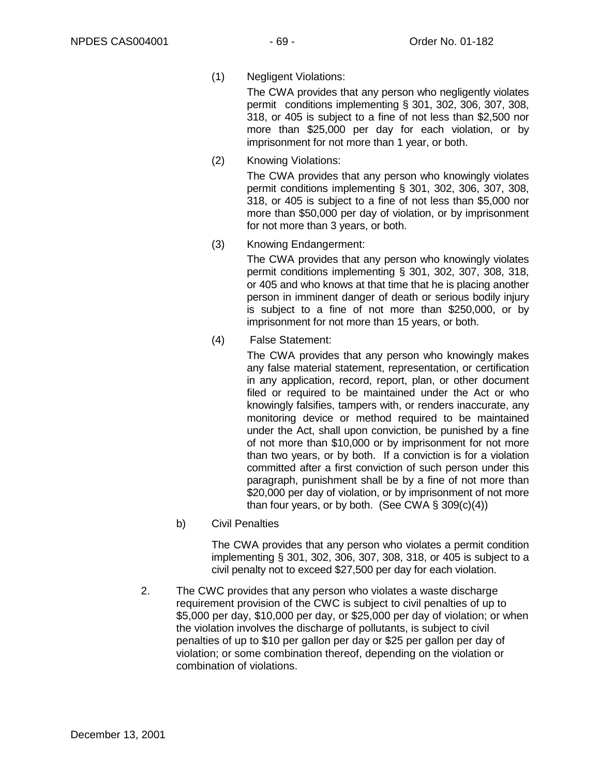(1) Negligent Violations:

The CWA provides that any person who negligently violates permit conditions implementing § 301, 302, 306, 307, 308, 318, or 405 is subject to a fine of not less than \$2,500 nor more than \$25,000 per day for each violation, or by imprisonment for not more than 1 year, or both.

(2) Knowing Violations:

The CWA provides that any person who knowingly violates permit conditions implementing § 301, 302, 306, 307, 308, 318, or 405 is subject to a fine of not less than \$5,000 nor more than \$50,000 per day of violation, or by imprisonment for not more than 3 years, or both.

(3) Knowing Endangerment:

The CWA provides that any person who knowingly violates permit conditions implementing § 301, 302, 307, 308, 318, or 405 and who knows at that time that he is placing another person in imminent danger of death or serious bodily injury is subject to a fine of not more than \$250,000, or by imprisonment for not more than 15 years, or both.

(4) False Statement:

The CWA provides that any person who knowingly makes any false material statement, representation, or certification in any application, record, report, plan, or other document filed or required to be maintained under the Act or who knowingly falsifies, tampers with, or renders inaccurate, any monitoring device or method required to be maintained under the Act, shall upon conviction, be punished by a fine of not more than \$10,000 or by imprisonment for not more than two years, or by both. If a conviction is for a violation committed after a first conviction of such person under this paragraph, punishment shall be by a fine of not more than \$20,000 per day of violation, or by imprisonment of not more than four years, or by both. (See CWA  $\S$  309(c)(4))

b) Civil Penalties

The CWA provides that any person who violates a permit condition implementing § 301, 302, 306, 307, 308, 318, or 405 is subject to a civil penalty not to exceed \$27,500 per day for each violation.

2. The CWC provides that any person who violates a waste discharge requirement provision of the CWC is subject to civil penalties of up to \$5,000 per day, \$10,000 per day, or \$25,000 per day of violation; or when the violation involves the discharge of pollutants, is subject to civil penalties of up to \$10 per gallon per day or \$25 per gallon per day of violation; or some combination thereof, depending on the violation or combination of violations.